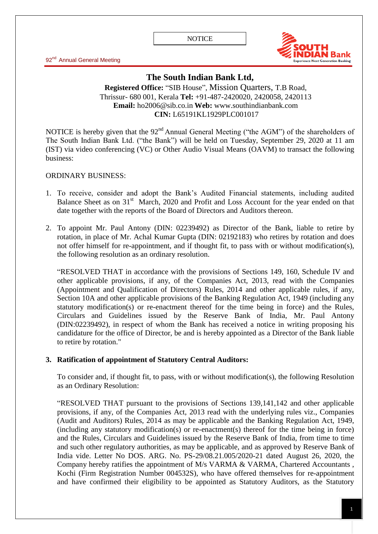92<sup>nd</sup> Annual General Meeting



# **The South Indian Bank Ltd,**

## **Registered Office: "SIB House", Mission Quarters, T.B Road,** Thrissur- 680 001, Kerala **Tel:** +91-487-2420020, 2420058, 2420113 **Email:** [ho2006@sib.co.in](mailto:ho2006@sib.co.in) **Web:** www.southindianbank.com **CIN:** L65191KL1929PLC001017

NOTICE is hereby given that the  $92<sup>nd</sup>$  Annual General Meeting ("the AGM") of the shareholders of The South Indian Bank Ltd. ("the Bank") will be held on Tuesday, September 29, 2020 at 11 am (IST) via video conferencing (VC) or Other Audio Visual Means (OAVM) to transact the following business:

#### ORDINARY BUSINESS:

- 1. To receive, consider and adopt the Bank's Audited Financial statements, including audited Balance Sheet as on 31<sup>st</sup> March, 2020 and Profit and Loss Account for the year ended on that date together with the reports of the Board of Directors and Auditors thereon.
- 2. To appoint Mr. Paul Antony (DIN: 02239492) as Director of the Bank, liable to retire by rotation, in place of Mr. Achal Kumar Gupta (DIN: 02192183) who retires by rotation and does not offer himself for re-appointment, and if thought fit, to pass with or without modification(s), the following resolution as an ordinary resolution.

"RESOLVED THAT in accordance with the provisions of Sections 149, 160, Schedule IV and other applicable provisions, if any, of the Companies Act, 2013, read with the Companies (Appointment and Qualification of Directors) Rules, 2014 and other applicable rules, if any, Section 10A and other applicable provisions of the Banking Regulation Act, 1949 (including any statutory modification(s) or re-enactment thereof for the time being in force) and the Rules, Circulars and Guidelines issued by the Reserve Bank of India, Mr. Paul Antony (DIN:02239492), in respect of whom the Bank has received a notice in writing proposing his candidature for the office of Director, be and is hereby appointed as a Director of the Bank liable to retire by rotation."

#### **3. Ratification of appointment of Statutory Central Auditors:**

To consider and, if thought fit, to pass, with or without modification(s), the following Resolution as an Ordinary Resolution:

"RESOLVED THAT pursuant to the provisions of Sections 139,141,142 and other applicable provisions, if any, of the Companies Act, 2013 read with the underlying rules viz., Companies (Audit and Auditors) Rules, 2014 as may be applicable and the Banking Regulation Act, 1949, (including any statutory modification(s) or re-enactment(s) thereof for the time being in force) and the Rules, Circulars and Guidelines issued by the Reserve Bank of India, from time to time and such other regulatory authorities, as may be applicable, and as approved by Reserve Bank of India vide. Letter No DOS. ARG. No. PS-29/08.21.005/2020-21 dated August 26, 2020, the Company hereby ratifies the appointment of M/s VARMA & VARMA, Chartered Accountants , Kochi (Firm Registration Number 004532S), who have offered themselves for re-appointment and have confirmed their eligibility to be appointed as Statutory Auditors, as the Statutory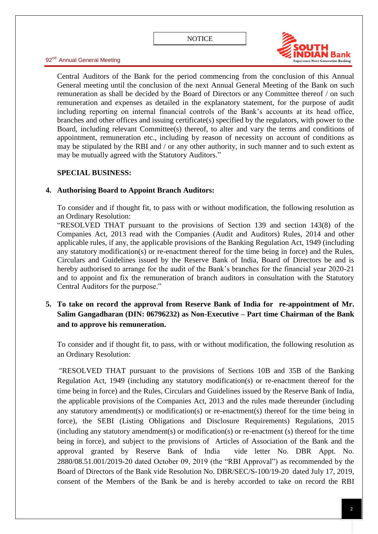

Central Auditors of the Bank for the period commencing from the conclusion of this Annual General meeting until the conclusion of the next Annual General Meeting of the Bank on such remuneration as shall be decided by the Board of Directors or any Committee thereof / on such remuneration and expenses as detailed in the explanatory statement, for the purpose of audit including reporting on internal financial controls of the Bank's accounts at its head office, branches and other offices and issuing certificate(s) specified by the regulators, with power to the Board, including relevant Committee(s) thereof, to alter and vary the terms and conditions of appointment, remuneration etc., including by reason of necessity on account of conditions as may be stipulated by the RBI and / or any other authority, in such manner and to such extent as may be mutually agreed with the Statutory Auditors."

## **SPECIAL BUSINESS:**

## **4. Authorising Board to Appoint Branch Auditors:**

To consider and if thought fit, to pass with or without modification, the following resolution as an Ordinary Resolution:

"RESOLVED THAT pursuant to the provisions of Section 139 and section  $143(8)$  of the Companies Act, 2013 read with the Companies (Audit and Auditors) Rules, 2014 and other applicable rules, if any, the applicable provisions of the Banking Regulation Act, 1949 (including any statutory modification(s) or re-enactment thereof for the time being in force) and the Rules, Circulars and Guidelines issued by the Reserve Bank of India, Board of Directors be and is hereby authorised to arrange for the audit of the Bank's branches for the financial year 2020-21 and to appoint and fix the remuneration of branch auditors in consultation with the Statutory Central Auditors for the purpose."

# **5. To take on record the approval from Reserve Bank of India for re-appointment of Mr. Salim Gangadharan (DIN: 06796232) as Non-Executive – Part time Chairman of the Bank and to approve his remuneration.**

To consider and if thought fit, to pass, with or without modification, the following resolution as an Ordinary Resolution:

"RESOLVED THAT pursuant to the provisions of Sections 10B and 35B of the Banking Regulation Act, 1949 (including any statutory modification(s) or re-enactment thereof for the time being in force) and the Rules, Circulars and Guidelines issued by the Reserve Bank of India, the applicable provisions of the Companies Act, 2013 and the rules made thereunder (including any statutory amendment(s) or modification(s) or re-enactment(s) thereof for the time being in force), the SEBI (Listing Obligations and Disclosure Requirements) Regulations, 2015 (including any statutory amendment(s) or modification(s) or re-enactment (s) thereof for the time being in force), and subject to the provisions of Articles of Association of the Bank and the approval granted by Reserve Bank of India vide letter No. DBR Appt. No.  $2880/08.51.001/2019-20$  dated October 09, 2019 (the "RBI Approval") as recommended by the Board of Directors of the Bank vide Resolution No. DBR/SEC/S-100/19-20 dated July 17, 2019, consent of the Members of the Bank be and is hereby accorded to take on record the RBI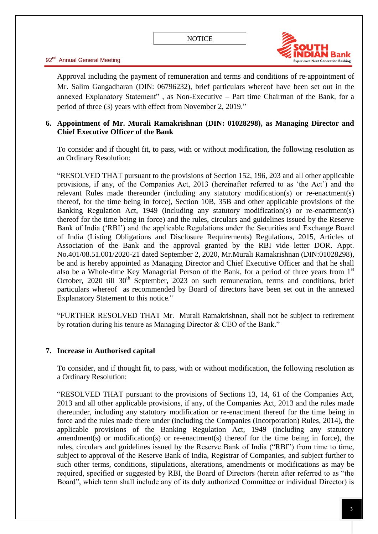

Approval including the payment of remuneration and terms and conditions of re-appointment of Mr. Salim Gangadharan (DIN: 06796232), brief particulars whereof have been set out in the annexed Explanatory Statement", as Non-Executive – Part time Chairman of the Bank, for a period of three (3) years with effect from November 2, 2019."

## **6. Appointment of Mr. Murali Ramakrishnan (DIN: 01028298), as Managing Director and Chief Executive Officer of the Bank**

To consider and if thought fit, to pass, with or without modification, the following resolution as an Ordinary Resolution:

―RESOLVED THAT pursuant to the provisions of Section 152, 196, 203 and all other applicable provisions, if any, of the Companies Act, 2013 (hereinafter referred to as 'the Act') and the relevant Rules made thereunder (including any statutory modification(s) or re-enactment(s) thereof, for the time being in force), Section 10B, 35B and other applicable provisions of the Banking Regulation Act, 1949 (including any statutory modification(s) or re-enactment(s) thereof for the time being in force) and the rules, circulars and guidelines issued by the Reserve Bank of India ('RBI') and the applicable Regulations under the Securities and Exchange Board of India (Listing Obligations and Disclosure Requirements) Regulations, 2015, Articles of Association of the Bank and the approval granted by the RBI vide letter DOR. Appt. No.401/08.51.001/2020-21 dated September 2, 2020, Mr.Murali Ramakrishnan (DIN:01028298), be and is hereby appointed as Managing Director and Chief Executive Officer and that he shall also be a Whole-time Key Managerial Person of the Bank, for a period of three years from 1<sup>st</sup> October,  $2020$  till  $30<sup>th</sup>$  September,  $2023$  on such remuneration, terms and conditions, brief particulars whereof as recommended by Board of directors have been set out in the annexed Explanatory Statement to this notice."

―FURTHER RESOLVED THAT Mr. Murali Ramakrishnan, shall not be subject to retirement by rotation during his tenure as Managing Director & CEO of the Bank."

#### **7. Increase in Authorised capital**

To consider, and if thought fit, to pass, with or without modification, the following resolution as a Ordinary Resolution:

―RESOLVED THAT pursuant to the provisions of Sections 13, 14, 61 of the Companies Act, 2013 and all other applicable provisions, if any, of the Companies Act, 2013 and the rules made thereunder, including any statutory modification or re-enactment thereof for the time being in force and the rules made there under (including the Companies (Incorporation) Rules, 2014), the applicable provisions of the Banking Regulation Act, 1949 (including any statutory amendment(s) or modification(s) or re-enactment(s) thereof for the time being in force), the rules, circulars and guidelines issued by the Reserve Bank of India ("RBI") from time to time, subject to approval of the Reserve Bank of India, Registrar of Companies, and subject further to such other terms, conditions, stipulations, alterations, amendments or modifications as may be required, specified or suggested by RBI, the Board of Directors (herein after referred to as "the Board", which term shall include any of its duly authorized Committee or individual Director) is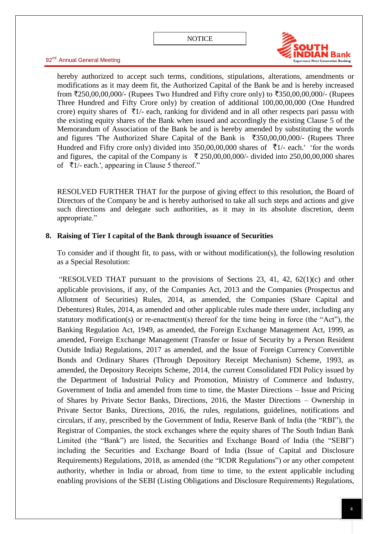

hereby authorized to accept such terms, conditions, stipulations, alterations, amendments or modifications as it may deem fit, the Authorized Capital of the Bank be and is hereby increased from  $\text{\textsterling}250,00,00,000/$ - (Rupees Two Hundred and Fifty crore only) to  $\text{\textsterling}350,00,00,000/$ - (Rupees Three Hundred and Fifty Crore only) by creation of additional 100,00,00,000 (One Hundred crore) equity shares of  $\bar{\tau}_{1/-}$  each, ranking for dividend and in all other respects pari passu with the existing equity shares of the Bank when issued and accordingly the existing Clause 5 of the Memorandum of Association of the Bank be and is hereby amended by substituting the words and figures 'The Authorized Share Capital of the Bank is  $\overline{350,00,00,000}$  (Rupees Three Hundred and Fifty crore only) divided into 350,00,00,000 shares of  $\bar{\tau}$ 1/- each.' 'for the words and figures, the capital of the Company is  $\bar{\tau}$  250,00,00,000/- divided into 250,00,00,000 shares of  $\bar{\tau}$ 1/- each.', appearing in Clause 5 thereof."

RESOLVED FURTHER THAT for the purpose of giving effect to this resolution, the Board of Directors of the Company be and is hereby authorised to take all such steps and actions and give such directions and delegate such authorities, as it may in its absolute discretion, deem appropriate."

## **8. Raising of Tier I capital of the Bank through issuance of Securities**

To consider and if thought fit, to pass, with or without modification(s), the following resolution as a Special Resolution:

"RESOLVED THAT pursuant to the provisions of Sections 23, 41, 42,  $62(1)(c)$  and other applicable provisions, if any, of the Companies Act, 2013 and the Companies (Prospectus and Allotment of Securities) Rules, 2014, as amended, the Companies (Share Capital and Debentures) Rules, 2014, as amended and other applicable rules made there under, including any statutory modification(s) or re-enactment(s) thereof for the time being in force (the "Act"), the Banking Regulation Act, 1949, as amended, the Foreign Exchange Management Act, 1999, as amended, Foreign Exchange Management (Transfer or Issue of Security by a Person Resident Outside India) Regulations, 2017 as amended, and the Issue of Foreign Currency Convertible Bonds and Ordinary Shares (Through Depository Receipt Mechanism) Scheme, 1993, as amended, the Depository Receipts Scheme, 2014, the current Consolidated FDI Policy issued by the Department of Industrial Policy and Promotion, Ministry of Commerce and Industry, Government of India and amended from time to time, the Master Directions – Issue and Pricing of Shares by Private Sector Banks, Directions, 2016, the Master Directions – Ownership in Private Sector Banks, Directions, 2016, the rules, regulations, guidelines, notifications and circulars, if any, prescribed by the Government of India, Reserve Bank of India (the "RBI"), the Registrar of Companies, the stock exchanges where the equity shares of The South Indian Bank Limited (the "Bank") are listed, the Securities and Exchange Board of India (the "SEBI") including the Securities and Exchange Board of India (Issue of Capital and Disclosure Requirements) Regulations, 2018, as amended (the "ICDR Regulations") or any other competent authority, whether in India or abroad, from time to time, to the extent applicable including enabling provisions of the SEBI (Listing Obligations and Disclosure Requirements) Regulations,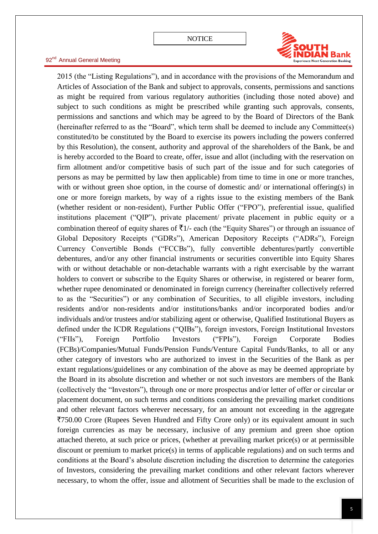

2015 (the "Listing Regulations"), and in accordance with the provisions of the Memorandum and Articles of Association of the Bank and subject to approvals, consents, permissions and sanctions as might be required from various regulatory authorities (including those noted above) and subject to such conditions as might be prescribed while granting such approvals, consents, permissions and sanctions and which may be agreed to by the Board of Directors of the Bank (hereinafter referred to as the "Board", which term shall be deemed to include any Committee(s) constituted/to be constituted by the Board to exercise its powers including the powers conferred by this Resolution), the consent, authority and approval of the shareholders of the Bank, be and is hereby accorded to the Board to create, offer, issue and allot (including with the reservation on firm allotment and/or competitive basis of such part of the issue and for such categories of persons as may be permitted by law then applicable) from time to time in one or more tranches, with or without green shoe option, in the course of domestic and/ or international offering(s) in one or more foreign markets, by way of a rights issue to the existing members of the Bank (whether resident or non-resident), Further Public Offer ("FPO"), preferential issue, qualified institutions placement ("QIP"), private placement/ private placement in public equity or a combination thereof of equity shares of  $\bar{\tau}$ 1/- each (the "Equity Shares") or through an issuance of Global Depository Receipts ("GDRs"), American Depository Receipts ("ADRs"), Foreign Currency Convertible Bonds ("FCCBs"), fully convertible debentures/partly convertible debentures, and/or any other financial instruments or securities convertible into Equity Shares with or without detachable or non-detachable warrants with a right exercisable by the warrant holders to convert or subscribe to the Equity Shares or otherwise, in registered or bearer form, whether rupee denominated or denominated in foreign currency (hereinafter collectively referred to as the "Securities") or any combination of Securities, to all eligible investors, including residents and/or non-residents and/or institutions/banks and/or incorporated bodies and/or individuals and/or trustees and/or stabilizing agent or otherwise, Qualified Institutional Buyers as defined under the ICDR Regulations ("QIBs"), foreign investors, Foreign Institutional Investors ("FIIs"), Foreign Portfolio Investors ("FPIs"), Foreign Corporate Bodies (FCBs)/Companies/Mutual Funds/Pension Funds/Venture Capital Funds/Banks, to all or any other category of investors who are authorized to invest in the Securities of the Bank as per extant regulations/guidelines or any combination of the above as may be deemed appropriate by the Board in its absolute discretion and whether or not such investors are members of the Bank (collectively the "Investors"), through one or more prospectus and/or letter of offer or circular or placement document, on such terms and conditions considering the prevailing market conditions and other relevant factors wherever necessary, for an amount not exceeding in the aggregate `750.00 Crore (Rupees Seven Hundred and Fifty Crore only) or its equivalent amount in such foreign currencies as may be necessary, inclusive of any premium and green shoe option attached thereto, at such price or prices, (whether at prevailing market price(s) or at permissible discount or premium to market price(s) in terms of applicable regulations) and on such terms and conditions at the Board's absolute discretion including the discretion to determine the categories of Investors, considering the prevailing market conditions and other relevant factors wherever necessary, to whom the offer, issue and allotment of Securities shall be made to the exclusion of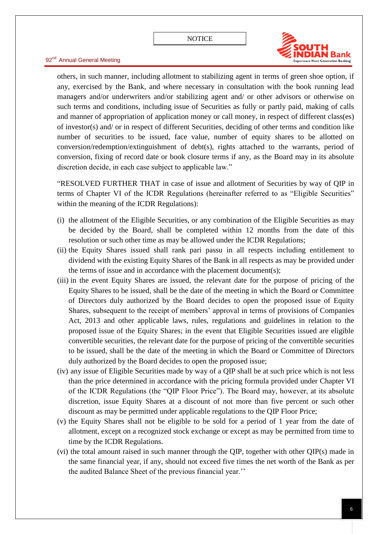

others, in such manner, including allotment to stabilizing agent in terms of green shoe option, if any, exercised by the Bank, and where necessary in consultation with the book running lead managers and/or underwriters and/or stabilizing agent and/ or other advisors or otherwise on such terms and conditions, including issue of Securities as fully or partly paid, making of calls and manner of appropriation of application money or call money, in respect of different class(es) of investor(s) and/ or in respect of different Securities, deciding of other terms and condition like number of securities to be issued, face value, number of equity shares to be allotted on conversion/redemption/extinguishment of debt(s), rights attached to the warrants, period of conversion, fixing of record date or book closure terms if any, as the Board may in its absolute discretion decide, in each case subject to applicable law."

"RESOLVED FURTHER THAT in case of issue and allotment of Securities by way of QIP in terms of Chapter VI of the ICDR Regulations (hereinafter referred to as "Eligible Securities" within the meaning of the ICDR Regulations):

- (i) the allotment of the Eligible Securities, or any combination of the Eligible Securities as may be decided by the Board, shall be completed within 12 months from the date of this resolution or such other time as may be allowed under the ICDR Regulations;
- (ii) the Equity Shares issued shall rank pari passu in all respects including entitlement to dividend with the existing Equity Shares of the Bank in all respects as may be provided under the terms of issue and in accordance with the placement document(s);
- (iii) in the event Equity Shares are issued, the relevant date for the purpose of pricing of the Equity Shares to be issued, shall be the date of the meeting in which the Board or Committee of Directors duly authorized by the Board decides to open the proposed issue of Equity Shares, subsequent to the receipt of members' approval in terms of provisions of Companies Act, 2013 and other applicable laws, rules, regulations and guidelines in relation to the proposed issue of the Equity Shares; in the event that Eligible Securities issued are eligible convertible securities, the relevant date for the purpose of pricing of the convertible securities to be issued, shall be the date of the meeting in which the Board or Committee of Directors duly authorized by the Board decides to open the proposed issue;
- (iv) any issue of Eligible Securities made by way of a QIP shall be at such price which is not less than the price determined in accordance with the pricing formula provided under Chapter VI of the ICDR Regulations (the "QIP Floor Price"). The Board may, however, at its absolute discretion, issue Equity Shares at a discount of not more than five percent or such other discount as may be permitted under applicable regulations to the QIP Floor Price;
- (v) the Equity Shares shall not be eligible to be sold for a period of 1 year from the date of allotment, except on a recognized stock exchange or except as may be permitted from time to time by the ICDR Regulations.
- (vi) the total amount raised in such manner through the QIP, together with other QIP(s) made in the same financial year, if any, should not exceed five times the net worth of the Bank as per the audited Balance Sheet of the previous financial year.''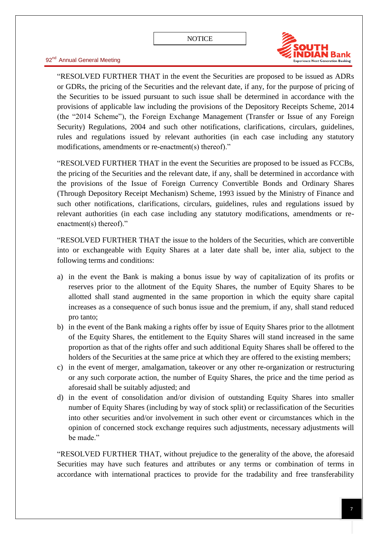

"RESOLVED FURTHER THAT in the event the Securities are proposed to be issued as ADRs or GDRs, the pricing of the Securities and the relevant date, if any, for the purpose of pricing of the Securities to be issued pursuant to such issue shall be determined in accordance with the provisions of applicable law including the provisions of the Depository Receipts Scheme, 2014 (the "2014 Scheme"), the Foreign Exchange Management (Transfer or Issue of any Foreign Security) Regulations, 2004 and such other notifications, clarifications, circulars, guidelines, rules and regulations issued by relevant authorities (in each case including any statutory modifications, amendments or re-enactment(s) thereof)."

"RESOLVED FURTHER THAT in the event the Securities are proposed to be issued as FCCBs, the pricing of the Securities and the relevant date, if any, shall be determined in accordance with the provisions of the Issue of Foreign Currency Convertible Bonds and Ordinary Shares (Through Depository Receipt Mechanism) Scheme, 1993 issued by the Ministry of Finance and such other notifications, clarifications, circulars, guidelines, rules and regulations issued by relevant authorities (in each case including any statutory modifications, amendments or reenactment(s) thereof)."

―RESOLVED FURTHER THAT the issue to the holders of the Securities, which are convertible into or exchangeable with Equity Shares at a later date shall be, inter alia, subject to the following terms and conditions:

- a) in the event the Bank is making a bonus issue by way of capitalization of its profits or reserves prior to the allotment of the Equity Shares, the number of Equity Shares to be allotted shall stand augmented in the same proportion in which the equity share capital increases as a consequence of such bonus issue and the premium, if any, shall stand reduced pro tanto;
- b) in the event of the Bank making a rights offer by issue of Equity Shares prior to the allotment of the Equity Shares, the entitlement to the Equity Shares will stand increased in the same proportion as that of the rights offer and such additional Equity Shares shall be offered to the holders of the Securities at the same price at which they are offered to the existing members;
- c) in the event of merger, amalgamation, takeover or any other re-organization or restructuring or any such corporate action, the number of Equity Shares, the price and the time period as aforesaid shall be suitably adjusted; and
- d) in the event of consolidation and/or division of outstanding Equity Shares into smaller number of Equity Shares (including by way of stock split) or reclassification of the Securities into other securities and/or involvement in such other event or circumstances which in the opinion of concerned stock exchange requires such adjustments, necessary adjustments will be made."

"RESOLVED FURTHER THAT, without prejudice to the generality of the above, the aforesaid Securities may have such features and attributes or any terms or combination of terms in accordance with international practices to provide for the tradability and free transferability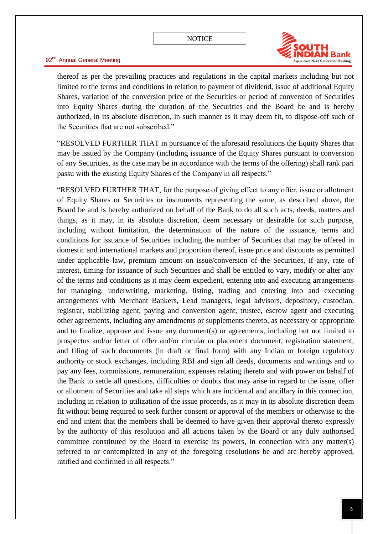

thereof as per the prevailing practices and regulations in the capital markets including but not limited to the terms and conditions in relation to payment of dividend, issue of additional Equity Shares, variation of the conversion price of the Securities or period of conversion of Securities into Equity Shares during the duration of the Securities and the Board be and is hereby authorized, in its absolute discretion, in such manner as it may deem fit, to dispose-off such of the Securities that are not subscribed."

"RESOLVED FURTHER THAT in pursuance of the aforesaid resolutions the Equity Shares that may be issued by the Company (including issuance of the Equity Shares pursuant to conversion of any Securities, as the case may be in accordance with the terms of the offering) shall rank pari passu with the existing Equity Shares of the Company in all respects."

―RESOLVED FURTHER THAT, for the purpose of giving effect to any offer, issue or allotment of Equity Shares or Securities or instruments representing the same, as described above, the Board be and is hereby authorized on behalf of the Bank to do all such acts, deeds, matters and things, as it may, in its absolute discretion, deem necessary or desirable for such purpose, including without limitation, the determination of the nature of the issuance, terms and conditions for issuance of Securities including the number of Securities that may be offered in domestic and international markets and proportion thereof, issue price and discounts as permitted under applicable law, premium amount on issue/conversion of the Securities, if any, rate of interest, timing for issuance of such Securities and shall be entitled to vary, modify or alter any of the terms and conditions as it may deem expedient, entering into and executing arrangements for managing, underwriting, marketing, listing, trading and entering into and executing arrangements with Merchant Bankers, Lead managers, legal advisors, depository, custodian, registrar, stabilizing agent, paying and conversion agent, trustee, escrow agent and executing other agreements, including any amendments or supplements thereto, as necessary or appropriate and to finalize, approve and issue any document(s) or agreements, including but not limited to prospectus and/or letter of offer and/or circular or placement document, registration statement, and filing of such documents (in draft or final form) with any Indian or foreign regulatory authority or stock exchanges, including RBI and sign all deeds, documents and writings and to pay any fees, commissions, remuneration, expenses relating thereto and with power on behalf of the Bank to settle all questions, difficulties or doubts that may arise in regard to the issue, offer or allotment of Securities and take all steps which are incidental and ancillary in this connection, including in relation to utilization of the issue proceeds, as it may in its absolute discretion deem fit without being required to seek further consent or approval of the members or otherwise to the end and intent that the members shall be deemed to have given their approval thereto expressly by the authority of this resolution and all actions taken by the Board or any duly authorised committee constituted by the Board to exercise its powers, in connection with any matter(s) referred to or contemplated in any of the foregoing resolutions be and are hereby approved, ratified and confirmed in all respects."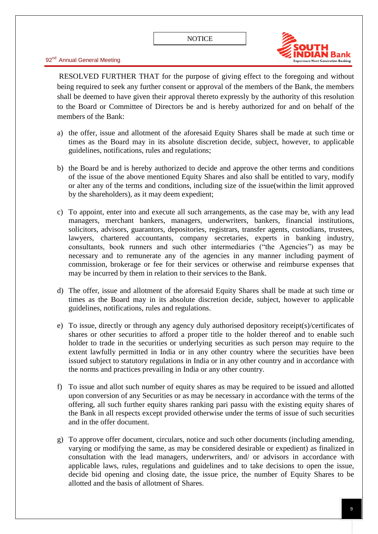

RESOLVED FURTHER THAT for the purpose of giving effect to the foregoing and without being required to seek any further consent or approval of the members of the Bank, the members shall be deemed to have given their approval thereto expressly by the authority of this resolution to the Board or Committee of Directors be and is hereby authorized for and on behalf of the members of the Bank:

- a) the offer, issue and allotment of the aforesaid Equity Shares shall be made at such time or times as the Board may in its absolute discretion decide, subject, however, to applicable guidelines, notifications, rules and regulations;
- b) the Board be and is hereby authorized to decide and approve the other terms and conditions of the issue of the above mentioned Equity Shares and also shall be entitled to vary, modify or alter any of the terms and conditions, including size of the issue(within the limit approved by the shareholders), as it may deem expedient;
- c) To appoint, enter into and execute all such arrangements, as the case may be, with any lead managers, merchant bankers, managers, underwriters, bankers, financial institutions, solicitors, advisors, guarantors, depositories, registrars, transfer agents, custodians, trustees, lawyers, chartered accountants, company secretaries, experts in banking industry, consultants, book runners and such other intermediaries ("the Agencies") as may be necessary and to remunerate any of the agencies in any manner including payment of commission, brokerage or fee for their services or otherwise and reimburse expenses that may be incurred by them in relation to their services to the Bank.
- d) The offer, issue and allotment of the aforesaid Equity Shares shall be made at such time or times as the Board may in its absolute discretion decide, subject, however to applicable guidelines, notifications, rules and regulations.
- e) To issue, directly or through any agency duly authorised depository receipt(s)/certificates of shares or other securities to afford a proper title to the holder thereof and to enable such holder to trade in the securities or underlying securities as such person may require to the extent lawfully permitted in India or in any other country where the securities have been issued subject to statutory regulations in India or in any other country and in accordance with the norms and practices prevailing in India or any other country.
- f) To issue and allot such number of equity shares as may be required to be issued and allotted upon conversion of any Securities or as may be necessary in accordance with the terms of the offering, all such further equity shares ranking pari passu with the existing equity shares of the Bank in all respects except provided otherwise under the terms of issue of such securities and in the offer document.
- g) To approve offer document, circulars, notice and such other documents (including amending, varying or modifying the same, as may be considered desirable or expedient) as finalized in consultation with the lead managers, underwriters, and/ or advisors in accordance with applicable laws, rules, regulations and guidelines and to take decisions to open the issue, decide bid opening and closing date, the issue price, the number of Equity Shares to be allotted and the basis of allotment of Shares.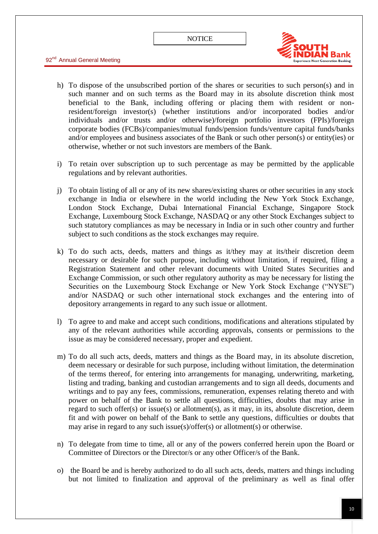



- h) To dispose of the unsubscribed portion of the shares or securities to such person(s) and in such manner and on such terms as the Board may in its absolute discretion think most beneficial to the Bank, including offering or placing them with resident or nonresident/foreign investor(s) (whether institutions and/or incorporated bodies and/or individuals and/or trusts and/or otherwise)/foreign portfolio investors (FPIs)/foreign corporate bodies (FCBs)/companies/mutual funds/pension funds/venture capital funds/banks and/or employees and business associates of the Bank or such other person(s) or entity(ies) or otherwise, whether or not such investors are members of the Bank.
- i) To retain over subscription up to such percentage as may be permitted by the applicable regulations and by relevant authorities.
- j) To obtain listing of all or any of its new shares/existing shares or other securities in any stock exchange in India or elsewhere in the world including the New York Stock Exchange, London Stock Exchange, Dubai International Financial Exchange, Singapore Stock Exchange, Luxembourg Stock Exchange, NASDAQ or any other Stock Exchanges subject to such statutory compliances as may be necessary in India or in such other country and further subject to such conditions as the stock exchanges may require.
- k) To do such acts, deeds, matters and things as it/they may at its/their discretion deem necessary or desirable for such purpose, including without limitation, if required, filing a Registration Statement and other relevant documents with United States Securities and Exchange Commission, or such other regulatory authority as may be necessary for listing the Securities on the Luxembourg Stock Exchange or New York Stock Exchange ("NYSE") and/or NASDAQ or such other international stock exchanges and the entering into of depository arrangements in regard to any such issue or allotment.
- l) To agree to and make and accept such conditions, modifications and alterations stipulated by any of the relevant authorities while according approvals, consents or permissions to the issue as may be considered necessary, proper and expedient.
- m) To do all such acts, deeds, matters and things as the Board may, in its absolute discretion, deem necessary or desirable for such purpose, including without limitation, the determination of the terms thereof, for entering into arrangements for managing, underwriting, marketing, listing and trading, banking and custodian arrangements and to sign all deeds, documents and writings and to pay any fees, commissions, remuneration, expenses relating thereto and with power on behalf of the Bank to settle all questions, difficulties, doubts that may arise in regard to such offer(s) or issue(s) or allotment(s), as it may, in its, absolute discretion, deem fit and with power on behalf of the Bank to settle any questions, difficulties or doubts that may arise in regard to any such issue(s)/offer(s) or allotment(s) or otherwise.
- n) To delegate from time to time, all or any of the powers conferred herein upon the Board or Committee of Directors or the Director/s or any other Officer/s of the Bank.
- o) the Board be and is hereby authorized to do all such acts, deeds, matters and things including but not limited to finalization and approval of the preliminary as well as final offer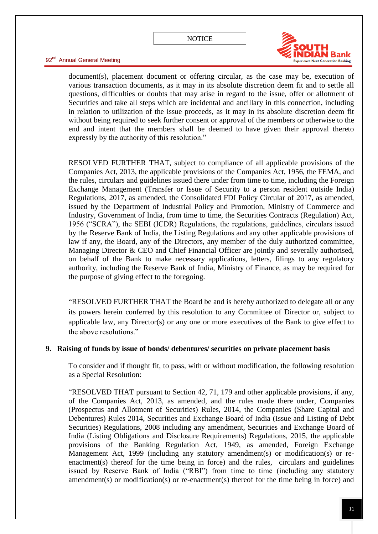

document(s), placement document or offering circular, as the case may be, execution of various transaction documents, as it may in its absolute discretion deem fit and to settle all questions, difficulties or doubts that may arise in regard to the issue, offer or allotment of Securities and take all steps which are incidental and ancillary in this connection, including in relation to utilization of the issue proceeds, as it may in its absolute discretion deem fit without being required to seek further consent or approval of the members or otherwise to the end and intent that the members shall be deemed to have given their approval thereto expressly by the authority of this resolution."

RESOLVED FURTHER THAT, subject to compliance of all applicable provisions of the Companies Act, 2013, the applicable provisions of the Companies Act, 1956, the FEMA, and the rules, circulars and guidelines issued there under from time to time, including the Foreign Exchange Management (Transfer or Issue of Security to a person resident outside India) Regulations, 2017, as amended, the Consolidated FDI Policy Circular of 2017, as amended, issued by the Department of Industrial Policy and Promotion, Ministry of Commerce and Industry, Government of India, from time to time, the Securities Contracts (Regulation) Act, 1956 ("SCRA"), the SEBI (ICDR) Regulations, the regulations, guidelines, circulars issued by the Reserve Bank of India, the Listing Regulations and any other applicable provisions of law if any, the Board, any of the Directors, any member of the duly authorized committee, Managing Director & CEO and Chief Financial Officer are jointly and severally authorised, on behalf of the Bank to make necessary applications, letters, filings to any regulatory authority, including the Reserve Bank of India, Ministry of Finance, as may be required for the purpose of giving effect to the foregoing.

**EXEUPRER THAT THE STARE FIGURE 2.1** THAT the Board be and is hereby authorized to delegate all or any its powers herein conferred by this resolution to any Committee of Director or, subject to applicable law, any Director(s) or any one or more executives of the Bank to give effect to the above resolutions."

#### **9. Raising of funds by issue of bonds/ debentures/ securities on private placement basis**

To consider and if thought fit, to pass, with or without modification, the following resolution as a Special Resolution:

"RESOLVED THAT pursuant to Section 42, 71, 179 and other applicable provisions, if any, of the Companies Act, 2013, as amended, and the rules made there under, Companies (Prospectus and Allotment of Securities) Rules, 2014, the Companies (Share Capital and Debentures) Rules 2014, Securities and Exchange Board of India (Issue and Listing of Debt Securities) Regulations, 2008 including any amendment, Securities and Exchange Board of India (Listing Obligations and Disclosure Requirements) Regulations, 2015, the applicable provisions of the Banking Regulation Act, 1949, as amended, Foreign Exchange Management Act, 1999 (including any statutory amendment(s) or modification(s) or reenactment(s) thereof for the time being in force) and the rules, circulars and guidelines issued by Reserve Bank of India ("RBI") from time to time (including any statutory amendment(s) or modification(s) or re-enactment(s) thereof for the time being in force) and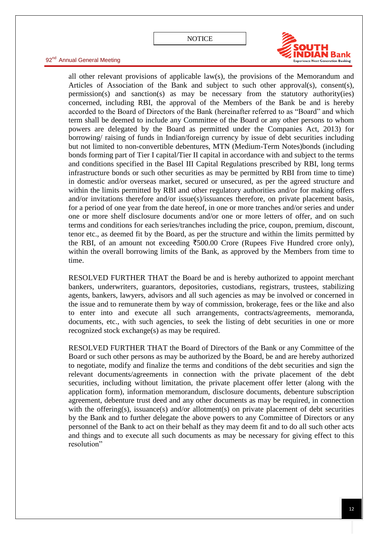

all other relevant provisions of applicable law(s), the provisions of the Memorandum and Articles of Association of the Bank and subject to such other approval(s), consent(s), permission(s) and sanction(s) as may be necessary from the statutory authority(ies) concerned, including RBI, the approval of the Members of the Bank be and is hereby accorded to the Board of Directors of the Bank (hereinafter referred to as "Board" and which term shall be deemed to include any Committee of the Board or any other persons to whom powers are delegated by the Board as permitted under the Companies Act, 2013) for borrowing/ raising of funds in Indian/foreign currency by issue of debt securities including but not limited to non-convertible debentures, MTN (Medium-Term Notes)bonds (including bonds forming part of Tier I capital/Tier II capital in accordance with and subject to the terms and conditions specified in the Basel III Capital Regulations prescribed by RBI, long terms infrastructure bonds or such other securities as may be permitted by RBI from time to time) in domestic and/or overseas market, secured or unsecured, as per the agreed structure and within the limits permitted by RBI and other regulatory authorities and/or for making offers and/or invitations therefore and/or issue(s)/issuances therefore, on private placement basis, for a period of one year from the date hereof, in one or more tranches and/or series and under one or more shelf disclosure documents and/or one or more letters of offer, and on such terms and conditions for each series/tranches including the price, coupon, premium, discount, tenor etc., as deemed fit by the Board, as per the structure and within the limits permitted by the RBI, of an amount not exceeding  $\overline{5}500.00$  Crore (Rupees Five Hundred crore only), within the overall borrowing limits of the Bank, as approved by the Members from time to time.

RESOLVED FURTHER THAT the Board be and is hereby authorized to appoint merchant bankers, underwriters, guarantors, depositories, custodians, registrars, trustees, stabilizing agents, bankers, lawyers, advisors and all such agencies as may be involved or concerned in the issue and to remunerate them by way of commission, brokerage, fees or the like and also to enter into and execute all such arrangements, contracts/agreements, memoranda, documents, etc., with such agencies, to seek the listing of debt securities in one or more recognized stock exchange(s) as may be required.

RESOLVED FURTHER THAT the Board of Directors of the Bank or any Committee of the Board or such other persons as may be authorized by the Board, be and are hereby authorized to negotiate, modify and finalize the terms and conditions of the debt securities and sign the relevant documents/agreements in connection with the private placement of the debt securities, including without limitation, the private placement offer letter (along with the application form), information memorandum, disclosure documents, debenture subscription agreement, debenture trust deed and any other documents as may be required, in connection with the offering(s), issuance(s) and/or allotment(s) on private placement of debt securities by the Bank and to further delegate the above powers to any Committee of Directors or any personnel of the Bank to act on their behalf as they may deem fit and to do all such other acts and things and to execute all such documents as may be necessary for giving effect to this resolution"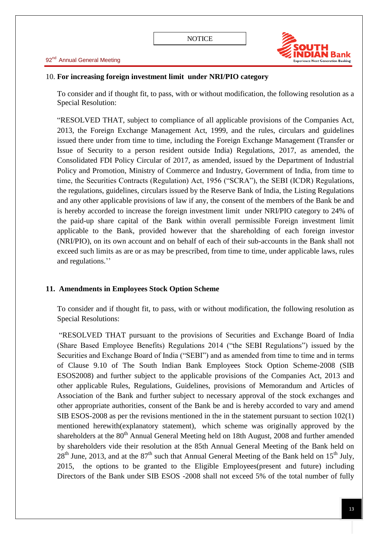

## 10. **For increasing foreign investment limit under NRI/PIO category**

To consider and if thought fit, to pass, with or without modification, the following resolution as a Special Resolution:

"RESOLVED THAT, subject to compliance of all applicable provisions of the Companies Act, 2013, the Foreign Exchange Management Act, 1999, and the rules, circulars and guidelines issued there under from time to time, including the Foreign Exchange Management (Transfer or Issue of Security to a person resident outside India) Regulations, 2017, as amended, the Consolidated FDI Policy Circular of 2017, as amended, issued by the Department of Industrial Policy and Promotion, Ministry of Commerce and Industry, Government of India, from time to time, the Securities Contracts (Regulation) Act, 1956 ("SCRA"), the SEBI (ICDR) Regulations, the regulations, guidelines, circulars issued by the Reserve Bank of India, the Listing Regulations and any other applicable provisions of law if any, the consent of the members of the Bank be and is hereby accorded to increase the foreign investment limit under NRI/PIO category to 24% of the paid-up share capital of the Bank within overall permissible Foreign investment limit applicable to the Bank, provided however that the shareholding of each foreign investor (NRI/PIO), on its own account and on behalf of each of their sub-accounts in the Bank shall not exceed such limits as are or as may be prescribed, from time to time, under applicable laws, rules and regulations.''

## **11. Amendments in Employees Stock Option Scheme**

To consider and if thought fit, to pass, with or without modification, the following resolution as Special Resolutions:

"RESOLVED THAT pursuant to the provisions of Securities and Exchange Board of India (Share Based Employee Benefits) Regulations 2014 ("the SEBI Regulations") issued by the Securities and Exchange Board of India ("SEBI") and as amended from time to time and in terms of Clause 9.10 of The South Indian Bank Employees Stock Option Scheme-2008 (SIB ESOS2008) and further subject to the applicable provisions of the Companies Act, 2013 and other applicable Rules, Regulations, Guidelines, provisions of Memorandum and Articles of Association of the Bank and further subject to necessary approval of the stock exchanges and other appropriate authorities, consent of the Bank be and is hereby accorded to vary and amend SIB ESOS-2008 as per the revisions mentioned in the in the statement pursuant to section  $102(1)$ mentioned herewith(explanatory statement), which scheme was originally approved by the shareholders at the 80<sup>th</sup> Annual General Meeting held on 18th August, 2008 and further amended by shareholders vide their resolution at the 85th Annual General Meeting of the Bank held on  $28<sup>th</sup>$  June, 2013, and at the 87<sup>th</sup> such that Annual General Meeting of the Bank held on 15<sup>th</sup> July, 2015, the options to be granted to the Eligible Employees(present and future) including Directors of the Bank under SIB ESOS -2008 shall not exceed 5% of the total number of fully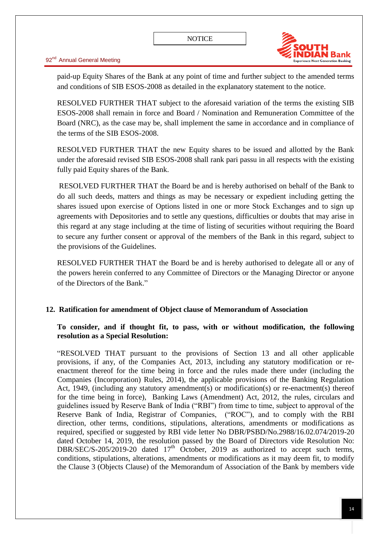

paid-up Equity Shares of the Bank at any point of time and further subject to the amended terms and conditions of SIB ESOS-2008 as detailed in the explanatory statement to the notice.

RESOLVED FURTHER THAT subject to the aforesaid variation of the terms the existing SIB ESOS-2008 shall remain in force and Board / Nomination and Remuneration Committee of the Board (NRC), as the case may be, shall implement the same in accordance and in compliance of the terms of the SIB ESOS-2008.

RESOLVED FURTHER THAT the new Equity shares to be issued and allotted by the Bank under the aforesaid revised SIB ESOS-2008 shall rank pari passu in all respects with the existing fully paid Equity shares of the Bank.

RESOLVED FURTHER THAT the Board be and is hereby authorised on behalf of the Bank to do all such deeds, matters and things as may be necessary or expedient including getting the shares issued upon exercise of Options listed in one or more Stock Exchanges and to sign up agreements with Depositories and to settle any questions, difficulties or doubts that may arise in this regard at any stage including at the time of listing of securities without requiring the Board to secure any further consent or approval of the members of the Bank in this regard, subject to the provisions of the Guidelines.

RESOLVED FURTHER THAT the Board be and is hereby authorised to delegate all or any of the powers herein conferred to any Committee of Directors or the Managing Director or anyone of the Directors of the Bank."

## **12. Ratification for amendment of Object clause of Memorandum of Association**

## **To consider, and if thought fit, to pass, with or without modification, the following resolution as a Special Resolution:**

―RESOLVED THAT pursuant to the provisions of Section 13 and all other applicable provisions, if any, of the Companies Act, 2013, including any statutory modification or reenactment thereof for the time being in force and the rules made there under (including the Companies (Incorporation) Rules, 2014), the applicable provisions of the Banking Regulation Act, 1949, (including any statutory amendment(s) or modification(s) or re-enactment(s) thereof for the time being in force), Banking Laws (Amendment) Act, 2012, the rules, circulars and guidelines issued by Reserve Bank of India ("RBI") from time to time, subject to approval of the Reserve Bank of India, Registrar of Companies, ("ROC"), and to comply with the RBI direction, other terms, conditions, stipulations, alterations, amendments or modifications as required, specified or suggested by RBI vide letter No DBR/PSBD/No.2988/16.02.074/2019-20 dated October 14, 2019, the resolution passed by the Board of Directors vide Resolution No: DBR/SEC/S-205/2019-20 dated  $17<sup>th</sup>$  October, 2019 as authorized to accept such terms, conditions, stipulations, alterations, amendments or modifications as it may deem fit, to modify the Clause 3 (Objects Clause) of the Memorandum of Association of the Bank by members vide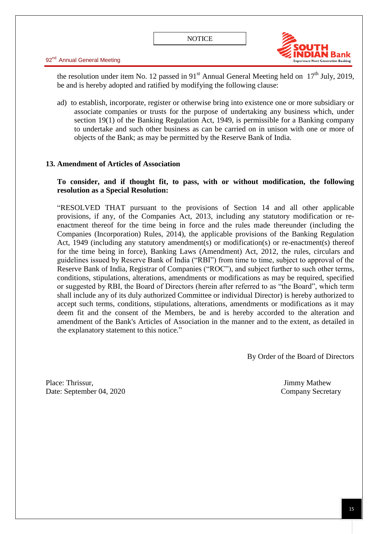

the resolution under item No. 12 passed in 91<sup>st</sup> Annual General Meeting held on  $17<sup>th</sup>$  July, 2019, be and is hereby adopted and ratified by modifying the following clause:

ad) to establish, incorporate, register or otherwise bring into existence one or more subsidiary or associate companies or trusts for the purpose of undertaking any business which, under section 19(1) of the Banking Regulation Act, 1949, is permissible for a Banking company to undertake and such other business as can be carried on in unison with one or more of objects of the Bank; as may be permitted by the Reserve Bank of India.

## **13. Amendment of Articles of Association**

## **To consider, and if thought fit, to pass, with or without modification, the following resolution as a Special Resolution:**

―RESOLVED THAT pursuant to the provisions of Section 14 and all other applicable provisions, if any, of the Companies Act, 2013, including any statutory modification or reenactment thereof for the time being in force and the rules made thereunder (including the Companies (Incorporation) Rules, 2014), the applicable provisions of the Banking Regulation Act, 1949 (including any statutory amendment(s) or modification(s) or re-enactment(s) thereof for the time being in force), Banking Laws (Amendment) Act, 2012, the rules, circulars and guidelines issued by Reserve Bank of India ("RBI") from time to time, subject to approval of the Reserve Bank of India, Registrar of Companies ("ROC"), and subject further to such other terms, conditions, stipulations, alterations, amendments or modifications as may be required, specified or suggested by RBI, the Board of Directors (herein after referred to as "the Board", which term shall include any of its duly authorized Committee or individual Director) is hereby authorized to accept such terms, conditions, stipulations, alterations, amendments or modifications as it may deem fit and the consent of the Members, be and is hereby accorded to the alteration and amendment of the Bank's Articles of Association in the manner and to the extent, as detailed in the explanatory statement to this notice."

By Order of the Board of Directors

Place: Thrissur, Jimmy Mathew Date: September 04, 2020 Company Secretary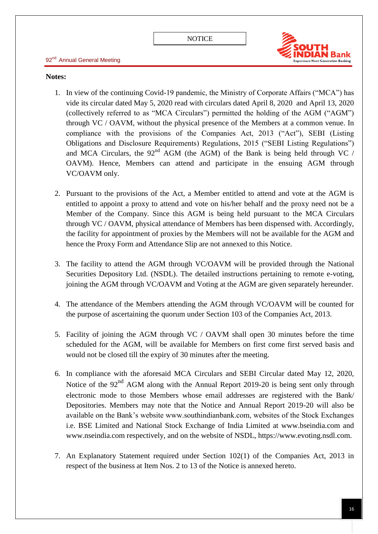

#### **Notes:**

- 1. In view of the continuing Covid-19 pandemic, the Ministry of Corporate Affairs ("MCA") has vide its circular dated May 5, 2020 read with circulars dated April 8, 2020 and April 13, 2020 (collectively referred to as "MCA Circulars") permitted the holding of the AGM (" $AGM$ ") through VC / OAVM, without the physical presence of the Members at a common venue. In compliance with the provisions of the Companies Act,  $2013$  ("Act"), SEBI (Listing Obligations and Disclosure Requirements) Regulations, 2015 ("SEBI Listing Regulations") and MCA Circulars, the  $92<sup>nd</sup>$  AGM (the AGM) of the Bank is being held through VC / OAVM). Hence, Members can attend and participate in the ensuing AGM through VC/OAVM only.
- 2. Pursuant to the provisions of the Act, a Member entitled to attend and vote at the AGM is entitled to appoint a proxy to attend and vote on his/her behalf and the proxy need not be a Member of the Company. Since this AGM is being held pursuant to the MCA Circulars through VC / OAVM, physical attendance of Members has been dispensed with. Accordingly, the facility for appointment of proxies by the Members will not be available for the AGM and hence the Proxy Form and Attendance Slip are not annexed to this Notice.
- 3. The facility to attend the AGM through VC/OAVM will be provided through the National Securities Depository Ltd. (NSDL). The detailed instructions pertaining to remote e-voting, joining the AGM through VC/OAVM and Voting at the AGM are given separately hereunder.
- 4. The attendance of the Members attending the AGM through VC/OAVM will be counted for the purpose of ascertaining the quorum under Section 103 of the Companies Act, 2013.
- 5. Facility of joining the AGM through VC / OAVM shall open 30 minutes before the time scheduled for the AGM, will be available for Members on first come first served basis and would not be closed till the expiry of 30 minutes after the meeting.
- 6. In compliance with the aforesaid MCA Circulars and SEBI Circular dated May 12, 2020, Notice of the 92<sup>nd</sup> AGM along with the Annual Report 2019-20 is being sent only through electronic mode to those Members whose email addresses are registered with the Bank/ Depositories. Members may note that the Notice and Annual Report 2019-20 will also be available on the Bank's website www.southindianbank.com, websites of the Stock Exchanges i.e. BSE Limited and National Stock Exchange of India Limited at www.bseindia.com and www.nseindia.com respectively, and on the website of NSDL, https://www.evoting.nsdl.com.
- 7. An Explanatory Statement required under Section 102(1) of the Companies Act, 2013 in respect of the business at Item Nos. 2 to 13 of the Notice is annexed hereto.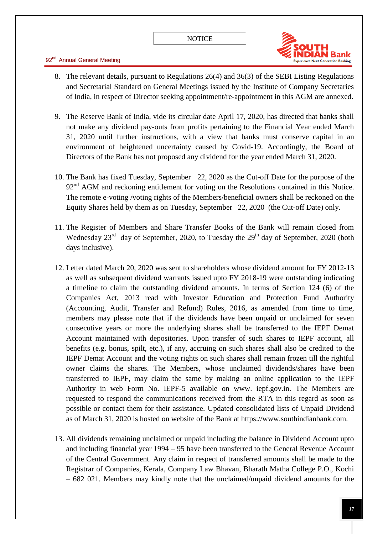

- 8. The relevant details, pursuant to Regulations 26(4) and 36(3) of the SEBI Listing Regulations and Secretarial Standard on General Meetings issued by the Institute of Company Secretaries of India, in respect of Director seeking appointment/re-appointment in this AGM are annexed.
- 9. The Reserve Bank of India, vide its circular date April 17, 2020, has directed that banks shall not make any dividend pay-outs from profits pertaining to the Financial Year ended March 31, 2020 until further instructions, with a view that banks must conserve capital in an environment of heightened uncertainty caused by Covid-19. Accordingly, the Board of Directors of the Bank has not proposed any dividend for the year ended March 31, 2020.
- 10. The Bank has fixed Tuesday, September 22, 2020 as the Cut-off Date for the purpose of the  $92<sup>nd</sup>$  AGM and reckoning entitlement for voting on the Resolutions contained in this Notice. The remote e-voting /voting rights of the Members/beneficial owners shall be reckoned on the Equity Shares held by them as on Tuesday, September 22, 2020 (the Cut-off Date) only.
- 11. The Register of Members and Share Transfer Books of the Bank will remain closed from Wednesday  $23^{\text{rd}}$  day of September, 2020, to Tuesday the  $29^{\text{th}}$  day of September, 2020 (both days inclusive).
- 12. Letter dated March 20, 2020 was sent to shareholders whose dividend amount for FY 2012-13 as well as subsequent dividend warrants issued upto FY 2018-19 were outstanding indicating a timeline to claim the outstanding dividend amounts. In terms of Section 124 (6) of the Companies Act, 2013 read with Investor Education and Protection Fund Authority (Accounting, Audit, Transfer and Refund) Rules, 2016, as amended from time to time, members may please note that if the dividends have been unpaid or unclaimed for seven consecutive years or more the underlying shares shall be transferred to the IEPF Demat Account maintained with depositories. Upon transfer of such shares to IEPF account, all benefits (e.g. bonus, spilt, etc.), if any, accruing on such shares shall also be credited to the IEPF Demat Account and the voting rights on such shares shall remain frozen till the rightful owner claims the shares. The Members, whose unclaimed dividends/shares have been transferred to IEPF, may claim the same by making an online application to the IEPF Authority in web Form No. IEPF-5 available on www. iepf.gov.in. The Members are requested to respond the communications received from the RTA in this regard as soon as possible or contact them for their assistance. Updated consolidated lists of Unpaid Dividend as of March 31, 2020 is hosted on website of the Bank at https://www.southindianbank.com.
- 13. All dividends remaining unclaimed or unpaid including the balance in Dividend Account upto and including financial year 1994 – 95 have been transferred to the General Revenue Account of the Central Government. Any claim in respect of transferred amounts shall be made to the Registrar of Companies, Kerala, Company Law Bhavan, Bharath Matha College P.O., Kochi – 682 021. Members may kindly note that the unclaimed/unpaid dividend amounts for the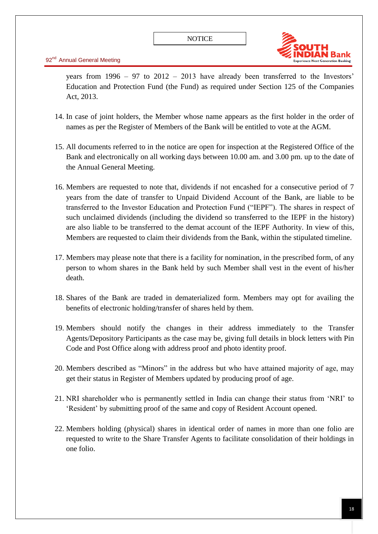

years from 1996 – 97 to 2012 – 2013 have already been transferred to the Investors' Education and Protection Fund (the Fund) as required under Section 125 of the Companies Act, 2013.

- 14. In case of joint holders, the Member whose name appears as the first holder in the order of names as per the Register of Members of the Bank will be entitled to vote at the AGM.
- 15. All documents referred to in the notice are open for inspection at the Registered Office of the Bank and electronically on all working days between 10.00 am. and 3.00 pm. up to the date of the Annual General Meeting.
- 16. Members are requested to note that, dividends if not encashed for a consecutive period of 7 years from the date of transfer to Unpaid Dividend Account of the Bank, are liable to be transferred to the Investor Education and Protection Fund ("IEPF"). The shares in respect of such unclaimed dividends (including the dividend so transferred to the IEPF in the history) are also liable to be transferred to the demat account of the IEPF Authority. In view of this, Members are requested to claim their dividends from the Bank, within the stipulated timeline.
- 17. Members may please note that there is a facility for nomination, in the prescribed form, of any person to whom shares in the Bank held by such Member shall vest in the event of his/her death.
- 18. Shares of the Bank are traded in dematerialized form. Members may opt for availing the benefits of electronic holding/transfer of shares held by them.
- 19. Members should notify the changes in their address immediately to the Transfer Agents/Depository Participants as the case may be, giving full details in block letters with Pin Code and Post Office along with address proof and photo identity proof.
- 20. Members described as "Minors" in the address but who have attained majority of age, may get their status in Register of Members updated by producing proof of age.
- 21. NRI shareholder who is permanently settled in India can change their status from 'NRI' to ‗Resident' by submitting proof of the same and copy of Resident Account opened.
- 22. Members holding (physical) shares in identical order of names in more than one folio are requested to write to the Share Transfer Agents to facilitate consolidation of their holdings in one folio.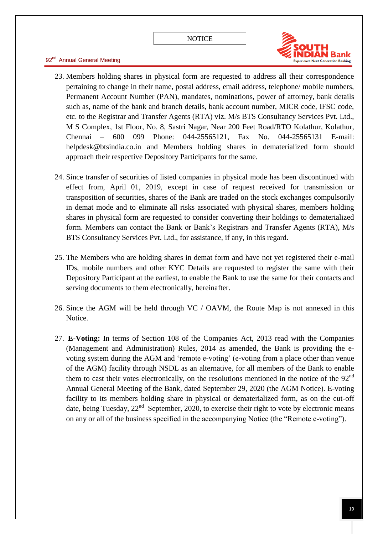

- 23. Members holding shares in physical form are requested to address all their correspondence pertaining to change in their name, postal address, email address, telephone/ mobile numbers, Permanent Account Number (PAN), mandates, nominations, power of attorney, bank details such as, name of the bank and branch details, bank account number, MICR code, IFSC code, etc. to the Registrar and Transfer Agents (RTA) viz. M/s BTS Consultancy Services Pvt. Ltd., M S Complex, 1st Floor, No. 8, Sastri Nagar, Near 200 Feet Road/RTO Kolathur, Kolathur, Chennai – 600 099 Phone: 044-25565121, Fax No. 044-25565131 E-mail: helpdesk@btsindia.co.in and Members holding shares in dematerialized form should approach their respective Depository Participants for the same.
- 24. Since transfer of securities of listed companies in physical mode has been discontinued with effect from, April 01, 2019, except in case of request received for transmission or transposition of securities, shares of the Bank are traded on the stock exchanges compulsorily in demat mode and to eliminate all risks associated with physical shares, members holding shares in physical form are requested to consider converting their holdings to dematerialized form. Members can contact the Bank or Bank's Registrars and Transfer Agents (RTA), M/s BTS Consultancy Services Pvt. Ltd., for assistance, if any, in this regard.
- 25. The Members who are holding shares in demat form and have not yet registered their e-mail IDs, mobile numbers and other KYC Details are requested to register the same with their Depository Participant at the earliest, to enable the Bank to use the same for their contacts and serving documents to them electronically, hereinafter.
- 26. Since the AGM will be held through VC / OAVM, the Route Map is not annexed in this Notice.
- 27. **E-Voting:** In terms of Section 108 of the Companies Act, 2013 read with the Companies (Management and Administration) Rules, 2014 as amended, the Bank is providing the evoting system during the AGM and 'remote e-voting' (e-voting from a place other than venue of the AGM) facility through NSDL as an alternative, for all members of the Bank to enable them to cast their votes electronically, on the resolutions mentioned in the notice of the  $92<sup>nd</sup>$ Annual General Meeting of the Bank, dated September 29, 2020 (the AGM Notice). E-voting facility to its members holding share in physical or dematerialized form, as on the cut-off date, being Tuesday,  $22<sup>nd</sup>$  September, 2020, to exercise their right to vote by electronic means on any or all of the business specified in the accompanying Notice (the "Remote e-voting").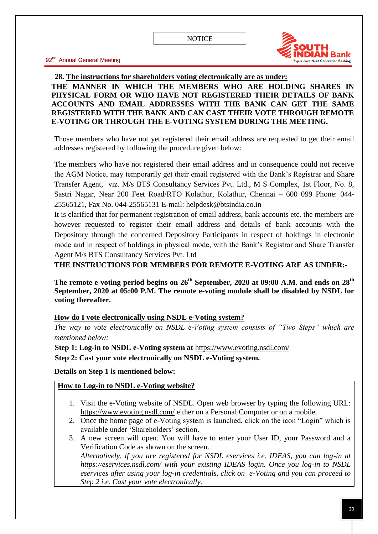

**28. The instructions for shareholders voting electronically are as under: THE MANNER IN WHICH THE MEMBERS WHO ARE HOLDING SHARES IN PHYSICAL FORM OR WHO HAVE NOT REGISTERED THEIR DETAILS OF BANK ACCOUNTS AND EMAIL ADDRESSES WITH THE BANK CAN GET THE SAME REGISTERED WITH THE BANK AND CAN CAST THEIR VOTE THROUGH REMOTE E-VOTING OR THROUGH THE E-VOTING SYSTEM DURING THE MEETING.**

Those members who have not yet registered their email address are requested to get their email addresses registered by following the procedure given below:

The members who have not registered their email address and in consequence could not receive the AGM Notice, may temporarily get their email registered with the Bank's Registrar and Share Transfer Agent, viz. M/s BTS Consultancy Services Pvt. Ltd., M S Complex, 1st Floor, No. 8, Sastri Nagar, Near 200 Feet Road/RTO Kolathur, Kolathur, Chennai – 600 099 Phone: 044- 25565121, Fax No. 044-25565131 E-mail: helpdesk@btsindia.co.in

It is clarified that for permanent registration of email address, bank accounts etc. the members are however requested to register their email address and details of bank accounts with the Depository through the concerned Depository Participants in respect of holdings in electronic mode and in respect of holdings in physical mode, with the Bank's Registrar and Share Transfer Agent M/s BTS Consultancy Services Pvt. Ltd

**THE INSTRUCTIONS FOR MEMBERS FOR REMOTE E-VOTING ARE AS UNDER:-**

**The remote e-voting period begins on 26 th September, 2020 at 09:00 A.M. and ends on 28th September, 2020 at 05:00 P.M. The remote e-voting module shall be disabled by NSDL for voting thereafter.**

#### **How do I vote electronically using NSDL e-Voting system?**

*The way to vote electronically on NSDL e-Voting system consists of "Two Steps" which are mentioned below:*

**Step 1: Log-in to NSDL e-Voting system at** <https://www.evoting.nsdl.com/>

**Step 2: Cast your vote electronically on NSDL e-Voting system.**

**Details on Step 1 is mentioned below:**

## **How to Log-in to NSDL e-Voting website?**

- 1. Visit the e-Voting website of NSDL. Open web browser by typing the following URL: <https://www.evoting.nsdl.com/> either on a Personal Computer or on a mobile.
- 2. Once the home page of e-Voting system is launched, click on the icon "Login" which is available under 'Shareholders' section
- 3. A new screen will open. You will have to enter your User ID, your Password and a Verification Code as shown on the screen.

*Alternatively, if you are registered for NSDL eservices i.e. IDEAS, you can log-in at <https://eservices.nsdl.com/> with your existing IDEAS login. Once you log-in to NSDL eservices after using your log-in credentials, click on e-Voting and you can proceed to Step 2 i.e. Cast your vote electronically.*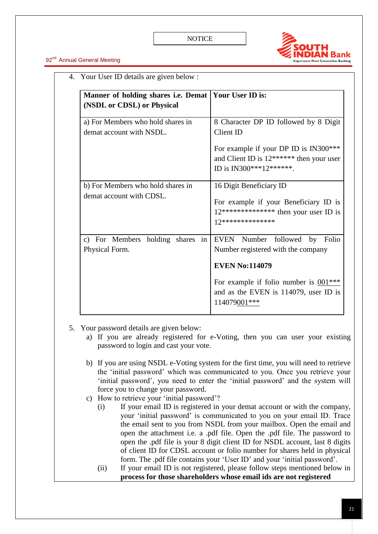

| Manner of holding shares i.e. Demat   Your User ID is:<br>(NSDL or CDSL) or Physical |                                                                                                                                                                                                  |  |  |
|--------------------------------------------------------------------------------------|--------------------------------------------------------------------------------------------------------------------------------------------------------------------------------------------------|--|--|
| a) For Members who hold shares in<br>demat account with NSDL.                        | 8 Character DP ID followed by 8 Digit<br>Client ID<br>For example if your DP ID is IN300***<br>and Client ID is $12******$ then your user<br>ID is IN300***12******.                             |  |  |
| b) For Members who hold shares in<br>demat account with CDSL.                        | 16 Digit Beneficiary ID<br>For example if your Beneficiary ID is<br>$12***************$ then your user ID is<br>12***************                                                                |  |  |
| c) For Members holding shares in<br>Physical Form.                                   | EVEN Number followed by Folio<br>Number registered with the company<br><b>EVEN No:114079</b><br>For example if folio number is $001***$<br>and as the EVEN is 114079, user ID is<br>114079001*** |  |  |

5. Your password details are given below:

- a) If you are already registered for e-Voting, then you can user your existing password to login and cast your vote.
- b) If you are using NSDL e-Voting system for the first time, you will need to retrieve the ‗initial password' which was communicated to you. Once you retrieve your 'initial password', you need to enter the 'initial password' and the system will force you to change your password.
- c) How to retrieve your 'initial password'?
	- (i) If your email ID is registered in your demat account or with the company, your 'initial password' is communicated to you on your email ID. Trace the email sent to you from NSDL from your mailbox. Open the email and open the attachment i.e. a .pdf file. Open the .pdf file. The password to open the .pdf file is your 8 digit client ID for NSDL account, last 8 digits of client ID for CDSL account or folio number for shares held in physical form. The .pdf file contains your 'User ID' and your 'initial password'.
	- (ii) If your email ID is not registered, please follow steps mentioned below in **process for those shareholders whose email ids are not registered**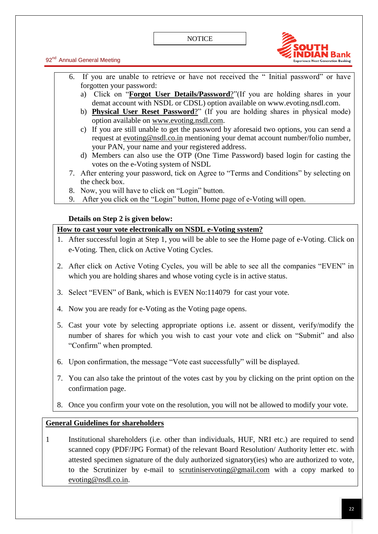

92<sup>nd</sup> Annual General Meeting

- 6. If you are unable to retrieve or have not received the "Initial password" or have forgotten your password:
	- a) Click on "**[Forgot User Details/Password](https://www.evoting.nsdl.com/eVotingWeb/commonhtmls/NewUser.jsp)**?"(If you are holding shares in your demat account with NSDL or CDSL) option available on www.evoting.nsdl.com.
	- b) **[Physical User Reset Password](https://www.evoting.nsdl.com/eVotingWeb/commonhtmls/PhysicalUser.jsp)**?" (If you are holding shares in physical mode) option available on [www.evoting.nsdl.com.](http://www.evoting.nsdl.com/)
	- c) If you are still unable to get the password by aforesaid two options, you can send a request at [evoting@nsdl.co.in](mailto:evoting@nsdl.co.in) mentioning your demat account number/folio number, your PAN, your name and your registered address.
	- d) Members can also use the OTP (One Time Password) based login for casting the votes on the e-Voting system of NSDL
- 7. After entering your password, tick on Agree to "Terms and Conditions" by selecting on the check box.
- 8. Now, you will have to click on "Login" button.
- 9. After you click on the "Login" button, Home page of e-Voting will open.

## **Details on Step 2 is given below:**

## **How to cast your vote electronically on NSDL e-Voting system?**

- 1. After successful login at Step 1, you will be able to see the Home page of e-Voting. Click on e-Voting. Then, click on Active Voting Cycles.
- 2. After click on Active Voting Cycles, you will be able to see all the companies "EVEN" in which you are holding shares and whose voting cycle is in active status.
- 3. Select "EVEN" of Bank, which is EVEN No:114079 for cast your vote.
- 4. Now you are ready for e-Voting as the Voting page opens.
- 5. Cast your vote by selecting appropriate options i.e. assent or dissent, verify/modify the number of shares for which you wish to cast your vote and click on "Submit" and also ―Confirm‖ when prompted.
- 6. Upon confirmation, the message "Vote cast successfully" will be displayed.
- 7. You can also take the printout of the votes cast by you by clicking on the print option on the confirmation page.
- 8. Once you confirm your vote on the resolution, you will not be allowed to modify your vote.

## **General Guidelines for shareholders**

1 Institutional shareholders (i.e. other than individuals, HUF, NRI etc.) are required to send scanned copy (PDF/JPG Format) of the relevant Board Resolution/ Authority letter etc. with attested specimen signature of the duly authorized signatory(ies) who are authorized to vote, to the Scrutinizer by e-mail to scrutiniservoting@gmail.com with a copy marked to [evoting@nsdl.co.in.](mailto:evoting@nsdl.co.in)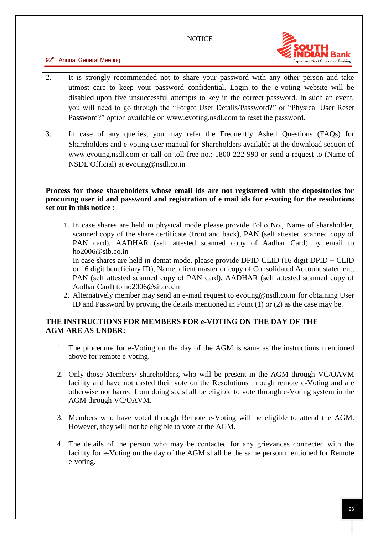

- 2. It is strongly recommended not to share your password with any other person and take utmost care to keep your password confidential. Login to the e-voting website will be disabled upon five unsuccessful attempts to key in the correct password. In such an event, you will need to go through the "Forgot User Details/Password?" or "Physical User Reset Password?" option available on www.evoting.nsdl.com to reset the password.
- 3. In case of any queries, you may refer the Frequently Asked Questions (FAQs) for Shareholders and e-voting user manual for Shareholders available at the download section of [www.evoting.nsdl.com](http://www.evoting.nsdl.com/) or call on toll free no.: 1800-222-990 or send a request to (Name of NSDL Official) at [evoting@nsdl.co.in](mailto:evoting@nsdl.co.in)

## **Process for those shareholders whose email ids are not registered with the depositories for procuring user id and password and registration of e mail ids for e-voting for the resolutions set out in this notice** :

1. In case shares are held in physical mode please provide Folio No., Name of shareholder, scanned copy of the share certificate (front and back), PAN (self attested scanned copy of PAN card), AADHAR (self attested scanned copy of Aadhar Card) by email to ho2006@sib.co.in

In case shares are held in demat mode, please provide DPID-CLID (16 digit DPID + CLID or 16 digit beneficiary ID), Name, client master or copy of Consolidated Account statement, PAN (self attested scanned copy of PAN card), AADHAR (self attested scanned copy of Aadhar Card) to ho2006@sib.co.in

2. Alternatively member may send an e-mail request to [evoting@nsdl.co.in](mailto:evoting@nsdl.co.in) for obtaining User ID and Password by proving the details mentioned in Point (1) or (2) as the case may be.

## **THE INSTRUCTIONS FOR MEMBERS FOR e-VOTING ON THE DAY OF THE AGM ARE AS UNDER:-**

- 1. The procedure for e-Voting on the day of the AGM is same as the instructions mentioned above for remote e-voting.
- 2. Only those Members/ shareholders, who will be present in the AGM through VC/OAVM facility and have not casted their vote on the Resolutions through remote e-Voting and are otherwise not barred from doing so, shall be eligible to vote through e-Voting system in the AGM through VC/OAVM.
- 3. Members who have voted through Remote e-Voting will be eligible to attend the AGM. However, they will not be eligible to vote at the AGM.
- 4. The details of the person who may be contacted for any grievances connected with the facility for e-Voting on the day of the AGM shall be the same person mentioned for Remote e-voting.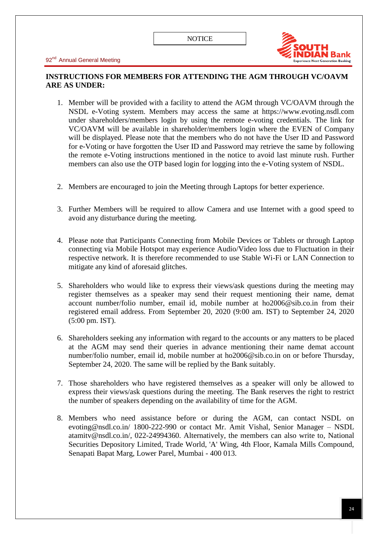

## **INSTRUCTIONS FOR MEMBERS FOR ATTENDING THE AGM THROUGH VC/OAVM ARE AS UNDER:**

- 1. Member will be provided with a facility to attend the AGM through VC/OAVM through the NSDL e-Voting system. Members may access the same at https://www.evoting.nsdl.com under shareholders/members login by using the remote e-voting credentials. The link for VC/OAVM will be available in shareholder/members login where the EVEN of Company will be displayed. Please note that the members who do not have the User ID and Password for e-Voting or have forgotten the User ID and Password may retrieve the same by following the remote e-Voting instructions mentioned in the notice to avoid last minute rush. Further members can also use the OTP based login for logging into the e-Voting system of NSDL.
- 2. Members are encouraged to join the Meeting through Laptops for better experience.
- 3. Further Members will be required to allow Camera and use Internet with a good speed to avoid any disturbance during the meeting.
- 4. Please note that Participants Connecting from Mobile Devices or Tablets or through Laptop connecting via Mobile Hotspot may experience Audio/Video loss due to Fluctuation in their respective network. It is therefore recommended to use Stable Wi-Fi or LAN Connection to mitigate any kind of aforesaid glitches.
- 5. Shareholders who would like to express their views/ask questions during the meeting may register themselves as a speaker may send their request mentioning their name, demat account number/folio number, email id, mobile number at ho2006@sib.co.in from their registered email address. From September 20, 2020 (9:00 am. IST) to September 24, 2020 (5:00 pm. IST).
- 6. Shareholders seeking any information with regard to the accounts or any matters to be placed at the AGM may send their queries in advance mentioning their name demat account number/folio number, email id, mobile number at ho2006@sib.co.in on or before Thursday, September 24, 2020. The same will be replied by the Bank suitably.
- 7. Those shareholders who have registered themselves as a speaker will only be allowed to express their views/ask questions during the meeting. The Bank reserves the right to restrict the number of speakers depending on the availability of time for the AGM.
- 8. Members who need assistance before or during the AGM, can contact NSDL on evoting@nsdl.co.in/ 1800-222-990 or contact Mr. Amit Vishal, Senior Manager – NSDL atamitv@nsdl.co.in/, 022-24994360. Alternatively, the members can also write to, National Securities Depository Limited, Trade World, 'A' Wing, 4th Floor, Kamala Mills Compound, Senapati Bapat Marg, Lower Parel, Mumbai - 400 013.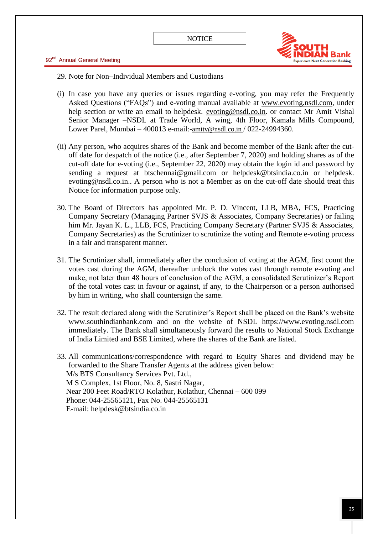

29. Note for Non–Individual Members and Custodians

- (i) In case you have any queries or issues regarding e-voting, you may refer the Frequently Asked Questions ("FAQs") and e-voting manual available at [www.evoting.nsdl.com,](http://www.evoting.nsdl.com/) under help section or write an email to helpdesk. [evoting@nsdl.co.in.](mailto:evoting@nsdl.co.in) or contact Mr Amit Vishal Senior Manager –NSDL at Trade World, A wing, 4th Floor, Kamala Mills Compound, Lower Parel, Mumbai – 400013 e-mail:-amitv@nsdl.co.in / 022-24994360.
- (ii) Any person, who acquires shares of the Bank and become member of the Bank after the cutoff date for despatch of the notice (i.e., after September 7, 2020) and holding shares as of the cut-off date for e-voting (i.e., September 22, 2020) may obtain the login id and password by sending a request at btschennai@gmail.com or helpdesk@btsindia.co.in or helpdesk. [evoting@nsdl.co.in.](mailto:evoting@nsdl.co.in). A person who is not a Member as on the cut-off date should treat this Notice for information purpose only.
- 30. The Board of Directors has appointed Mr. P. D. Vincent, LLB, MBA, FCS, Practicing Company Secretary (Managing Partner SVJS & Associates, Company Secretaries) or failing him Mr. Jayan K. L., LLB, FCS, Practicing Company Secretary (Partner SVJS & Associates, Company Secretaries) as the Scrutinizer to scrutinize the voting and Remote e-voting process in a fair and transparent manner.
- 31. The Scrutinizer shall, immediately after the conclusion of voting at the AGM, first count the votes cast during the AGM, thereafter unblock the votes cast through remote e-voting and make, not later than 48 hours of conclusion of the AGM, a consolidated Scrutinizer's Report of the total votes cast in favour or against, if any, to the Chairperson or a person authorised by him in writing, who shall countersign the same.
- 32. The result declared along with the Scrutinizer's Report shall be placed on the Bank's website www.southindianbank.com and on the website of NSDL https://www.evoting.nsdl.com immediately. The Bank shall simultaneously forward the results to National Stock Exchange of India Limited and BSE Limited, where the shares of the Bank are listed.
- 33. All communications/correspondence with regard to Equity Shares and dividend may be forwarded to the Share Transfer Agents at the address given below: M/s BTS Consultancy Services Pvt. Ltd., M S Complex, 1st Floor, No. 8, Sastri Nagar, Near 200 Feet Road/RTO Kolathur, Kolathur, Chennai – 600 099 Phone: 044-25565121, Fax No. 044-25565131 E-mail: helpdesk@btsindia.co.in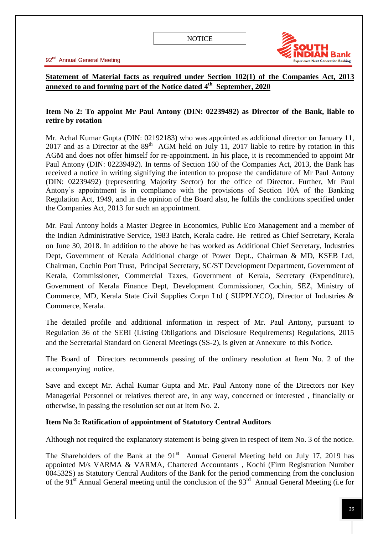

# **Statement of Material facts as required under Section 102(1) of the Companies Act, 2013 annexed to and forming part of the Notice dated 4 th September, 2020**

## **Item No 2: To appoint Mr Paul Antony (DIN: 02239492) as Director of the Bank, liable to retire by rotation**

Mr. Achal Kumar Gupta (DIN: 02192183) who was appointed as additional director on January 11, 2017 and as a Director at the  $89<sup>th</sup>$  AGM held on July 11, 2017 liable to retire by rotation in this AGM and does not offer himself for re-appointment. In his place, it is recommended to appoint Mr Paul Antony (DIN: 02239492). In terms of Section 160 of the Companies Act, 2013, the Bank has received a notice in writing signifying the intention to propose the candidature of Mr Paul Antony (DIN: 02239492) (representing Majority Sector) for the office of Director. Further, Mr Paul Antony's appointment is in compliance with the provisions of Section 10A of the Banking Regulation Act, 1949, and in the opinion of the Board also, he fulfils the conditions specified under the Companies Act, 2013 for such an appointment.

Mr. Paul Antony holds a Master Degree in Economics, Public Eco Management and a member of the Indian Administrative Service, 1983 Batch, Kerala cadre. He retired as Chief Secretary, Kerala on June 30, 2018. In addition to the above he has worked as Additional Chief Secretary, Industries Dept, Government of Kerala Additional charge of Power Dept., Chairman & MD, KSEB Ltd, Chairman, Cochin Port Trust, Principal Secretary, SC/ST Development Department, Government of Kerala, Commissioner, Commercial Taxes, Government of Kerala, Secretary (Expenditure), Government of Kerala Finance Dept, Development Commissioner, Cochin, SEZ, Ministry of Commerce, MD, Kerala State Civil Supplies Corpn Ltd ( SUPPLYCO), Director of Industries & Commerce, Kerala.

The detailed profile and additional information in respect of Mr. Paul Antony, pursuant to Regulation 36 of the SEBI (Listing Obligations and Disclosure Requirements) Regulations, 2015 and the Secretarial Standard on General Meetings (SS-2), is given at Annexure to this Notice.

The Board of Directors recommends passing of the ordinary resolution at Item No. 2 of the accompanying notice.

Save and except Mr. Achal Kumar Gupta and Mr. Paul Antony none of the Directors nor Key Managerial Personnel or relatives thereof are, in any way, concerned or interested , financially or otherwise, in passing the resolution set out at Item No. 2.

## **Item No 3: Ratification of appointment of Statutory Central Auditors**

Although not required the explanatory statement is being given in respect of item No. 3 of the notice.

The Shareholders of the Bank at the  $91<sup>st</sup>$  Annual General Meeting held on July 17, 2019 has appointed M/s VARMA & VARMA, Chartered Accountants , Kochi (Firm Registration Number 004532S) as Statutory Central Auditors of the Bank for the period commencing from the conclusion of the 91<sup>st</sup> Annual General meeting until the conclusion of the 93<sup>rd</sup> Annual General Meeting (i.e for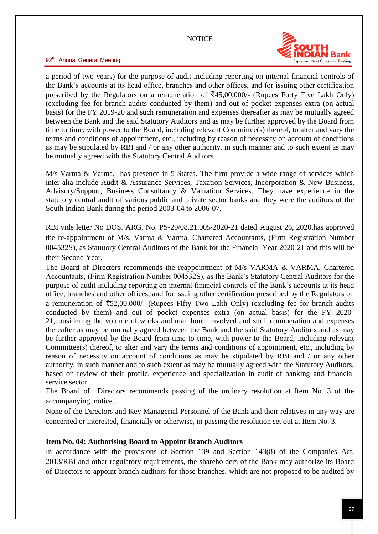

92<sup>nd</sup> Annual General Meeting

a period of two years) for the purpose of audit including reporting on internal financial controls of the Bank's accounts at its head office, branches and other offices, and for issuing other certification prescribed by the Regulators on a remuneration of  $\overline{5}45,00,000/$ - (Rupees Forty Five Lakh Only) (excluding fee for branch audits conducted by them) and out of pocket expenses extra (on actual basis) for the FY 2019-20 and such remuneration and expenses thereafter as may be mutually agreed between the Bank and the said Statutory Auditors and as may be further approved by the Board from time to time, with power to the Board, including relevant Committee(s) thereof, to alter and vary the terms and conditions of appointment, etc., including by reason of necessity on account of conditions as may be stipulated by RBI and / or any other authority, in such manner and to such extent as may be mutually agreed with the Statutory Central Auditors.

M/s Varma & Varma, has presence in 5 States. The firm provide a wide range of services which inter-alia include Audit & Assurance Services, Taxation Services, Incorporation & New Business, Advisory/Support, Business Consultancy & Valuation Services. They have experience in the statutory central audit of various public and private sector banks and they were the auditors of the South Indian Bank during the period 2003-04 to 2006-07.

RBI vide letter No DOS. ARG. No. PS-29/08.21.005/2020-21 dated August 26, 2020,has approved the re-appointment of M/s. Varma & Varma, Chartered Accountants, (Firm Registration Number 004532S), as Statutory Central Auditors of the Bank for the Financial Year 2020-21 and this will be their Second Year.

The Board of Directors recommends the reappointment of M/s VARMA & VARMA, Chartered Accountants, (Firm Registration Number 004532S), as the Bank's Statutory Central Auditors for the purpose of audit including reporting on internal financial controls of the Bank's accounts at its head office, branches and other offices, and for issuing other certification prescribed by the Regulators on a remuneration of  $\overline{5}52,00,000/$ - (Rupees Fifty Two Lakh Only) (excluding fee for branch audits conducted by them) and out of pocket expenses extra (on actual basis) for the FY 2020- 21,considering the volume of works and man hour involved and such remuneration and expenses thereafter as may be mutually agreed between the Bank and the said Statutory Auditors and as may be further approved by the Board from time to time, with power to the Board, including relevant Committee(s) thereof, to alter and vary the terms and conditions of appointment, etc., including by reason of necessity on account of conditions as may be stipulated by RBI and / or any other authority, in such manner and to such extent as may be mutually agreed with the Statutory Auditors, based on review of their profile, experience and specialization in audit of banking and financial service sector.

The Board of Directors recommends passing of the ordinary resolution at Item No. 3 of the accompanying notice.

None of the Directors and Key Managerial Personnel of the Bank and their relatives in any way are concerned or interested, financially or otherwise, in passing the resolution set out at Item No. 3.

## **Item No. 04: Authorising Board to Appoint Branch Auditors**

In accordance with the provisions of Section 139 and Section 143(8) of the Companies Act, 2013/RBI and other regulatory requirements, the shareholders of the Bank may authorize its Board of Directors to appoint branch auditors for those branches, which are not proposed to be audited by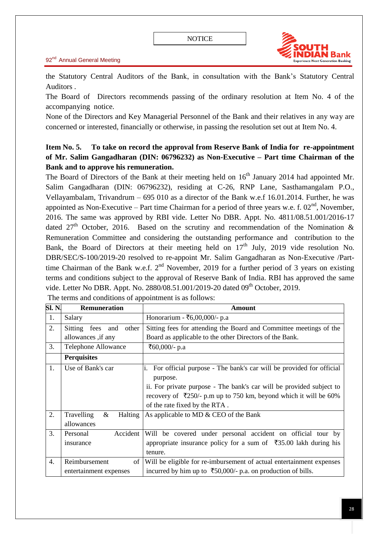

the Statutory Central Auditors of the Bank, in consultation with the Bank's Statutory Central Auditors .

The Board of Directors recommends passing of the ordinary resolution at Item No. 4 of the accompanying notice.

None of the Directors and Key Managerial Personnel of the Bank and their relatives in any way are concerned or interested, financially or otherwise, in passing the resolution set out at Item No. 4.

# **Item No. 5. To take on record the approval from Reserve Bank of India for re-appointment of Mr. Salim Gangadharan (DIN: 06796232) as Non-Executive – Part time Chairman of the Bank and to approve his remuneration.**

The Board of Directors of the Bank at their meeting held on  $16<sup>th</sup>$  January 2014 had appointed Mr. Salim Gangadharan (DIN: 06796232), residing at C-26, RNP Lane, Sasthamangalam P.O., Vellayambalam, Trivandrum – 695 010 as a director of the Bank w.e.f 16.01.2014. Further, he was appointed as Non-Executive – Part time Chairman for a period of three years w.e. f.  $02<sup>nd</sup>$ , November, 2016. The same was approved by RBI vide. Letter No DBR. Appt. No. 4811/08.51.001/2016-17 dated  $27<sup>th</sup>$  October, 2016. Based on the scrutiny and recommendation of the Nomination & Remuneration Committee and considering the outstanding performance and contribution to the Bank, the Board of Directors at their meeting held on  $17<sup>th</sup>$  July, 2019 vide resolution No. DBR/SEC/S-100/2019-20 resolved to re-appoint Mr. Salim Gangadharan as Non-Executive /Parttime Chairman of the Bank w.e.f.  $2<sup>nd</sup>$  November, 2019 for a further period of 3 years on existing terms and conditions subject to the approval of Reserve Bank of India. RBI has approved the same vide. Letter No DBR. Appt. No. 2880/08.51.001/2019-20 dated 09<sup>th</sup> October, 2019.

| SI. N.           | <b>Remuneration</b>               | <b>Amount</b>                                                             |  |
|------------------|-----------------------------------|---------------------------------------------------------------------------|--|
| 1.               | Salary                            | Honorarium - ₹6,00,000/- p.a                                              |  |
| 2.               | Sitting fees and other            | Sitting fees for attending the Board and Committee meetings of the        |  |
|                  | allowances, if any                | Board as applicable to the other Directors of the Bank.                   |  |
| 3.               | Telephone Allowance               | ₹60,000/- p.a                                                             |  |
|                  | <b>Perquisites</b>                |                                                                           |  |
| 1.               | Use of Bank's car                 | For official purpose - The bank's car will be provided for official<br>1. |  |
|                  |                                   | purpose.                                                                  |  |
|                  |                                   | ii. For private purpose - The bank's car will be provided subject to      |  |
|                  |                                   | recovery of ₹250/- p.m up to 750 km, beyond which it will be 60%          |  |
|                  |                                   | of the rate fixed by the RTA.                                             |  |
| 2.               | Travelling<br>&<br><b>Halting</b> | As applicable to MD & CEO of the Bank                                     |  |
|                  | allowances                        |                                                                           |  |
| 3.               | Accident<br>Personal              | Will be covered under personal accident on official tour by               |  |
|                  | insurance                         | appropriate insurance policy for a sum of ₹35.00 lakh during his          |  |
|                  |                                   | tenure.                                                                   |  |
| $\overline{4}$ . | Reimbursement<br>of               | Will be eligible for re-imbursement of actual entertainment expenses      |  |
|                  | entertainment expenses            | incurred by him up to $\overline{50,000}$ - p.a. on production of bills.  |  |

The terms and conditions of appointment is as follows: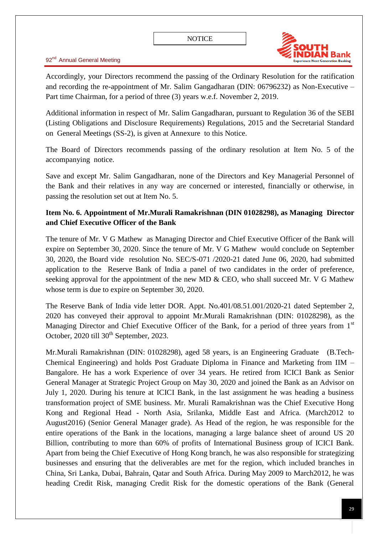

Accordingly, your Directors recommend the passing of the Ordinary Resolution for the ratification and recording the re-appointment of Mr. Salim Gangadharan (DIN: 06796232) as Non-Executive – Part time Chairman, for a period of three (3) years w.e.f. November 2, 2019.

Additional information in respect of Mr. Salim Gangadharan, pursuant to Regulation 36 of the SEBI (Listing Obligations and Disclosure Requirements) Regulations, 2015 and the Secretarial Standard on General Meetings (SS-2), is given at Annexure to this Notice.

The Board of Directors recommends passing of the ordinary resolution at Item No. 5 of the accompanying notice.

Save and except Mr. Salim Gangadharan, none of the Directors and Key Managerial Personnel of the Bank and their relatives in any way are concerned or interested, financially or otherwise, in passing the resolution set out at Item No. 5.

## **Item No. 6. Appointment of Mr.Murali Ramakrishnan (DIN 01028298), as Managing Director and Chief Executive Officer of the Bank**

The tenure of Mr. V G Mathew as Managing Director and Chief Executive Officer of the Bank will expire on September 30, 2020. Since the tenure of Mr. V G Mathew would conclude on September 30, 2020, the Board vide resolution No. SEC/S-071 /2020-21 dated June 06, 2020, had submitted application to the Reserve Bank of India a panel of two candidates in the order of preference, seeking approval for the appointment of the new MD & CEO, who shall succeed Mr. V G Mathew whose term is due to expire on September 30, 2020.

The Reserve Bank of India vide letter DOR. Appt. No.401/08.51.001/2020-21 dated September 2, 2020 has conveyed their approval to appoint Mr.Murali Ramakrishnan (DIN: 01028298), as the Managing Director and Chief Executive Officer of the Bank, for a period of three years from 1<sup>st</sup> October, 2020 till  $30<sup>th</sup>$  September, 2023.

Mr.Murali Ramakrishnan (DIN: 01028298), aged 58 years, is an Engineering Graduate (B.Tech-Chemical Engineering) and holds Post Graduate Diploma in Finance and Marketing from IIM – Bangalore. He has a work Experience of over 34 years. He retired from ICICI Bank as Senior General Manager at Strategic Project Group on May 30, 2020 and joined the Bank as an Advisor on July 1, 2020. During his tenure at ICICI Bank, in the last assignment he was heading a business transformation project of SME business. Mr. Murali Ramakrishnan was the Chief Executive Hong Kong and Regional Head - North Asia, Srilanka, Middle East and Africa. (March2012 to August2016) (Senior General Manager grade). As Head of the region, he was responsible for the entire operations of the Bank in the locations, managing a large balance sheet of around US 20 Billion, contributing to more than 60% of profits of International Business group of ICICI Bank. Apart from being the Chief Executive of Hong Kong branch, he was also responsible for strategizing businesses and ensuring that the deliverables are met for the region, which included branches in China, Sri Lanka, Dubai, Bahrain, Qatar and South Africa. During May 2009 to March2012, he was heading Credit Risk, managing Credit Risk for the domestic operations of the Bank (General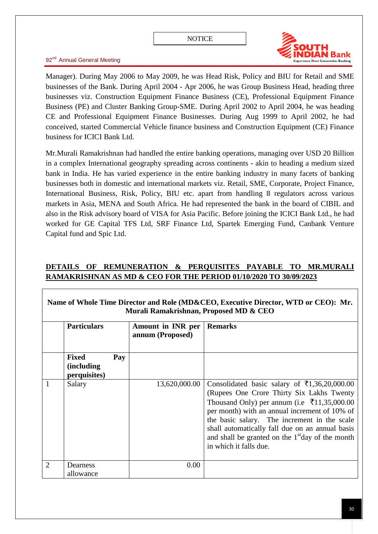

Manager). During May 2006 to May 2009, he was Head Risk, Policy and BIU for Retail and SME businesses of the Bank. During April 2004 - Apr 2006, he was Group Business Head, heading three businesses viz. Construction Equipment Finance Business (CE), Professional Equipment Finance Business (PE) and Cluster Banking Group-SME. During April 2002 to April 2004, he was heading CE and Professional Equipment Finance Businesses. During Aug 1999 to April 2002, he had conceived, started Commercial Vehicle finance business and Construction Equipment (CE) Finance business for ICICI Bank Ltd.

Mr.Murali Ramakrishnan had handled the entire banking operations, managing over USD 20 Billion in a complex International geography spreading across continents - akin to heading a medium sized bank in India. He has varied experience in the entire banking industry in many facets of banking businesses both in domestic and international markets viz. Retail, SME, Corporate, Project Finance, International Business, Risk, Policy, BIU etc. apart from handling 8 regulators across various markets in Asia, MENA and South Africa. He had represented the bank in the board of CIBIL and also in the Risk advisory board of VISA for Asia Pacific. Before joining the ICICI Bank Ltd., he had worked for GE Capital TFS Ltd, SRF Finance Ltd, Spartek Emerging Fund, Canbank Venture Capital fund and Spic Ltd.

# **DETAILS OF REMUNERATION & PERQUISITES PAYABLE TO MR.MURALI RAMAKRISHNAN AS MD & CEO FOR THE PERIOD 01/10/2020 TO 30/09/2023**

|                | INAMIC OF WHOIC THIIC DIFECTOR AND NOIC (MIDWCEO, EXCURPT DIFECTOR, WILD OF CEO). MIT.<br>Murali Ramakrishnan, Proposed MD & CEO |     |                                       |                                                                                                                                                                                                                                                                                                                                                                                                          |  |  |
|----------------|----------------------------------------------------------------------------------------------------------------------------------|-----|---------------------------------------|----------------------------------------------------------------------------------------------------------------------------------------------------------------------------------------------------------------------------------------------------------------------------------------------------------------------------------------------------------------------------------------------------------|--|--|
|                | <b>Particulars</b>                                                                                                               |     | Amount in INR per<br>annum (Proposed) | <b>Remarks</b>                                                                                                                                                                                                                                                                                                                                                                                           |  |  |
|                | <b>Fixed</b><br><i>(including)</i><br>perquisites)                                                                               | Pay |                                       |                                                                                                                                                                                                                                                                                                                                                                                                          |  |  |
| 1              | Salary                                                                                                                           |     | 13,620,000.00                         | Consolidated basic salary of $\overline{\xi}1,36,20,000.00$<br>(Rupees One Crore Thirty Six Lakhs Twenty)<br>Thousand Only) per annum (i.e $\bar{\tau}$ 11,35,000.00<br>per month) with an annual increment of 10% of<br>the basic salary. The increment in the scale<br>shall automatically fall due on an annual basis<br>and shall be granted on the $1st$ day of the month<br>in which it falls due. |  |  |
| $\overline{2}$ | Dearness<br>allowance                                                                                                            |     | 0.00                                  |                                                                                                                                                                                                                                                                                                                                                                                                          |  |  |

# **Name of Whole Time Director and Role (MD&CEO, Executive Director, WTD or CEO): Mr.**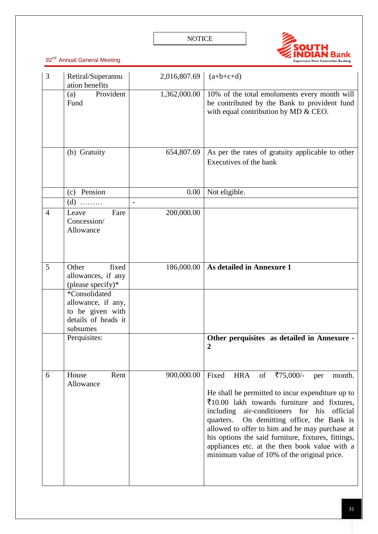

| 3              | Retiral/Superannu<br>ation benefits                                                                                                                     | 2,016,807.69 | $(a+b+c+d)$                                                                                                                                                                                                                                                                                                                                                                                                                                                                                 |
|----------------|---------------------------------------------------------------------------------------------------------------------------------------------------------|--------------|---------------------------------------------------------------------------------------------------------------------------------------------------------------------------------------------------------------------------------------------------------------------------------------------------------------------------------------------------------------------------------------------------------------------------------------------------------------------------------------------|
|                | Provident<br>(a)<br>Fund                                                                                                                                | 1,362,000.00 | 10% of the total emoluments every month will<br>be contributed by the Bank to provident fund<br>with equal contribution by MD & CEO.                                                                                                                                                                                                                                                                                                                                                        |
|                | (b) Gratuity                                                                                                                                            | 654,807.69   | As per the rates of gratuity applicable to other<br>Executives of the bank                                                                                                                                                                                                                                                                                                                                                                                                                  |
|                | (c) Pension                                                                                                                                             | 0.00         | Not eligible.                                                                                                                                                                                                                                                                                                                                                                                                                                                                               |
|                | $(d)$                                                                                                                                                   |              |                                                                                                                                                                                                                                                                                                                                                                                                                                                                                             |
| $\overline{4}$ | Leave<br>Fare<br>Concession/<br>Allowance                                                                                                               | 200,000.00   |                                                                                                                                                                                                                                                                                                                                                                                                                                                                                             |
| 5              | fixed<br>Other<br>allowances, if any<br>(please specify)*<br>*Consolidated<br>allowance, if any,<br>to be given with<br>details of heads it<br>subsumes | 186,000.00   | As detailed in Annexure 1                                                                                                                                                                                                                                                                                                                                                                                                                                                                   |
|                | Perquisites:                                                                                                                                            |              | Other perquisites as detailed in Annexure -<br>$\overline{2}$                                                                                                                                                                                                                                                                                                                                                                                                                               |
| 6              | House<br>Rent<br>Allowance                                                                                                                              | 900,000.00   | Fixed<br><b>HRA</b><br>of<br>₹75,000/-<br>per<br>month.<br>He shall be permitted to incur expenditure up to<br>$\overline{\xi}10.00$ lakh towards furniture and fixtures,<br>official<br>including<br>air-conditioners for<br>his<br>On demitting office, the Bank is<br>quarters.<br>allowed to offer to him and he may purchase at<br>his options the said furniture, fixtures, fittings,<br>appliances etc. at the then book value with a<br>minimum value of 10% of the original price. |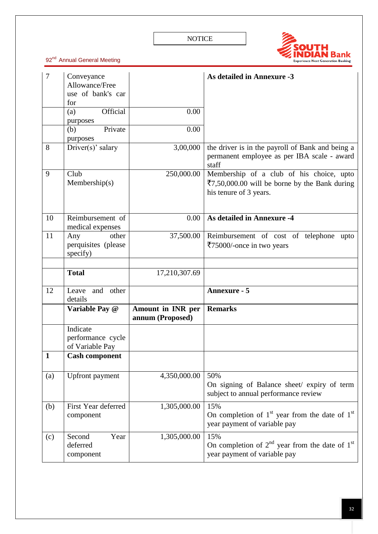

| $\overline{7}$ | Conveyance<br>Allowance/Free<br>use of bank's car |                                       | <b>As detailed in Annexure -3</b>                                                                                   |
|----------------|---------------------------------------------------|---------------------------------------|---------------------------------------------------------------------------------------------------------------------|
|                | for<br>Official<br>(a)<br>purposes                | 0.00                                  |                                                                                                                     |
|                | Private<br>(b)<br>purposes                        | 0.00                                  |                                                                                                                     |
| 8              | Driver(s)' salary                                 | 3,00,000                              | the driver is in the payroll of Bank and being a<br>permanent employee as per IBA scale - award<br>staff            |
| 9              | Club<br>Membership(s)                             | 250,000.00                            | Membership of a club of his choice, upto<br>₹7,50,000.00 will be borne by the Bank during<br>his tenure of 3 years. |
| 10             | Reimbursement of<br>medical expenses              | 0.00                                  | <b>As detailed in Annexure -4</b>                                                                                   |
| 11             | other<br>Any<br>perquisites (please<br>specify)   | 37,500.00                             | Reimbursement of cost of telephone<br>upto<br>₹75000/-once in two years                                             |
|                |                                                   |                                       |                                                                                                                     |
|                | <b>Total</b>                                      | 17,210,307.69                         |                                                                                                                     |
| 12             | and other<br>Leave<br>details                     |                                       | <b>Annexure - 5</b>                                                                                                 |
|                | Variable Pay @                                    | Amount in INR per<br>annum (Proposed) | <b>Remarks</b>                                                                                                      |
|                | Indicate<br>performance cycle<br>of Variable Pay  |                                       |                                                                                                                     |
| 1              | <b>Cash component</b>                             |                                       |                                                                                                                     |
| (a)            | <b>Upfront</b> payment                            | 4,350,000.00                          | 50%<br>On signing of Balance sheet/ expiry of term<br>subject to annual performance review                          |
| (b)            | First Year deferred<br>component                  | 1,305,000.00                          | 15%<br>On completion of $1st$ year from the date of $1st$<br>year payment of variable pay                           |
| (c)            | Second<br>Year<br>deferred<br>component           | 1,305,000.00                          | 15%<br>On completion of $2^{nd}$ year from the date of $1^{st}$<br>year payment of variable pay                     |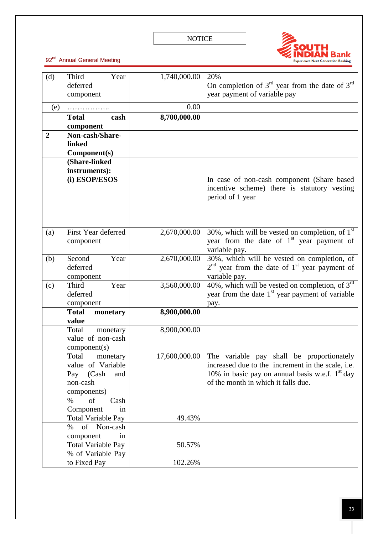

| (d)            | Third<br>Year             | 1,740,000.00  | 20%                                                      |
|----------------|---------------------------|---------------|----------------------------------------------------------|
|                | deferred                  |               | On completion of $3^{rd}$ year from the date of $3^{rd}$ |
|                | component                 |               | year payment of variable pay                             |
| (e)            | .                         | 0.00          |                                                          |
|                | <b>Total</b><br>cash      | 8,700,000.00  |                                                          |
|                | component                 |               |                                                          |
| $\overline{2}$ | Non-cash/Share-           |               |                                                          |
|                | linked                    |               |                                                          |
|                | Component(s)              |               |                                                          |
|                | (Share-linked             |               |                                                          |
|                | instruments):             |               |                                                          |
|                | (i) ESOP/ESOS             |               | In case of non-cash component (Share based               |
|                |                           |               | incentive scheme) there is statutory vesting             |
|                |                           |               | period of 1 year                                         |
|                |                           |               |                                                          |
|                |                           |               |                                                          |
|                |                           |               |                                                          |
| (a)            | First Year deferred       | 2,670,000.00  | 30%, which will be vested on completion, of $1st$        |
|                | component                 |               | year from the date of $1st$ year payment of              |
|                |                           |               | variable pay.                                            |
| (b)            | Second<br>Year            | 2,670,000.00  | 30%, which will be vested on completion, of              |
|                | deferred                  |               | $2nd$ year from the date of $1st$ year payment of        |
|                | component                 |               | variable pay.                                            |
| (c)            | Third<br>Year             | 3,560,000.00  | 40%, which will be vested on completion, of $3^{rd}$     |
|                | deferred                  |               | year from the date $1st$ year payment of variable        |
|                | component                 |               | pay.                                                     |
|                | <b>Total</b><br>monetary  | 8,900,000.00  |                                                          |
|                | value                     |               |                                                          |
|                | Total<br>monetary         | 8,900,000.00  |                                                          |
|                | value of non-cash         |               |                                                          |
|                | component(s)              |               |                                                          |
|                | Total<br>monetary         | 17,600,000.00 | The variable pay shall be proportionately                |
|                | value of Variable         |               | increased due to the increment in the scale, i.e.        |
|                | Pay (Cash<br>and          |               | 10% in basic pay on annual basis w.e.f. $1st$ day        |
|                | non-cash                  |               | of the month in which it falls due.                      |
|                | components)               |               |                                                          |
|                | of<br>$\%$<br>Cash        |               |                                                          |
|                | Component<br>in           |               |                                                          |
|                | <b>Total Variable Pay</b> | 49.43%        |                                                          |
|                | % of Non-cash             |               |                                                          |
|                | component<br>in           |               |                                                          |
|                | <b>Total Variable Pay</b> | 50.57%        |                                                          |
|                | % of Variable Pay         |               |                                                          |
|                | to Fixed Pay              | 102.26%       |                                                          |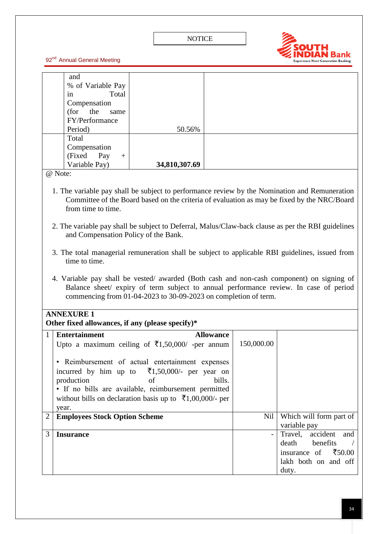

| and<br>% of Variable Pay<br>Total<br>in                                                                                                                                                   |                                                                 |                  |            |                                                                                             |  |
|-------------------------------------------------------------------------------------------------------------------------------------------------------------------------------------------|-----------------------------------------------------------------|------------------|------------|---------------------------------------------------------------------------------------------|--|
|                                                                                                                                                                                           |                                                                 |                  |            |                                                                                             |  |
|                                                                                                                                                                                           |                                                                 |                  |            |                                                                                             |  |
|                                                                                                                                                                                           |                                                                 |                  |            |                                                                                             |  |
| Compensation                                                                                                                                                                              |                                                                 |                  |            |                                                                                             |  |
| (for<br>the<br>same                                                                                                                                                                       |                                                                 |                  |            |                                                                                             |  |
| FY/Performance                                                                                                                                                                            |                                                                 |                  |            |                                                                                             |  |
| Period)                                                                                                                                                                                   | 50.56%                                                          |                  |            |                                                                                             |  |
| Total                                                                                                                                                                                     |                                                                 |                  |            |                                                                                             |  |
| Compensation                                                                                                                                                                              |                                                                 |                  |            |                                                                                             |  |
| (Fixed)<br>Pay<br>$+$                                                                                                                                                                     |                                                                 |                  |            |                                                                                             |  |
| Variable Pay)                                                                                                                                                                             | 34,810,307.69                                                   |                  |            |                                                                                             |  |
| @ Note:                                                                                                                                                                                   |                                                                 |                  |            |                                                                                             |  |
|                                                                                                                                                                                           |                                                                 |                  |            |                                                                                             |  |
| 1. The variable pay shall be subject to performance review by the Nomination and Remuneration                                                                                             |                                                                 |                  |            | Committee of the Board based on the criteria of evaluation as may be fixed by the NRC/Board |  |
| from time to time.                                                                                                                                                                        |                                                                 |                  |            |                                                                                             |  |
|                                                                                                                                                                                           |                                                                 |                  |            |                                                                                             |  |
| 2. The variable pay shall be subject to Deferral, Malus/Claw-back clause as per the RBI guidelines                                                                                        |                                                                 |                  |            |                                                                                             |  |
| and Compensation Policy of the Bank.                                                                                                                                                      |                                                                 |                  |            |                                                                                             |  |
|                                                                                                                                                                                           |                                                                 |                  |            |                                                                                             |  |
| 3. The total managerial remuneration shall be subject to applicable RBI guidelines, issued from                                                                                           |                                                                 |                  |            |                                                                                             |  |
| time to time.                                                                                                                                                                             |                                                                 |                  |            |                                                                                             |  |
|                                                                                                                                                                                           |                                                                 |                  |            |                                                                                             |  |
| 4. Variable pay shall be vested/ awarded (Both cash and non-cash component) on signing of                                                                                                 |                                                                 |                  |            |                                                                                             |  |
| Balance sheet/ expiry of term subject to annual performance review. In case of period                                                                                                     |                                                                 |                  |            |                                                                                             |  |
|                                                                                                                                                                                           | commencing from 01-04-2023 to 30-09-2023 on completion of term. |                  |            |                                                                                             |  |
|                                                                                                                                                                                           |                                                                 |                  |            |                                                                                             |  |
| <b>ANNEXURE 1</b>                                                                                                                                                                         |                                                                 |                  |            |                                                                                             |  |
| Other fixed allowances, if any (please specify)*                                                                                                                                          |                                                                 |                  |            |                                                                                             |  |
| <b>Entertainment</b><br>1                                                                                                                                                                 |                                                                 | <b>Allowance</b> |            |                                                                                             |  |
|                                                                                                                                                                                           |                                                                 |                  |            |                                                                                             |  |
|                                                                                                                                                                                           |                                                                 |                  |            |                                                                                             |  |
|                                                                                                                                                                                           |                                                                 |                  |            |                                                                                             |  |
|                                                                                                                                                                                           |                                                                 |                  |            |                                                                                             |  |
|                                                                                                                                                                                           |                                                                 |                  |            |                                                                                             |  |
| • If no bills are available, reimbursement permitted                                                                                                                                      |                                                                 |                  |            |                                                                                             |  |
| without bills on declaration basis up to $\bar{\tau}1,00,000/2$ per                                                                                                                       |                                                                 |                  |            |                                                                                             |  |
| year.                                                                                                                                                                                     |                                                                 |                  |            |                                                                                             |  |
| <b>Employees Stock Option Scheme</b><br>$\overline{2}$                                                                                                                                    |                                                                 |                  | Nil        | Which will form part of                                                                     |  |
|                                                                                                                                                                                           |                                                                 |                  |            | variable pay                                                                                |  |
| 3<br><b>Insurance</b>                                                                                                                                                                     |                                                                 |                  |            | accident<br>Travel,<br>and                                                                  |  |
|                                                                                                                                                                                           |                                                                 |                  |            | benefits<br>death                                                                           |  |
|                                                                                                                                                                                           |                                                                 |                  |            | insurance of<br>₹50.00                                                                      |  |
|                                                                                                                                                                                           |                                                                 |                  |            | lakh both on and off                                                                        |  |
|                                                                                                                                                                                           |                                                                 |                  |            | duty.                                                                                       |  |
| Upto a maximum ceiling of $\bar{\tau}1,50,000/$ -per annum<br>• Reimbursement of actual entertainment expenses<br>incurred by him up to $\bar{\tau}$ 1,50,000/- per year on<br>production | of                                                              | bills.           | 150,000.00 |                                                                                             |  |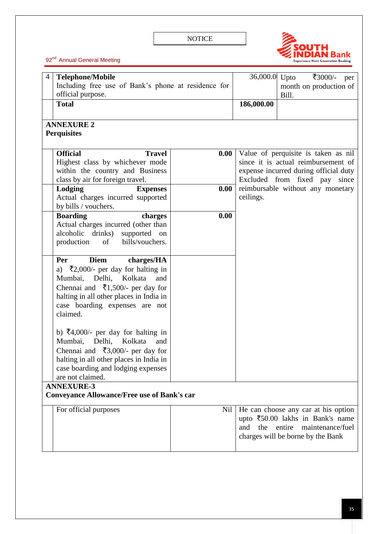

| 4 | <b>Telephone/Mobile</b><br>Including free use of Bank's phone at residence for | 36,000.0 Upto | ₹3000/-<br>per<br>month on production of                               |                                     |  |
|---|--------------------------------------------------------------------------------|---------------|------------------------------------------------------------------------|-------------------------------------|--|
|   | official purpose.                                                              |               | Bill.                                                                  |                                     |  |
|   | <b>Total</b>                                                                   |               | 186,000.00                                                             |                                     |  |
|   | <b>ANNEXURE 2</b>                                                              |               |                                                                        |                                     |  |
|   | <b>Perquisites</b>                                                             |               |                                                                        |                                     |  |
|   | <b>Official</b><br><b>Travel</b>                                               | 0.00          |                                                                        | Value of perquisite is taken as nil |  |
|   | Highest class by whichever mode                                                |               |                                                                        | since it is actual reimbursement of |  |
|   | within the country and Business<br>class by air for foreign travel.            |               | expense incurred during official duty<br>Excluded from fixed pay since |                                     |  |
|   | Lodging<br><b>Expenses</b>                                                     | 0.00          |                                                                        | reimbursable without any monetary   |  |
|   | Actual charges incurred supported                                              |               | ceilings.                                                              |                                     |  |
|   | by bills / vouchers.                                                           |               |                                                                        |                                     |  |
|   | <b>Boarding</b><br>charges                                                     | 0.00          |                                                                        |                                     |  |
|   | Actual charges incurred (other than                                            |               |                                                                        |                                     |  |
|   | alcoholic drinks) supported on                                                 |               |                                                                        |                                     |  |
|   | production<br>of<br>bills/vouchers.                                            |               |                                                                        |                                     |  |
|   | <b>Diem</b><br>charges/HA<br>Per                                               |               |                                                                        |                                     |  |
|   | a) $\bar{\xi}$ 2,000/- per day for halting in                                  |               |                                                                        |                                     |  |
|   | Mumbai, Delhi, Kolkata<br>and                                                  |               |                                                                        |                                     |  |
|   | Chennai and $\bar{\xi}$ 1,500/- per day for                                    |               |                                                                        |                                     |  |
|   | halting in all other places in India in                                        |               |                                                                        |                                     |  |
|   | case boarding expenses are not<br>claimed.                                     |               |                                                                        |                                     |  |
|   |                                                                                |               |                                                                        |                                     |  |
|   | b) $\bar{x}$ 4,000/- per day for halting in                                    |               |                                                                        |                                     |  |
|   | Kolkata<br>Mumbai, Delhi,<br>and                                               |               |                                                                        |                                     |  |
|   | Chennai and $\overline{3,000}$ per day for                                     |               |                                                                        |                                     |  |
|   | halting in all other places in India in                                        |               |                                                                        |                                     |  |
|   | case boarding and lodging expenses                                             |               |                                                                        |                                     |  |
|   | are not claimed.<br><b>ANNEXURE-3</b>                                          |               |                                                                        |                                     |  |
|   | <b>Conveyance Allowance/Free use of Bank's car</b>                             |               |                                                                        |                                     |  |
|   | For official purposes                                                          | Nil           |                                                                        | He can choose any car at his option |  |
|   |                                                                                |               |                                                                        | upto ₹50.00 lakhs in Bank's name    |  |
|   |                                                                                |               | the entire<br>and                                                      | maintenance/fuel                    |  |
|   |                                                                                |               |                                                                        | charges will be borne by the Bank   |  |
|   |                                                                                |               |                                                                        |                                     |  |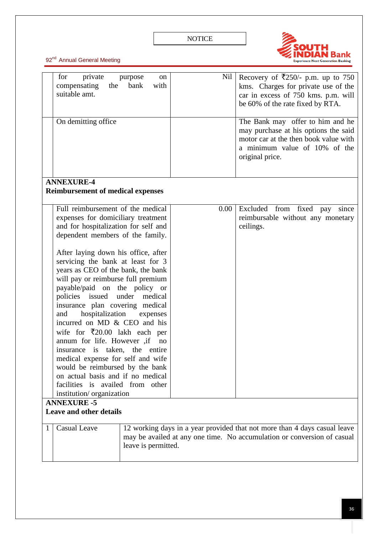

|   | for<br>private<br>compensating<br>the<br>suitable amt.<br>On demitting office                                                                                                                                                                                                                                                                                                                                                                                                                                                                                                                                                                                                                                                                                                                                                                             | purpose<br>on<br>bank<br>with | Nil  | Recovery of ₹250/- p.m. up to 750<br>kms. Charges for private use of the<br>car in excess of 750 kms. p.m. will<br>be 60% of the rate fixed by RTA.<br>The Bank may offer to him and he<br>may purchase at his options the said<br>motor car at the then book value with<br>a minimum value of 10% of the<br>original price. |
|---|-----------------------------------------------------------------------------------------------------------------------------------------------------------------------------------------------------------------------------------------------------------------------------------------------------------------------------------------------------------------------------------------------------------------------------------------------------------------------------------------------------------------------------------------------------------------------------------------------------------------------------------------------------------------------------------------------------------------------------------------------------------------------------------------------------------------------------------------------------------|-------------------------------|------|------------------------------------------------------------------------------------------------------------------------------------------------------------------------------------------------------------------------------------------------------------------------------------------------------------------------------|
|   | <b>ANNEXURE-4</b>                                                                                                                                                                                                                                                                                                                                                                                                                                                                                                                                                                                                                                                                                                                                                                                                                                         |                               |      |                                                                                                                                                                                                                                                                                                                              |
|   |                                                                                                                                                                                                                                                                                                                                                                                                                                                                                                                                                                                                                                                                                                                                                                                                                                                           |                               |      |                                                                                                                                                                                                                                                                                                                              |
|   | <b>Reimbursement of medical expenses</b><br>Full reimbursement of the medical<br>expenses for domiciliary treatment<br>and for hospitalization for self and<br>dependent members of the family.<br>After laying down his office, after<br>servicing the bank at least for 3<br>years as CEO of the bank, the bank<br>will pay or reimburse full premium<br>payable/paid on the policy or<br>policies issued under medical<br>insurance plan covering medical<br>hospitalization<br>and<br>expenses<br>incurred on MD & CEO and his<br>wife for $\overline{20.00}$ lakh each per<br>annum for life. However ,if<br>no<br>insurance is taken, the entire<br>medical expense for self and wife<br>would be reimbursed by the bank<br>on actual basis and if no medical<br>facilities is availed from other<br>institution/organization<br><b>ANNEXURE -5</b> |                               | 0.00 | Excluded from fixed pay<br>since<br>reimbursable without any monetary<br>ceilings.                                                                                                                                                                                                                                           |
|   | <b>Leave and other details</b>                                                                                                                                                                                                                                                                                                                                                                                                                                                                                                                                                                                                                                                                                                                                                                                                                            |                               |      |                                                                                                                                                                                                                                                                                                                              |
| 1 | <b>Casual Leave</b><br>12 working days in a year provided that not more than 4 days casual leave<br>may be availed at any one time. No accumulation or conversion of casual<br>leave is permitted.                                                                                                                                                                                                                                                                                                                                                                                                                                                                                                                                                                                                                                                        |                               |      |                                                                                                                                                                                                                                                                                                                              |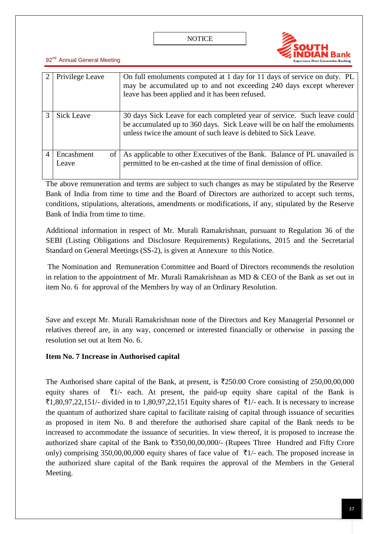

| $\mathcal{D}_{\cdot}$ | Privilege Leave           | On full emoluments computed at 1 day for 11 days of service on duty. PL<br>may be accumulated up to and not exceeding 240 days except wherever<br>leave has been applied and it has been refused.                      |
|-----------------------|---------------------------|------------------------------------------------------------------------------------------------------------------------------------------------------------------------------------------------------------------------|
|                       | <b>Sick Leave</b>         | 30 days Sick Leave for each completed year of service. Such leave could<br>be accumulated up to 360 days. Sick Leave will be on half the emoluments<br>unless twice the amount of such leave is debited to Sick Leave. |
|                       | Encashment<br>of<br>Leave | As applicable to other Executives of the Bank. Balance of PL unavailed is<br>permitted to be en-cashed at the time of final demission of office.                                                                       |

The above remuneration and terms are subject to such changes as may be stipulated by the Reserve Bank of India from time to time and the Board of Directors are authorized to accept such terms, conditions, stipulations, alterations, amendments or modifications, if any, stipulated by the Reserve Bank of India from time to time.

Additional information in respect of Mr. Murali Ramakrishnan, pursuant to Regulation 36 of the SEBI (Listing Obligations and Disclosure Requirements) Regulations, 2015 and the Secretarial Standard on General Meetings (SS-2), is given at Annexure to this Notice.

The Nomination and Remuneration Committee and Board of Directors recommends the resolution in relation to the appointment of Mr. Murali Ramakrishnan as  $MD \&$  CEO of the Bank as set out in item No. 6 for approval of the Members by way of an Ordinary Resolution.

Save and except Mr. Murali Ramakrishnan none of the Directors and Key Managerial Personnel or relatives thereof are, in any way, concerned or interested financially or otherwise in passing the resolution set out at Item No. 6.

## **Item No. 7 Increase in Authorised capital**

The Authorised share capital of the Bank, at present, is  $\overline{2}250.00$  Crore consisting of 250,00,00,000 equity shares of  $\bar{\tau}$ 1/- each. At present, the paid-up equity share capital of the Bank is  $\overline{1,80,97,22,151}$ - divided in to 1,80,97,22,151 Equity shares of  $\overline{1/}$ - each. It is necessary to increase the quantum of authorized share capital to facilitate raising of capital through issuance of securities as proposed in item No. 8 and therefore the authorised share capital of the Bank needs to be increased to accommodate the issuance of securities. In view thereof, it is proposed to increase the authorized share capital of the Bank to  $\overline{5350,00,00,000/4}$  (Rupees Three Hundred and Fifty Crore only) comprising 350,00,00,000 equity shares of face value of  $\overline{5}1/-\overline{e}$  each. The proposed increase in the authorized share capital of the Bank requires the approval of the Members in the General Meeting.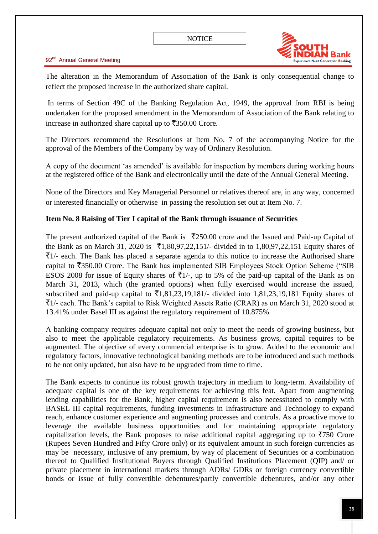



The alteration in the Memorandum of Association of the Bank is only consequential change to reflect the proposed increase in the authorized share capital.

In terms of Section 49C of the Banking Regulation Act, 1949, the approval from RBI is being undertaken for the proposed amendment in the Memorandum of Association of the Bank relating to increase in authorized share capital up to  $\overline{5350.00}$  Crore.

The Directors recommend the Resolutions at Item No. 7 of the accompanying Notice for the approval of the Members of the Company by way of Ordinary Resolution.

A copy of the document ‗as amended' is available for inspection by members during working hours at the registered office of the Bank and electronically until the date of the Annual General Meeting.

None of the Directors and Key Managerial Personnel or relatives thereof are, in any way, concerned or interested financially or otherwise in passing the resolution set out at Item No. 7.

## **Item No. 8 Raising of Tier I capital of the Bank through issuance of Securities**

The present authorized capital of the Bank is  $\overline{2}250.00$  crore and the Issued and Paid-up Capital of the Bank as on March 31, 2020 is  $\bar{\tau}$ 1,80,97,22,151/- divided in to 1,80,97,22,151 Equity shares of  $\bar{z}$ 1/- each. The Bank has placed a separate agenda to this notice to increase the Authorised share capital to  $\overline{5}350.00$  Crore. The Bank has implemented SIB Employees Stock Option Scheme ("SIB ESOS 2008 for issue of Equity shares of  $\overline{5}1/$ -, up to 5% of the paid-up capital of the Bank as on March 31, 2013, which (the granted options) when fully exercised would increase the issued, subscribed and paid-up capital to  $\bar{\tau}$ 1,81,23,19,181/- divided into 1,81,23,19,181 Equity shares of  $\overline{\tau}$ 1/- each. The Bank's capital to Risk Weighted Assets Ratio (CRAR) as on March 31, 2020 stood at 13.41% under Basel III as against the regulatory requirement of 10.875%

A banking company requires adequate capital not only to meet the needs of growing business, but also to meet the applicable regulatory requirements. As business grows, capital requires to be augmented. The objective of every commercial enterprise is to grow. Added to the economic and regulatory factors, innovative technological banking methods are to be introduced and such methods to be not only updated, but also have to be upgraded from time to time.

The Bank expects to continue its robust growth trajectory in medium to long-term. Availability of adequate capital is one of the key requirements for achieving this feat. Apart from augmenting lending capabilities for the Bank, higher capital requirement is also necessitated to comply with BASEL III capital requirements, funding investments in Infrastructure and Technology to expand reach, enhance customer experience and augmenting processes and controls. As a proactive move to leverage the available business opportunities and for maintaining appropriate regulatory capitalization levels, the Bank proposes to raise additional capital aggregating up to  $\overline{5750}$  Crore (Rupees Seven Hundred and Fifty Crore only) or its equivalent amount in such foreign currencies as may be necessary, inclusive of any premium, by way of placement of Securities or a combination thereof to Qualified Institutional Buyers through Qualified Institutions Placement (QIP) and/ or private placement in international markets through ADRs/ GDRs or foreign currency convertible bonds or issue of fully convertible debentures/partly convertible debentures, and/or any other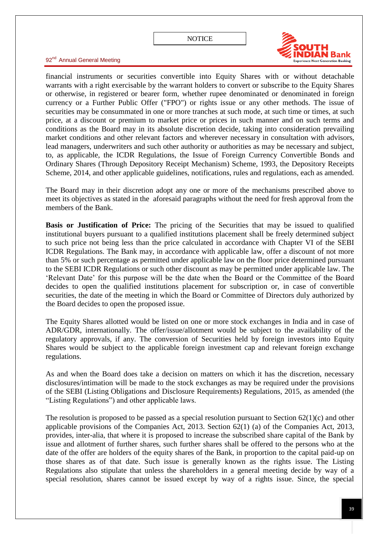

92<sup>nd</sup> Annual General Meeting

financial instruments or securities convertible into Equity Shares with or without detachable warrants with a right exercisable by the warrant holders to convert or subscribe to the Equity Shares or otherwise, in registered or bearer form, whether rupee denominated or denominated in foreign currency or a Further Public Offer ("FPO") or rights issue or any other methods. The issue of securities may be consummated in one or more tranches at such mode, at such time or times, at such price, at a discount or premium to market price or prices in such manner and on such terms and conditions as the Board may in its absolute discretion decide, taking into consideration prevailing market conditions and other relevant factors and wherever necessary in consultation with advisors, lead managers, underwriters and such other authority or authorities as may be necessary and subject, to, as applicable, the ICDR Regulations, the Issue of Foreign Currency Convertible Bonds and Ordinary Shares (Through Depository Receipt Mechanism) Scheme, 1993, the Depository Receipts Scheme, 2014, and other applicable guidelines, notifications, rules and regulations, each as amended.

The Board may in their discretion adopt any one or more of the mechanisms prescribed above to meet its objectives as stated in the aforesaid paragraphs without the need for fresh approval from the members of the Bank.

**Basis or Justification of Price:** The pricing of the Securities that may be issued to qualified institutional buyers pursuant to a qualified institutions placement shall be freely determined subject to such price not being less than the price calculated in accordance with Chapter VI of the SEBI ICDR Regulations. The Bank may, in accordance with applicable law, offer a discount of not more than 5% or such percentage as permitted under applicable law on the floor price determined pursuant to the SEBI ICDR Regulations or such other discount as may be permitted under applicable law. The ‗Relevant Date' for this purpose will be the date when the Board or the Committee of the Board decides to open the qualified institutions placement for subscription or, in case of convertible securities, the date of the meeting in which the Board or Committee of Directors duly authorized by the Board decides to open the proposed issue.

The Equity Shares allotted would be listed on one or more stock exchanges in India and in case of ADR/GDR, internationally. The offer/issue/allotment would be subject to the availability of the regulatory approvals, if any. The conversion of Securities held by foreign investors into Equity Shares would be subject to the applicable foreign investment cap and relevant foreign exchange regulations.

As and when the Board does take a decision on matters on which it has the discretion, necessary disclosures/intimation will be made to the stock exchanges as may be required under the provisions of the SEBI (Listing Obligations and Disclosure Requirements) Regulations, 2015, as amended (the ―Listing Regulations‖) and other applicable laws.

The resolution is proposed to be passed as a special resolution pursuant to Section  $62(1)(c)$  and other applicable provisions of the Companies Act, 2013. Section 62(1) (a) of the Companies Act, 2013, provides, inter-alia, that where it is proposed to increase the subscribed share capital of the Bank by issue and allotment of further shares, such further shares shall be offered to the persons who at the date of the offer are holders of the equity shares of the Bank, in proportion to the capital paid-up on those shares as of that date. Such issue is generally known as the rights issue. The Listing Regulations also stipulate that unless the shareholders in a general meeting decide by way of a special resolution, shares cannot be issued except by way of a rights issue. Since, the special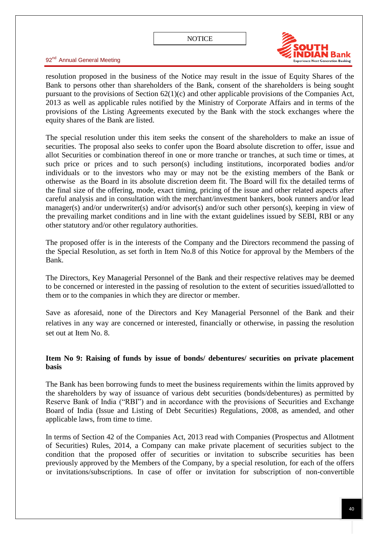

92<sup>nd</sup> Annual General Meeting

resolution proposed in the business of the Notice may result in the issue of Equity Shares of the Bank to persons other than shareholders of the Bank, consent of the shareholders is being sought pursuant to the provisions of Section 62(1)(c) and other applicable provisions of the Companies Act, 2013 as well as applicable rules notified by the Ministry of Corporate Affairs and in terms of the provisions of the Listing Agreements executed by the Bank with the stock exchanges where the equity shares of the Bank are listed.

The special resolution under this item seeks the consent of the shareholders to make an issue of securities. The proposal also seeks to confer upon the Board absolute discretion to offer, issue and allot Securities or combination thereof in one or more tranche or tranches, at such time or times, at such price or prices and to such person(s) including institutions, incorporated bodies and/or individuals or to the investors who may or may not be the existing members of the Bank or otherwise as the Board in its absolute discretion deem fit. The Board will fix the detailed terms of the final size of the offering, mode, exact timing, pricing of the issue and other related aspects after careful analysis and in consultation with the merchant/investment bankers, book runners and/or lead manager(s) and/or underwriter(s) and/or advisor(s) and/or such other person(s), keeping in view of the prevailing market conditions and in line with the extant guidelines issued by SEBI, RBI or any other statutory and/or other regulatory authorities.

The proposed offer is in the interests of the Company and the Directors recommend the passing of the Special Resolution, as set forth in Item No.8 of this Notice for approval by the Members of the Bank.

The Directors, Key Managerial Personnel of the Bank and their respective relatives may be deemed to be concerned or interested in the passing of resolution to the extent of securities issued/allotted to them or to the companies in which they are director or member.

Save as aforesaid, none of the Directors and Key Managerial Personnel of the Bank and their relatives in any way are concerned or interested, financially or otherwise, in passing the resolution set out at Item No. 8.

### **Item No 9: Raising of funds by issue of bonds/ debentures/ securities on private placement basis**

The Bank has been borrowing funds to meet the business requirements within the limits approved by the shareholders by way of issuance of various debt securities (bonds/debentures) as permitted by Reserve Bank of India ("RBI") and in accordance with the provisions of Securities and Exchange Board of India (Issue and Listing of Debt Securities) Regulations, 2008, as amended, and other applicable laws, from time to time.

In terms of Section 42 of the Companies Act, 2013 read with Companies (Prospectus and Allotment of Securities) Rules, 2014, a Company can make private placement of securities subject to the condition that the proposed offer of securities or invitation to subscribe securities has been previously approved by the Members of the Company, by a special resolution, for each of the offers or invitations/subscriptions. In case of offer or invitation for subscription of non-convertible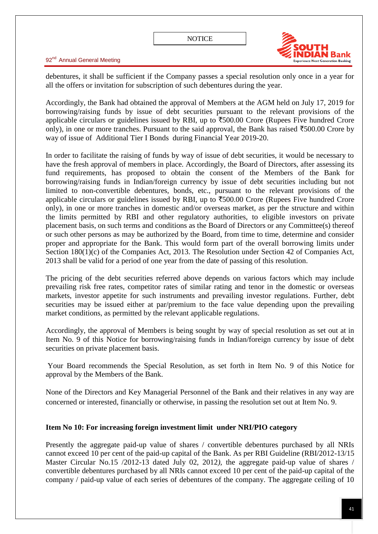

debentures, it shall be sufficient if the Company passes a special resolution only once in a year for all the offers or invitation for subscription of such debentures during the year.

Accordingly, the Bank had obtained the approval of Members at the AGM held on July 17, 2019 for borrowing/raising funds by issue of debt securities pursuant to the relevant provisions of the applicable circulars or guidelines issued by RBI, up to  $\overline{500.00}$  Crore (Rupees Five hundred Crore only), in one or more tranches. Pursuant to the said approval, the Bank has raised  $\overline{500.00}$  Crore by way of issue of Additional Tier I Bonds during Financial Year 2019-20.

In order to facilitate the raising of funds by way of issue of debt securities, it would be necessary to have the fresh approval of members in place. Accordingly, the Board of Directors, after assessing its fund requirements, has proposed to obtain the consent of the Members of the Bank for borrowing/raising funds in Indian/foreign currency by issue of debt securities including but not limited to non-convertible debentures, bonds, etc., pursuant to the relevant provisions of the applicable circulars or guidelines issued by RBI, up to  $\overline{500.00}$  Crore (Rupees Five hundred Crore only), in one or more tranches in domestic and/or overseas market, as per the structure and within the limits permitted by RBI and other regulatory authorities, to eligible investors on private placement basis, on such terms and conditions as the Board of Directors or any Committee(s) thereof or such other persons as may be authorized by the Board, from time to time, determine and consider proper and appropriate for the Bank. This would form part of the overall borrowing limits under Section 180(1)(c) of the Companies Act, 2013. The Resolution under Section 42 of Companies Act, 2013 shall be valid for a period of one year from the date of passing of this resolution.

The pricing of the debt securities referred above depends on various factors which may include prevailing risk free rates, competitor rates of similar rating and tenor in the domestic or overseas markets, investor appetite for such instruments and prevailing investor regulations. Further, debt securities may be issued either at par/premium to the face value depending upon the prevailing market conditions, as permitted by the relevant applicable regulations.

Accordingly, the approval of Members is being sought by way of special resolution as set out at in Item No. 9 of this Notice for borrowing/raising funds in Indian/foreign currency by issue of debt securities on private placement basis.

Your Board recommends the Special Resolution, as set forth in Item No. 9 of this Notice for approval by the Members of the Bank.

None of the Directors and Key Managerial Personnel of the Bank and their relatives in any way are concerned or interested, financially or otherwise, in passing the resolution set out at Item No. 9.

### **Item No 10: For increasing foreign investment limit under NRI/PIO category**

Presently the aggregate paid-up value of shares / convertible debentures purchased by all NRIs cannot exceed 10 per cent of the paid-up capital of the Bank. As per RBI Guideline (RBI/2012-13/15 Master Circular No.15 /2012-13 dated July 02, 2012*),* the aggregate paid-up value of shares / convertible debentures purchased by all NRIs cannot exceed 10 per cent of the paid-up capital of the company / paid-up value of each series of debentures of the company. The aggregate ceiling of 10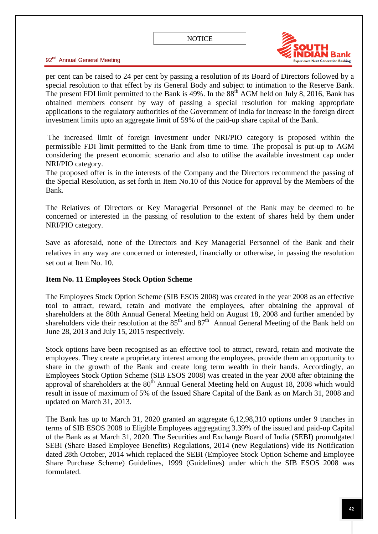

92<sup>nd</sup> Annual General Meeting

per cent can be raised to 24 per cent by passing a resolution of its Board of Directors followed by a special resolution to that effect by its General Body and subject to intimation to the Reserve Bank. The present FDI limit permitted to the Bank is  $49\%$ . In the  $88<sup>th</sup>$  AGM held on July 8, 2016, Bank has obtained members consent by way of passing a special resolution for making appropriate applications to the regulatory authorities of the Government of India for increase in the foreign direct investment limits upto an aggregate limit of 59% of the paid-up share capital of the Bank.

The increased limit of foreign investment under NRI/PIO category is proposed within the permissible FDI limit permitted to the Bank from time to time. The proposal is put-up to AGM considering the present economic scenario and also to utilise the available investment cap under NRI/PIO category.

The proposed offer is in the interests of the Company and the Directors recommend the passing of the Special Resolution, as set forth in Item No.10 of this Notice for approval by the Members of the Bank.

The Relatives of Directors or Key Managerial Personnel of the Bank may be deemed to be concerned or interested in the passing of resolution to the extent of shares held by them under NRI/PIO category.

Save as aforesaid, none of the Directors and Key Managerial Personnel of the Bank and their relatives in any way are concerned or interested, financially or otherwise, in passing the resolution set out at Item No. 10.

### **Item No. 11 Employees Stock Option Scheme**

The Employees Stock Option Scheme (SIB ESOS 2008) was created in the year 2008 as an effective tool to attract, reward, retain and motivate the employees, after obtaining the approval of shareholders at the 80th Annual General Meeting held on August 18, 2008 and further amended by shareholders vide their resolution at the  $85<sup>th</sup>$  and  $87<sup>th</sup>$  Annual General Meeting of the Bank held on June 28, 2013 and July 15, 2015 respectively.

Stock options have been recognised as an effective tool to attract, reward, retain and motivate the employees. They create a proprietary interest among the employees, provide them an opportunity to share in the growth of the Bank and create long term wealth in their hands. Accordingly, an Employees Stock Option Scheme (SIB ESOS 2008) was created in the year 2008 after obtaining the approval of shareholders at the  $80<sup>th</sup>$  Annual General Meeting held on August 18, 2008 which would result in issue of maximum of 5% of the Issued Share Capital of the Bank as on March 31, 2008 and updated on March 31, 2013.

The Bank has up to March 31, 2020 granted an aggregate 6,12,98,310 options under 9 tranches in terms of SIB ESOS 2008 to Eligible Employees aggregating 3.39% of the issued and paid-up Capital of the Bank as at March 31, 2020. The Securities and Exchange Board of India (SEBI) promulgated SEBI (Share Based Employee Benefits) Regulations, 2014 (new Regulations) vide its Notification dated 28th October, 2014 which replaced the SEBI (Employee Stock Option Scheme and Employee Share Purchase Scheme) Guidelines, 1999 (Guidelines) under which the SIB ESOS 2008 was formulated.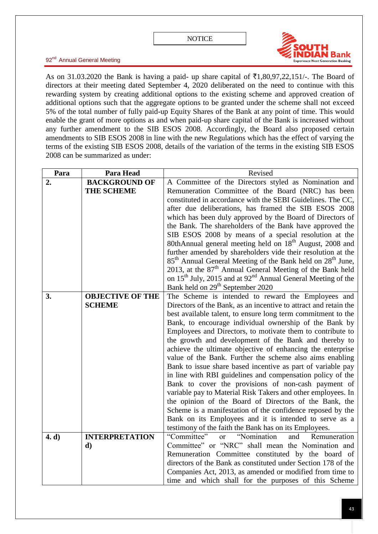

As on 31.03.2020 the Bank is having a paid- up share capital of  $\bar{\tau}1,80,97,22,151/$ -. The Board of directors at their meeting dated September 4, 2020 deliberated on the need to continue with this rewarding system by creating additional options to the existing scheme and approved creation of additional options such that the aggregate options to be granted under the scheme shall not exceed 5% of the total number of fully paid-up Equity Shares of the Bank at any point of time. This would enable the grant of more options as and when paid-up share capital of the Bank is increased without any further amendment to the SIB ESOS 2008. Accordingly, the Board also proposed certain amendments to SIB ESOS 2008 in line with the new Regulations which has the effect of varying the terms of the existing SIB ESOS 2008, details of the variation of the terms in the existing SIB ESOS 2008 can be summarized as under:

| Revised                                                                                                             |
|---------------------------------------------------------------------------------------------------------------------|
| A Committee of the Directors styled as Nomination and                                                               |
| Remuneration Committee of the Board (NRC) has been                                                                  |
| constituted in accordance with the SEBI Guidelines. The CC,                                                         |
| after due deliberations, has framed the SIB ESOS 2008                                                               |
| which has been duly approved by the Board of Directors of                                                           |
| the Bank. The shareholders of the Bank have approved the                                                            |
| SIB ESOS 2008 by means of a special resolution at the                                                               |
| 80thAnnual general meeting held on 18 <sup>th</sup> August, 2008 and                                                |
| further amended by shareholders vide their resolution at the                                                        |
| 85 <sup>th</sup> Annual General Meeting of the Bank held on 28 <sup>th</sup> June,                                  |
| 2013, at the $87th$ Annual General Meeting of the Bank held                                                         |
| on 15 <sup>th</sup> July, 2015 and at 92 <sup>nd</sup> Annual General Meeting of the                                |
| Bank held on 29 <sup>th</sup> September 2020                                                                        |
| The Scheme is intended to reward the Employees and<br><b>OBJECTIVE OF THE</b>                                       |
| Directors of the Bank, as an incentive to attract and retain the                                                    |
| best available talent, to ensure long term commitment to the                                                        |
| Bank, to encourage individual ownership of the Bank by                                                              |
| Employees and Directors, to motivate them to contribute to                                                          |
| the growth and development of the Bank and thereby to                                                               |
| achieve the ultimate objective of enhancing the enterprise                                                          |
| value of the Bank. Further the scheme also aims enabling                                                            |
| Bank to issue share based incentive as part of variable pay                                                         |
| in line with RBI guidelines and compensation policy of the                                                          |
| Bank to cover the provisions of non-cash payment of                                                                 |
| variable pay to Material Risk Takers and other employees. In                                                        |
| the opinion of the Board of Directors of the Bank, the                                                              |
| Scheme is a manifestation of the confidence reposed by the                                                          |
| Bank on its Employees and it is intended to serve as a                                                              |
| testimony of the faith the Bank has on its Employees.<br>"Committee"<br>"Nomination<br>Remuneration                 |
| and<br><sub>or</sub><br>Committee" or "NRC" shall mean the Nomination and                                           |
|                                                                                                                     |
| Remuneration Committee constituted by the board of<br>directors of the Bank as constituted under Section 178 of the |
| Companies Act, 2013, as amended or modified from time to                                                            |
| time and which shall for the purposes of this Scheme                                                                |
| <b>BACKGROUND OF</b><br><b>INTERPRETATION</b>                                                                       |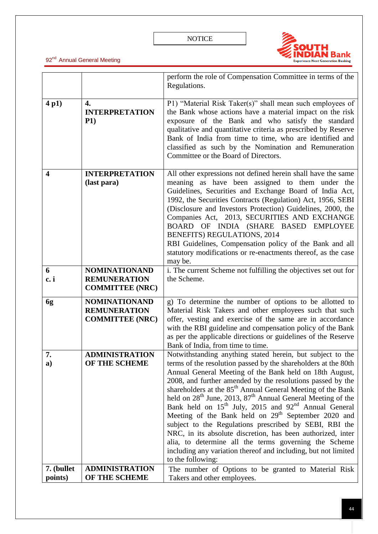

|                       |                                                                       | perform the role of Compensation Committee in terms of the<br>Regulations.                                                                                                                                                                                                                                                                                                                                                                                                                                                                                                                                                                                                                                                                                                                                                                          |
|-----------------------|-----------------------------------------------------------------------|-----------------------------------------------------------------------------------------------------------------------------------------------------------------------------------------------------------------------------------------------------------------------------------------------------------------------------------------------------------------------------------------------------------------------------------------------------------------------------------------------------------------------------------------------------------------------------------------------------------------------------------------------------------------------------------------------------------------------------------------------------------------------------------------------------------------------------------------------------|
| 4p1)                  | 4.<br><b>INTERPRETATION</b><br>P1)                                    | P1) "Material Risk Taker(s)" shall mean such employees of<br>the Bank whose actions have a material impact on the risk<br>exposure of the Bank and who satisfy the standard<br>qualitative and quantitative criteria as prescribed by Reserve<br>Bank of India from time to time, who are identified and<br>classified as such by the Nomination and Remuneration<br>Committee or the Board of Directors.                                                                                                                                                                                                                                                                                                                                                                                                                                           |
| 4                     | <b>INTERPRETATION</b><br>(last para)                                  | All other expressions not defined herein shall have the same<br>meaning as have been assigned to them under the<br>Guidelines, Securities and Exchange Board of India Act,<br>1992, the Securities Contracts (Regulation) Act, 1956, SEBI<br>(Disclosure and Investors Protection) Guidelines, 2000, the<br>Companies Act, 2013, SECURITIES AND EXCHANGE<br>BOARD OF INDIA (SHARE BASED EMPLOYEE<br>BENEFITS) REGULATIONS, 2014<br>RBI Guidelines, Compensation policy of the Bank and all<br>statutory modifications or re-enactments thereof, as the case<br>may be.                                                                                                                                                                                                                                                                              |
| 6<br>c. i             | <b>NOMINATIONAND</b><br><b>REMUNERATION</b><br><b>COMMITTEE (NRC)</b> | i. The current Scheme not fulfilling the objectives set out for<br>the Scheme.                                                                                                                                                                                                                                                                                                                                                                                                                                                                                                                                                                                                                                                                                                                                                                      |
| 6g                    | <b>NOMINATIONAND</b><br><b>REMUNERATION</b><br><b>COMMITTEE (NRC)</b> | g) To determine the number of options to be allotted to<br>Material Risk Takers and other employees such that such<br>offer, vesting and exercise of the same are in accordance<br>with the RBI guideline and compensation policy of the Bank<br>as per the applicable directions or guidelines of the Reserve<br>Bank of India, from time to time.                                                                                                                                                                                                                                                                                                                                                                                                                                                                                                 |
| 7.<br>a)              | ADMINISTRATION<br>OF THE SCHEME                                       | Notwithstanding anything stated herein, but subject to the<br>terms of the resolution passed by the shareholders at the 80th<br>Annual General Meeting of the Bank held on 18th August,<br>2008, and further amended by the resolutions passed by the<br>shareholders at the 85 <sup>th</sup> Annual General Meeting of the Bank<br>held on 28 <sup>th</sup> June, 2013, 87 <sup>th</sup> Annual General Meeting of the<br>Bank held on 15 <sup>th</sup> July, 2015 and 92 <sup>nd</sup> Annual General<br>Meeting of the Bank held on 29 <sup>th</sup> September 2020 and<br>subject to the Regulations prescribed by SEBI, RBI the<br>NRC, in its absolute discretion, has been authorized, inter<br>alia, to determine all the terms governing the Scheme<br>including any variation thereof and including, but not limited<br>to the following: |
| 7. (bullet<br>points) | <b>ADMINISTRATION</b><br>OF THE SCHEME                                | The number of Options to be granted to Material Risk<br>Takers and other employees.                                                                                                                                                                                                                                                                                                                                                                                                                                                                                                                                                                                                                                                                                                                                                                 |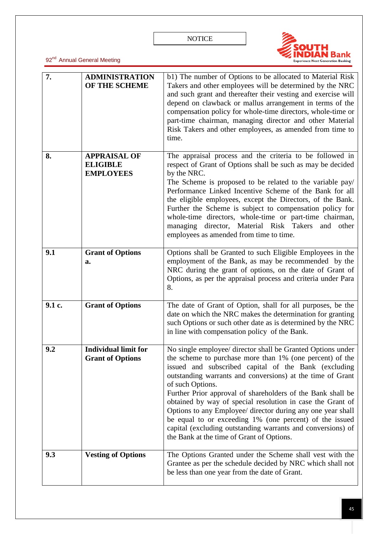

| 7.     | <b>ADMINISTRATION</b><br>OF THE SCHEME                     | b1) The number of Options to be allocated to Material Risk<br>Takers and other employees will be determined by the NRC<br>and such grant and thereafter their vesting and exercise will<br>depend on clawback or mallus arrangement in terms of the<br>compensation policy for whole-time directors, whole-time or<br>part-time chairman, managing director and other Material<br>Risk Takers and other employees, as amended from time to<br>time.                                                                                                                                                                                  |
|--------|------------------------------------------------------------|--------------------------------------------------------------------------------------------------------------------------------------------------------------------------------------------------------------------------------------------------------------------------------------------------------------------------------------------------------------------------------------------------------------------------------------------------------------------------------------------------------------------------------------------------------------------------------------------------------------------------------------|
| 8.     | <b>APPRAISAL OF</b><br><b>ELIGIBLE</b><br><b>EMPLOYEES</b> | The appraisal process and the criteria to be followed in<br>respect of Grant of Options shall be such as may be decided<br>by the NRC.<br>The Scheme is proposed to be related to the variable pay/<br>Performance Linked Incentive Scheme of the Bank for all<br>the eligible employees, except the Directors, of the Bank.<br>Further the Scheme is subject to compensation policy for<br>whole-time directors, whole-time or part-time chairman,<br>managing director, Material Risk Takers<br>and<br>other<br>employees as amended from time to time.                                                                            |
| 9.1    | <b>Grant of Options</b><br>a.                              | Options shall be Granted to such Eligible Employees in the<br>employment of the Bank, as may be recommended by the<br>NRC during the grant of options, on the date of Grant of<br>Options, as per the appraisal process and criteria under Para<br>8.                                                                                                                                                                                                                                                                                                                                                                                |
| 9.1 c. | <b>Grant of Options</b>                                    | The date of Grant of Option, shall for all purposes, be the<br>date on which the NRC makes the determination for granting<br>such Options or such other date as is determined by the NRC<br>in line with compensation policy of the Bank.                                                                                                                                                                                                                                                                                                                                                                                            |
| 9.2    | <b>Individual limit for</b><br><b>Grant of Options</b>     | No single employee/ director shall be Granted Options under<br>the scheme to purchase more than 1% (one percent) of the<br>issued and subscribed capital of the Bank (excluding<br>outstanding warrants and conversions) at the time of Grant<br>of such Options.<br>Further Prior approval of shareholders of the Bank shall be<br>obtained by way of special resolution in case the Grant of<br>Options to any Employee/ director during any one year shall<br>be equal to or exceeding 1% (one percent) of the issued<br>capital (excluding outstanding warrants and conversions) of<br>the Bank at the time of Grant of Options. |
| 9.3    | <b>Vesting of Options</b>                                  | The Options Granted under the Scheme shall vest with the<br>Grantee as per the schedule decided by NRC which shall not<br>be less than one year from the date of Grant.                                                                                                                                                                                                                                                                                                                                                                                                                                                              |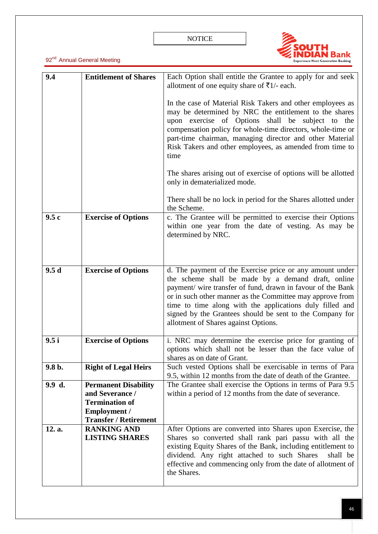

| 9.4      | <b>Entitlement of Shares</b>                                                                                                   | Each Option shall entitle the Grantee to apply for and seek<br>allotment of one equity share of ₹1/- each.                                                                                                                                                                                                                                                                                                 |
|----------|--------------------------------------------------------------------------------------------------------------------------------|------------------------------------------------------------------------------------------------------------------------------------------------------------------------------------------------------------------------------------------------------------------------------------------------------------------------------------------------------------------------------------------------------------|
|          |                                                                                                                                | In the case of Material Risk Takers and other employees as<br>may be determined by NRC the entitlement to the shares<br>upon exercise of Options shall be subject to the<br>compensation policy for whole-time directors, whole-time or<br>part-time chairman, managing director and other Material<br>Risk Takers and other employees, as amended from time to<br>time                                    |
|          |                                                                                                                                | The shares arising out of exercise of options will be allotted<br>only in dematerialized mode.                                                                                                                                                                                                                                                                                                             |
|          |                                                                                                                                | There shall be no lock in period for the Shares allotted under<br>the Scheme.                                                                                                                                                                                                                                                                                                                              |
| 9.5c     | <b>Exercise of Options</b>                                                                                                     | c. The Grantee will be permitted to exercise their Options<br>within one year from the date of vesting. As may be<br>determined by NRC.                                                                                                                                                                                                                                                                    |
| 9.5d     | <b>Exercise of Options</b>                                                                                                     | d. The payment of the Exercise price or any amount under<br>the scheme shall be made by a demand draft, online<br>payment/ wire transfer of fund, drawn in favour of the Bank<br>or in such other manner as the Committee may approve from<br>time to time along with the applications duly filled and<br>signed by the Grantees should be sent to the Company for<br>allotment of Shares against Options. |
| 9.5i     | <b>Exercise of Options</b>                                                                                                     | i. NRC may determine the exercise price for granting of<br>options which shall not be lesser than the face value of<br>shares as on date of Grant.                                                                                                                                                                                                                                                         |
| $9.8b$ . | <b>Right of Legal Heirs</b>                                                                                                    | Such vested Options shall be exercisable in terms of Para<br>9.5, within 12 months from the date of death of the Grantee.                                                                                                                                                                                                                                                                                  |
| 9.9 d.   | <b>Permanent Disability</b><br>and Severance /<br><b>Termination of</b><br><b>Employment /</b><br><b>Transfer / Retirement</b> | The Grantee shall exercise the Options in terms of Para 9.5<br>within a period of 12 months from the date of severance.                                                                                                                                                                                                                                                                                    |
| 12. a.   | <b>RANKING AND</b><br><b>LISTING SHARES</b>                                                                                    | After Options are converted into Shares upon Exercise, the<br>Shares so converted shall rank pari passu with all the<br>existing Equity Shares of the Bank, including entitlement to<br>dividend. Any right attached to such Shares<br>shall be<br>effective and commencing only from the date of allotment of<br>the Shares.                                                                              |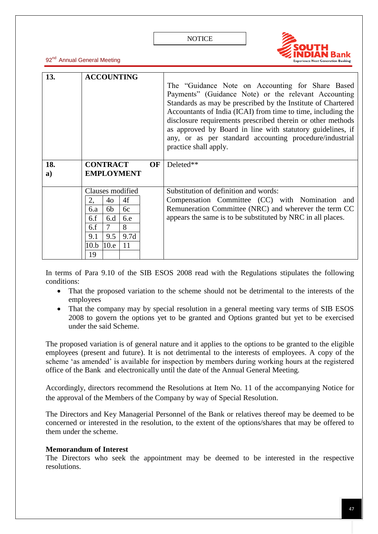

92<sup>nd</sup> Annual General Meeting

| 13. | <b>ACCOUNTING</b>  |           |                                                                                                                                                                                                                                                                                                                                                                                                                                                           |
|-----|--------------------|-----------|-----------------------------------------------------------------------------------------------------------------------------------------------------------------------------------------------------------------------------------------------------------------------------------------------------------------------------------------------------------------------------------------------------------------------------------------------------------|
|     |                    |           | The "Guidance Note on Accounting for Share Based<br>Payments" (Guidance Note) or the relevant Accounting<br>Standards as may be prescribed by the Institute of Chartered<br>Accountants of India (ICAI) from time to time, including the<br>disclosure requirements prescribed therein or other methods<br>as approved by Board in line with statutory guidelines, if<br>any, or as per standard accounting procedure/industrial<br>practice shall apply. |
| 18. | <b>CONTRACT</b>    | <b>OF</b> | Deleted**                                                                                                                                                                                                                                                                                                                                                                                                                                                 |
|     | <b>EMPLOYMENT</b>  |           |                                                                                                                                                                                                                                                                                                                                                                                                                                                           |
| a)  |                    |           |                                                                                                                                                                                                                                                                                                                                                                                                                                                           |
|     | Clauses modified   |           | Substitution of definition and words:                                                                                                                                                                                                                                                                                                                                                                                                                     |
|     | 4f<br>2,<br>40     |           | Compensation Committee (CC) with Nomination and                                                                                                                                                                                                                                                                                                                                                                                                           |
|     | 6b<br>6c<br>6.a    |           | Remuneration Committee (NRC) and wherever the term CC                                                                                                                                                                                                                                                                                                                                                                                                     |
|     | 6.f<br>6d<br>6.e   |           | appears the same is to be substituted by NRC in all places.                                                                                                                                                                                                                                                                                                                                                                                               |
|     | 8<br>7<br>6.f      |           |                                                                                                                                                                                                                                                                                                                                                                                                                                                           |
|     | 9.1<br>9.5<br>9.7d |           |                                                                                                                                                                                                                                                                                                                                                                                                                                                           |
|     | 11<br>10.e<br>10.b |           |                                                                                                                                                                                                                                                                                                                                                                                                                                                           |
|     | 19                 |           |                                                                                                                                                                                                                                                                                                                                                                                                                                                           |

In terms of Para 9.10 of the SIB ESOS 2008 read with the Regulations stipulates the following conditions:

- That the proposed variation to the scheme should not be detrimental to the interests of the employees
- That the company may by special resolution in a general meeting vary terms of SIB ESOS 2008 to govern the options yet to be granted and Options granted but yet to be exercised under the said Scheme.

The proposed variation is of general nature and it applies to the options to be granted to the eligible employees (present and future). It is not detrimental to the interests of employees. A copy of the scheme 'as amended' is available for inspection by members during working hours at the registered office of the Bank and electronically until the date of the Annual General Meeting.

Accordingly, directors recommend the Resolutions at Item No. 11 of the accompanying Notice for the approval of the Members of the Company by way of Special Resolution.

The Directors and Key Managerial Personnel of the Bank or relatives thereof may be deemed to be concerned or interested in the resolution, to the extent of the options/shares that may be offered to them under the scheme.

### **Memorandum of Interest**

The Directors who seek the appointment may be deemed to be interested in the respective resolutions.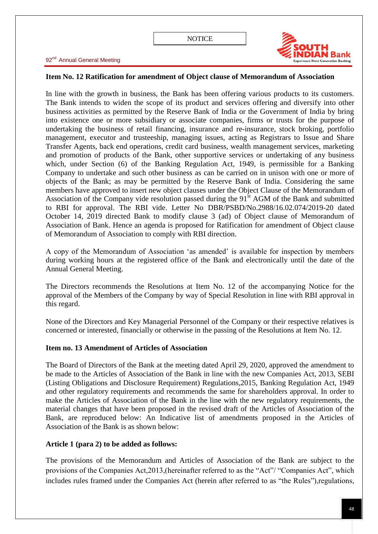

### **Item No. 12 Ratification for amendment of Object clause of Memorandum of Association**

In line with the growth in business, the Bank has been offering various products to its customers. The Bank intends to widen the scope of its product and services offering and diversify into other business activities as permitted by the Reserve Bank of India or the Government of India by bring into existence one or more subsidiary or associate companies, firms or trusts for the purpose of undertaking the business of retail financing, insurance and re-insurance, stock broking, portfolio management, executor and trusteeship, managing issues, acting as Registrars to Issue and Share Transfer Agents, back end operations, credit card business, wealth management services, marketing and promotion of products of the Bank, other supportive services or undertaking of any business which, under Section (6) of the Banking Regulation Act, 1949, is permissible for a Banking Company to undertake and such other business as can be carried on in unison with one or more of objects of the Bank; as may be permitted by the Reserve Bank of India. Considering the same members have approved to insert new object clauses under the Object Clause of the Memorandum of Association of the Company vide resolution passed during the 91<sup>st</sup> AGM of the Bank and submitted to RBI for approval. The RBI vide. Letter No DBR/PSBD/No.2988/16.02.074/2019-20 dated October 14, 2019 directed Bank to modify clause 3 (ad) of Object clause of Memorandum of Association of Bank. Hence an agenda is proposed for Ratification for amendment of Object clause of Memorandum of Association to comply with RBI direction.

A copy of the Memorandum of Association 'as amended' is available for inspection by members during working hours at the registered office of the Bank and electronically until the date of the Annual General Meeting.

The Directors recommends the Resolutions at Item No. 12 of the accompanying Notice for the approval of the Members of the Company by way of Special Resolution in line with RBI approval in this regard.

None of the Directors and Key Managerial Personnel of the Company or their respective relatives is concerned or interested, financially or otherwise in the passing of the Resolutions at Item No. 12.

## **Item no. 13 Amendment of Articles of Association**

The Board of Directors of the Bank at the meeting dated April 29, 2020, approved the amendment to be made to the Articles of Association of the Bank in line with the new Companies Act, 2013, SEBI (Listing Obligations and Disclosure Requirement) Regulations,2015, Banking Regulation Act, 1949 and other regulatory requirements and recommends the same for shareholders approval. In order to make the Articles of Association of the Bank in the line with the new regulatory requirements, the material changes that have been proposed in the revised draft of the Articles of Association of the Bank, are reproduced below: An Indicative list of amendments proposed in the Articles of Association of the Bank is as shown below:

## **Article 1 (para 2) to be added as follows:**

The provisions of the Memorandum and Articles of Association of the Bank are subject to the provisions of the Companies Act, 2013, (hereinafter referred to as the "Act"/ "Companies Act", which includes rules framed under the Companies Act (herein after referred to as "the Rules"),regulations,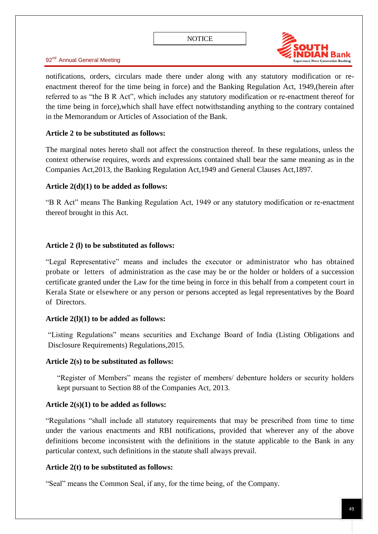

notifications, orders, circulars made there under along with any statutory modification or reenactment thereof for the time being in force) and the Banking Regulation Act, 1949,(herein after referred to as "the B R Act", which includes any statutory modification or re-enactment thereof for the time being in force),which shall have effect notwithstanding anything to the contrary contained in the Memorandum or Articles of Association of the Bank.

### **Article 2 to be substituted as follows:**

The marginal notes hereto shall not affect the construction thereof. In these regulations, unless the context otherwise requires, words and expressions contained shall bear the same meaning as in the Companies Act,2013, the Banking Regulation Act,1949 and General Clauses Act,1897.

### **Article 2(d)(1) to be added as follows:**

―B R Act‖ means The Banking Regulation Act, 1949 or any statutory modification or re-enactment thereof brought in this Act.

### **Article 2 (l) to be substituted as follows:**

―Legal Representative‖ means and includes the executor or administrator who has obtained probate or letters of administration as the case may be or the holder or holders of a succession certificate granted under the Law for the time being in force in this behalf from a competent court in Kerala State or elsewhere or any person or persons accepted as legal representatives by the Board of Directors.

## **Article 2(l)(1) to be added as follows:**

―Listing Regulations‖ means securities and Exchange Board of India (Listing Obligations and Disclosure Requirements) Regulations,2015.

### **Article 2(s) to be substituted as follows:**

"Register of Members" means the register of members/ debenture holders or security holders kept pursuant to Section 88 of the Companies Act, 2013.

## **Article 2(s)(1) to be added as follows:**

―Regulations ―shall include all statutory requirements that may be prescribed from time to time under the various enactments and RBI notifications, provided that wherever any of the above definitions become inconsistent with the definitions in the statute applicable to the Bank in any particular context, such definitions in the statute shall always prevail.

## **Article 2(t) to be substituted as follows:**

―Seal‖ means the Common Seal, if any, for the time being, of the Company.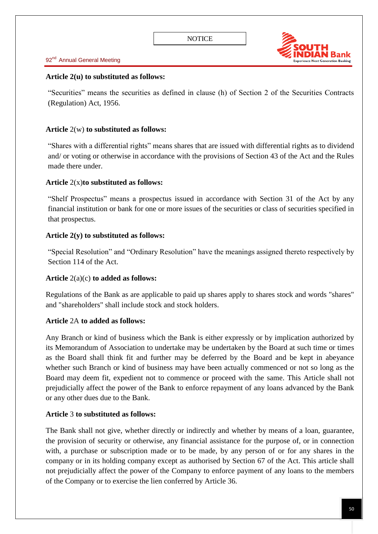

### **Article 2(u) to substituted as follows:**

―Securities‖ means the securities as defined in clause (h) of Section 2 of the Securities Contracts (Regulation) Act, 1956.

### **Article** 2(w) **to substituted as follows:**

―Shares with a differential rights‖ means shares that are issued with differential rights as to dividend and/ or voting or otherwise in accordance with the provisions of Section 43 of the Act and the Rules made there under.

### **Article** 2(x)**to substituted as follows:**

"Shelf Prospectus" means a prospectus issued in accordance with Section 31 of the Act by any financial institution or bank for one or more issues of the securities or class of securities specified in that prospectus.

### **Article 2(y) to substituted as follows:**

―Special Resolution‖ and ―Ordinary Resolution‖ have the meanings assigned thereto respectively by Section 114 of the Act.

### **Article** 2(a)(c) **to added as follows:**

Regulations of the Bank as are applicable to paid up shares apply to shares stock and words "shares" and "shareholders" shall include stock and stock holders.

## **Article** 2A **to added as follows:**

Any Branch or kind of business which the Bank is either expressly or by implication authorized by its Memorandum of Association to undertake may be undertaken by the Board at such time or times as the Board shall think fit and further may be deferred by the Board and be kept in abeyance whether such Branch or kind of business may have been actually commenced or not so long as the Board may deem fit, expedient not to commence or proceed with the same. This Article shall not prejudicially affect the power of the Bank to enforce repayment of any loans advanced by the Bank or any other dues due to the Bank.

### **Article** 3 **to substituted as follows:**

The Bank shall not give, whether directly or indirectly and whether by means of a loan, guarantee, the provision of security or otherwise, any financial assistance for the purpose of, or in connection with, a purchase or subscription made or to be made, by any person of or for any shares in the company or in its holding company except as authorised by Section 67 of the Act. This article shall not prejudicially affect the power of the Company to enforce payment of any loans to the members of the Company or to exercise the lien conferred by Article 36.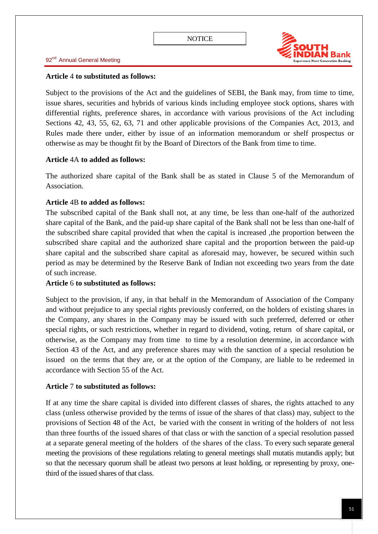

#### **Article** 4 **to substituted as follows:**

Subject to the provisions of the Act and the guidelines of SEBI, the Bank may, from time to time, issue shares, securities and hybrids of various kinds including employee stock options, shares with differential rights, preference shares, in accordance with various provisions of the Act including Sections 42, 43, 55, 62, 63, 71 and other applicable provisions of the Companies Act, 2013, and Rules made there under, either by issue of an information memorandum or shelf prospectus or otherwise as may be thought fit by the Board of Directors of the Bank from time to time.

### **Article** 4A **to added as follows:**

The authorized share capital of the Bank shall be as stated in Clause 5 of the Memorandum of Association.

### **Article** 4B **to added as follows:**

The subscribed capital of the Bank shall not, at any time, be less than one-half of the authorized share capital of the Bank, and the paid-up share capital of the Bank shall not be less than one-half of the subscribed share capital provided that when the capital is increased ,the proportion between the subscribed share capital and the authorized share capital and the proportion between the paid-up share capital and the subscribed share capital as aforesaid may, however, be secured within such period as may be determined by the Reserve Bank of Indian not exceeding two years from the date of such increase.

### **Article** 6 **to substituted as follows:**

Subject to the provision, if any, in that behalf in the Memorandum of Association of the Company and without prejudice to any special rights previously conferred, on the holders of existing shares in the Company, any shares in the Company may be issued with such preferred, deferred or other special rights, or such restrictions, whether in regard to dividend, voting, return of share capital, or otherwise, as the Company may from time to time by a resolution determine, in accordance with Section 43 of the Act, and any preference shares may with the sanction of a special resolution be issued on the terms that they are, or at the option of the Company, are liable to be redeemed in accordance with Section 55 of the Act.

### **Article** 7 **to substituted as follows:**

If at any time the share capital is divided into different classes of shares, the rights attached to any class (unless otherwise provided by the terms of issue of the shares of that class) may, subject to the provisions of Section 48 of the Act, be varied with the consent in writing of the holders of not less than three fourths of the issued shares of that class or with the sanction of a special resolution passed at a separate general meeting of the holders of the shares of the class. To every such separate general meeting the provisions of these regulations relating to general meetings shall mutatis mutandis apply; but so that the necessary quorum shall be atleast two persons at least holding, or representing by proxy, onethird of the issued shares of that class.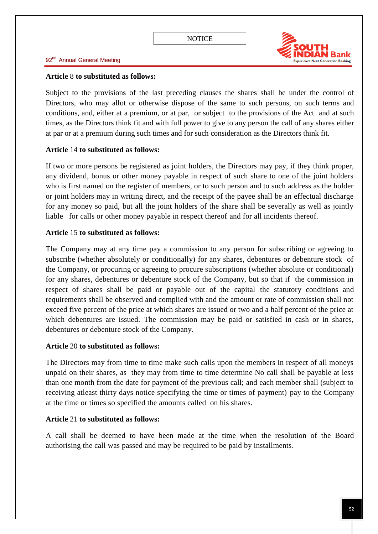

#### **Article** 8 **to substituted as follows:**

Subject to the provisions of the last preceding clauses the shares shall be under the control of Directors, who may allot or otherwise dispose of the same to such persons, on such terms and conditions, and, either at a premium, or at par, or subject to the provisions of the Act and at such times, as the Directors think fit and with full power to give to any person the call of any shares either at par or at a premium during such times and for such consideration as the Directors think fit.

### **Article** 14 **to substituted as follows:**

If two or more persons be registered as joint holders, the Directors may pay, if they think proper, any dividend, bonus or other money payable in respect of such share to one of the joint holders who is first named on the register of members, or to such person and to such address as the holder or joint holders may in writing direct, and the receipt of the payee shall be an effectual discharge for any money so paid, but all the joint holders of the share shall be severally as well as jointly liable for calls or other money payable in respect thereof and for all incidents thereof.

### **Article** 15 **to substituted as follows:**

The Company may at any time pay a commission to any person for subscribing or agreeing to subscribe (whether absolutely or conditionally) for any shares, debentures or debenture stock of the Company, or procuring or agreeing to procure subscriptions (whether absolute or conditional) for any shares, debentures or debenture stock of the Company, but so that if the commission in respect of shares shall be paid or payable out of the capital the statutory conditions and requirements shall be observed and complied with and the amount or rate of commission shall not exceed five percent of the price at which shares are issued or two and a half percent of the price at which debentures are issued. The commission may be paid or satisfied in cash or in shares, debentures or debenture stock of the Company.

### **Article** 20 **to substituted as follows:**

The Directors may from time to time make such calls upon the members in respect of all moneys unpaid on their shares, as they may from time to time determine No call shall be payable at less than one month from the date for payment of the previous call; and each member shall (subject to receiving atleast thirty days notice specifying the time or times of payment) pay to the Company at the time or times so specified the amounts called on his shares.

## **Article** 21 **to substituted as follows:**

A call shall be deemed to have been made at the time when the resolution of the Board authorising the call was passed and may be required to be paid by installments.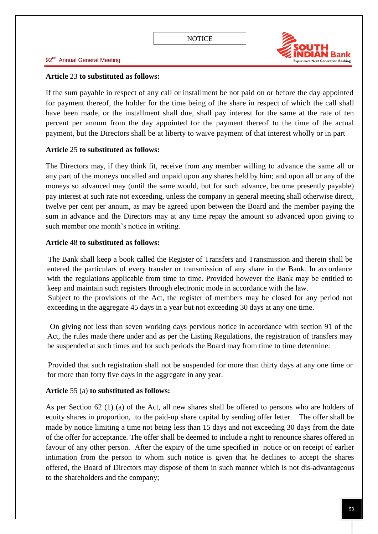

### **Article** 23 **to substituted as follows:**

If the sum payable in respect of any call or installment be not paid on or before the day appointed for payment thereof, the holder for the time being of the share in respect of which the call shall have been made, or the installment shall due, shall pay interest for the same at the rate of ten percent per annum from the day appointed for the payment thereof to the time of the actual payment, but the Directors shall be at liberty to waive payment of that interest wholly or in part

## **Article** 25 **to substituted as follows:**

The Directors may, if they think fit, receive from any member willing to advance the same all or any part of the moneys uncalled and unpaid upon any shares held by him; and upon all or any of the moneys so advanced may (until the same would, but for such advance, become presently payable) pay interest at such rate not exceeding, unless the company in general meeting shall otherwise direct, twelve per cent per annum, as may be agreed upon between the Board and the member paying the sum in advance and the Directors may at any time repay the amount so advanced upon giving to such member one month's notice in writing.

## **Article** 48 **to substituted as follows:**

The Bank shall keep a book called the Register of Transfers and Transmission and therein shall be entered the particulars of every transfer or transmission of any share in the Bank. In accordance with the regulations applicable from time to time. Provided however the Bank may be entitled to keep and maintain such registers through electronic mode in accordance with the law. Subject to the provisions of the Act, the register of members may be closed for any period not exceeding in the aggregate 45 days in a year but not exceeding 30 days at any one time.

On giving not less than seven working days pervious notice in accordance with section 91 of the Act, the rules made there under and as per the Listing Regulations, the registration of transfers may be suspended at such times and for such periods the Board may from time to time determine:

Provided that such registration shall not be suspended for more than thirty days at any one time or for more than forty five days in the aggregate in any year.

## **Article** 55 (a) **to substituted as follows:**

As per Section 62 (1) (a) of the Act, all new shares shall be offered to persons who are holders of equity shares in proportion, to the paid-up share capital by sending offer letter. The offer shall be made by notice limiting a time not being less than 15 days and not exceeding 30 days from the date of the offer for acceptance. The offer shall be deemed to include a right to renounce shares offered in favour of any other person. After the expiry of the time specified in notice or on receipt of earlier intimation from the person to whom such notice is given that he declines to accept the shares offered, the Board of Directors may dispose of them in such manner which is not dis-advantageous to the shareholders and the company;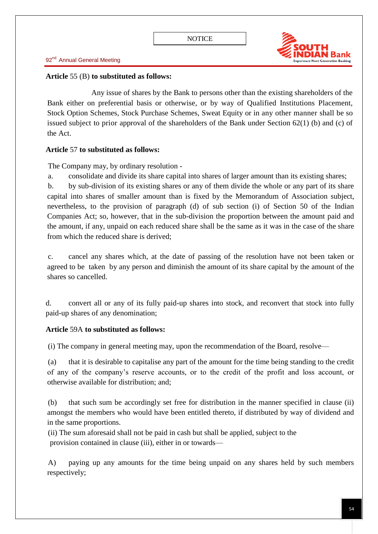

### **Article** 55 (B) **to substituted as follows:**

Any issue of shares by the Bank to persons other than the existing shareholders of the Bank either on preferential basis or otherwise, or by way of Qualified Institutions Placement, Stock Option Schemes, Stock Purchase Schemes, Sweat Equity or in any other manner shall be so issued subject to prior approval of the shareholders of the Bank under Section 62(1) (b) and (c) of the Act.

### **Article** 57 **to substituted as follows:**

The Company may, by ordinary resolution -

a. consolidate and divide its share capital into shares of larger amount than its existing shares;

b. by sub-division of its existing shares or any of them divide the whole or any part of its share capital into shares of smaller amount than is fixed by the Memorandum of Association subject, nevertheless, to the provision of paragraph (d) of sub section (i) of Section 50 of the Indian Companies Act; so, however, that in the sub-division the proportion between the amount paid and the amount, if any, unpaid on each reduced share shall be the same as it was in the case of the share from which the reduced share is derived;

c. cancel any shares which, at the date of passing of the resolution have not been taken or agreed to be taken by any person and diminish the amount of its share capital by the amount of the shares so cancelled.

d. convert all or any of its fully paid-up shares into stock, and reconvert that stock into fully paid-up shares of any denomination;

## **Article** 59A **to substituted as follows:**

(i) The company in general meeting may, upon the recommendation of the Board, resolve—

(a) that it is desirable to capitalise any part of the amount for the time being standing to the credit of any of the company's reserve accounts, or to the credit of the profit and loss account, or otherwise available for distribution; and;

(b) that such sum be accordingly set free for distribution in the manner specified in clause (ii) amongst the members who would have been entitled thereto, if distributed by way of dividend and in the same proportions.

(ii) The sum aforesaid shall not be paid in cash but shall be applied, subject to the provision contained in clause (iii), either in or towards—

A) paying up any amounts for the time being unpaid on any shares held by such members respectively;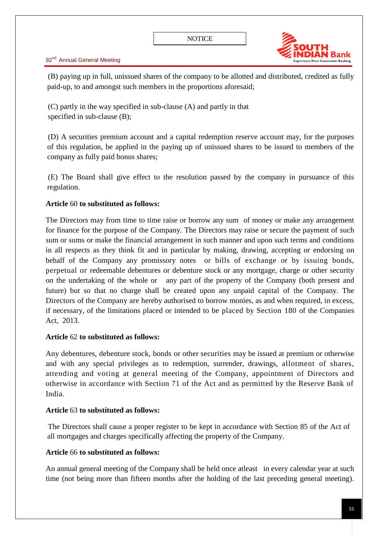

(B) paying up in full, unissued shares of the company to be allotted and distributed, credited as fully paid-up, to and amongst such members in the proportions aforesaid;

(C) partly in the way specified in sub-clause (A) and partly in that specified in sub-clause (B);

(D) A securities premium account and a capital redemption reserve account may, for the purposes of this regulation, be applied in the paying up of unissued shares to be issued to members of the company as fully paid bonus shares;

(E) The Board shall give effect to the resolution passed by the company in pursuance of this regulation.

## **Article** 60 **to substituted as follows:**

The Directors may from time to time raise or borrow any sum of money or make any arrangement for finance for the purpose of the Company. The Directors may raise or secure the payment of such sum or sums or make the financial arrangement in such manner and upon such terms and conditions in all respects as they think fit and in particular by making, drawing, accepting or endorsing on behalf of the Company any promissory notes or bills of exchange or by issuing bonds, perpetual or redeemable debentures or debenture stock or any mortgage, charge or other security on the undertaking of the whole or any part of the property of the Company (both present and future) but so that no charge shall be created upon any unpaid capital of the Company. The Directors of the Company are hereby authorised to borrow monies, as and when required, in excess, if necessary, of the limitations placed or intended to be placed by Section 180 of the Companies Act, 2013.

## **Article** 62 **to substituted as follows:**

Any debentures, debenture stock, bonds or other securities may be issued at premium or otherwise and with any special privileges as to redemption, surrender, drawings, allotment of shares, attending and voting at general meeting of the Company, appointment of Directors and otherwise in accordance with Section 71 of the Act and as permitted by the Reserve Bank of India.

## **Article** 63 **to substituted as follows:**

The Directors shall cause a proper register to be kept in accordance with Section 85 of the Act of all mortgages and charges specifically affecting the property of the Company.

## **Article** 66 **to substituted as follows:**

An annual general meeting of the Company shall be held once atleast in every calendar year at such time (not being more than fifteen months after the holding of the last preceding general meeting).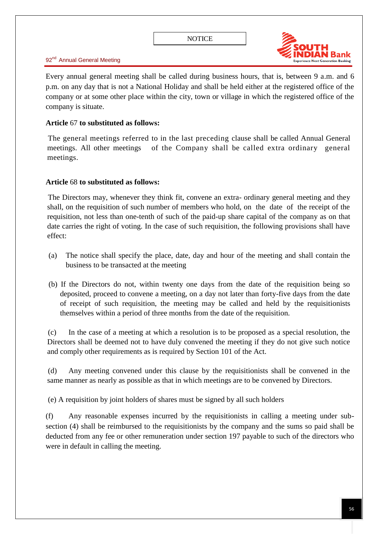

Every annual general meeting shall be called during business hours, that is, between 9 a.m. and 6 p.m. on any day that is not a National Holiday and shall be held either at the registered office of the company or at some other place within the city, town or village in which the registered office of the company is situate.

### **Article** 67 **to substituted as follows:**

The general meetings referred to in the last preceding clause shall be called Annual General meetings. All other meetings of the Company shall be called extra ordinary general meetings.

### **Article** 68 **to substituted as follows:**

The Directors may, whenever they think fit, convene an extra- ordinary general meeting and they shall, on the requisition of such number of members who hold, on the date of the receipt of the requisition, not less than one-tenth of such of the paid-up share capital of the company as on that date carries the right of voting. In the case of such requisition, the following provisions shall have effect:

- (a) The notice shall specify the place, date, day and hour of the meeting and shall contain the business to be transacted at the meeting
- (b) If the Directors do not, within twenty one days from the date of the requisition being so deposited, proceed to convene a meeting, on a day not later than forty-five days from the date of receipt of such requisition, the meeting may be called and held by the requisitionists themselves within a period of three months from the date of the requisition.

(c) In the case of a meeting at which a resolution is to be proposed as a special resolution, the Directors shall be deemed not to have duly convened the meeting if they do not give such notice and comply other requirements as is required by Section 101 of the Act.

(d) Any meeting convened under this clause by the requisitionists shall be convened in the same manner as nearly as possible as that in which meetings are to be convened by Directors.

(e) A requisition by joint holders of shares must be signed by all such holders

(f) Any reasonable expenses incurred by the requisitionists in calling a meeting under subsection (4) shall be reimbursed to the requisitionists by the company and the sums so paid shall be deducted from any fee or other remuneration under section 197 payable to such of the directors who were in default in calling the meeting.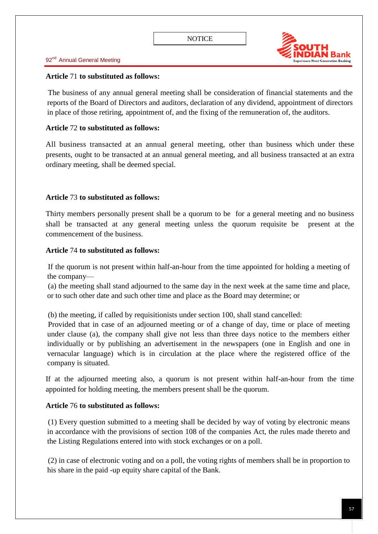

### **Article** 71 **to substituted as follows:**

The business of any annual general meeting shall be consideration of financial statements and the reports of the Board of Directors and auditors, declaration of any dividend, appointment of directors in place of those retiring, appointment of, and the fixing of the remuneration of, the auditors.

### **Article** 72 **to substituted as follows:**

All business transacted at an annual general meeting, other than business which under these presents, ought to be transacted at an annual general meeting, and all business transacted at an extra ordinary meeting, shall be deemed special.

### **Article** 73 **to substituted as follows:**

Thirty members personally present shall be a quorum to be for a general meeting and no business shall be transacted at any general meeting unless the quorum requisite be present at the commencement of the business.

#### **Article** 74 **to substituted as follows:**

If the quorum is not present within half-an-hour from the time appointed for holding a meeting of the company—

(a) the meeting shall stand adjourned to the same day in the next week at the same time and place, or to such other date and such other time and place as the Board may determine; or

(b) the meeting, if called by requisitionists under section 100, shall stand cancelled:

Provided that in case of an adjourned meeting or of a change of day, time or place of meeting under clause (a), the company shall give not less than three days notice to the members either individually or by publishing an advertisement in the newspapers (one in English and one in vernacular language) which is in circulation at the place where the registered office of the company is situated.

If at the adjourned meeting also, a quorum is not present within half-an-hour from the time appointed for holding meeting, the members present shall be the quorum.

### **Article** 76 **to substituted as follows:**

(1) Every question submitted to a meeting shall be decided by way of voting by electronic means in accordance with the provisions of section 108 of the companies Act, the rules made thereto and the Listing Regulations entered into with stock exchanges or on a poll.

(2) in case of electronic voting and on a poll, the voting rights of members shall be in proportion to his share in the paid -up equity share capital of the Bank.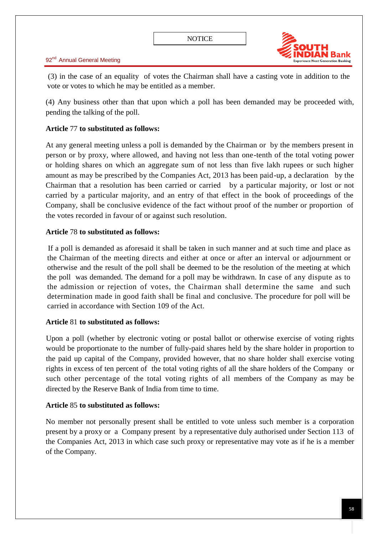

(3) in the case of an equality of votes the Chairman shall have a casting vote in addition to the vote or votes to which he may be entitled as a member.

(4) Any business other than that upon which a poll has been demanded may be proceeded with, pending the talking of the poll.

## **Article** 77 **to substituted as follows:**

At any general meeting unless a poll is demanded by the Chairman or by the members present in person or by proxy, where allowed, and having not less than one-tenth of the total voting power or holding shares on which an aggregate sum of not less than five lakh rupees or such higher amount as may be prescribed by the Companies Act, 2013 has been paid-up, a declaration by the Chairman that a resolution has been carried or carried by a particular majority, or lost or not carried by a particular majority, and an entry of that effect in the book of proceedings of the Company, shall be conclusive evidence of the fact without proof of the number or proportion of the votes recorded in favour of or against such resolution.

## **Article** 78 **to substituted as follows:**

If a poll is demanded as aforesaid it shall be taken in such manner and at such time and place as the Chairman of the meeting directs and either at once or after an interval or adjournment or otherwise and the result of the poll shall be deemed to be the resolution of the meeting at which the poll was demanded. The demand for a poll may be withdrawn. In case of any dispute as to the admission or rejection of votes, the Chairman shall determine the same and such determination made in good faith shall be final and conclusive. The procedure for poll will be carried in accordance with Section 109 of the Act.

## **Article** 81 **to substituted as follows:**

Upon a poll (whether by electronic voting or postal ballot or otherwise exercise of voting rights would be proportionate to the number of fully-paid shares held by the share holder in proportion to the paid up capital of the Company, provided however, that no share holder shall exercise voting rights in excess of ten percent of the total voting rights of all the share holders of the Company or such other percentage of the total voting rights of all members of the Company as may be directed by the Reserve Bank of India from time to time.

## **Article** 85 **to substituted as follows:**

No member not personally present shall be entitled to vote unless such member is a corporation present by a proxy or a Company present by a representative duly authorised under Section 113 of the Companies Act, 2013 in which case such proxy or representative may vote as if he is a member of the Company.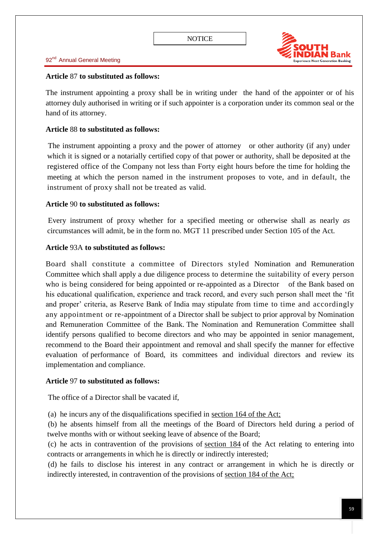

### **Article** 87 **to substituted as follows:**

The instrument appointing a proxy shall be in writing under the hand of the appointer or of his attorney duly authorised in writing or if such appointer is a corporation under its common seal or the hand of its attorney.

### **Article** 88 **to substituted as follows:**

The instrument appointing a proxy and the power of attorney or other authority (if any) under which it is signed or a notarially certified copy of that power or authority, shall be deposited at the registered office of the Company not less than Forty eight hours before the time for holding the meeting at which the person named in the instrument proposes to vote, and in default, the instrument of proxy shall not be treated as valid.

### **Article** 90 **to substituted as follows:**

Every instrument of proxy whether for a specified meeting or otherwise shall as nearly *as*  circumstances will admit, be in the form no. MGT 11 prescribed under Section 105 of the Act.

### **Article** 93A **to substituted as follows:**

Board shall constitute a committee of Directors styled Nomination and Remuneration Committee which shall apply a due diligence process to determine the suitability of every person who is being considered for being appointed or re-appointed as a Director of the Bank based on his educational qualification, experience and track record, and every such person shall meet the 'fit and proper' criteria, as Reserve Bank of India may stipulate from time to time and accordingly any appointment or re-appointment of a Director shall be subject to prior approval by Nomination and Remuneration Committee of the Bank. The Nomination and Remuneration Committee shall identify persons qualified to become directors and who may be appointed in senior management, recommend to the Board their appointment and removal and shall specify the manner for effective evaluation of performance of Board, its committees and individual directors and review its implementation and compliance.

### **Article** 97 **to substituted as follows:**

The office of a Director shall be vacated if,

(a) he incurs any of the disqualifications specified in [section 164 of the Act;](http://ebook.mca.gov.in/Actpagedisplay.aspx?PAGENAME=17548)

(b) he absents himself from all the meetings of the Board of Directors held during a period of twelve months with or without seeking leave of absence of the Board;

(c) he acts in contravention of the provisions of [section 184](http://ebook.mca.gov.in/Actpagedisplay.aspx?PAGENAME=17578) of the Act relating to entering into contracts or arrangements in which he is directly or indirectly interested;

(d) he fails to disclose his interest in any contract or arrangement in which he is directly or indirectly interested, in contravention of the provisions of [section 184 of the Act;](http://ebook.mca.gov.in/Actpagedisplay.aspx?PAGENAME=17578)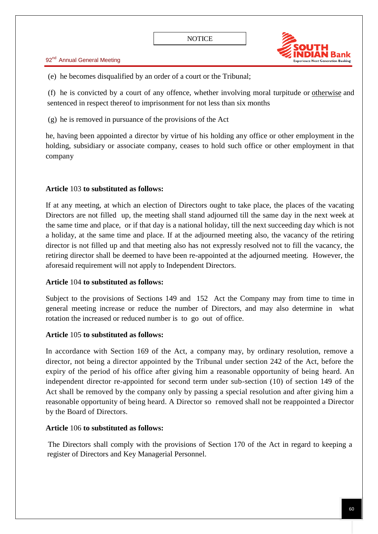

(e) he becomes disqualified by an order of a court or the Tribunal;

(f) he is convicted by a court of any offence, whether involving moral turpitude or [otherwise](http://ebook.mca.gov.in/Actpagedisplay.aspx?PAGENAME=18077) and sentenced in respect thereof to imprisonment for not less than six months

(g) he is removed in pursuance of the provisions of the Act

he, having been appointed a director by virtue of his holding any office or other employment in the holding, subsidiary or associate company, ceases to hold such office or other employment in that company

## **Article** 103 **to substituted as follows:**

If at any meeting, at which an election of Directors ought to take place, the places of the vacating Directors are not filled up, the meeting shall stand adjourned till the same day in the next week at the same time and place, or if that day is a national holiday, till the next succeeding day which is not a holiday, at the same time and place. If at the adjourned meeting also, the vacancy of the retiring director is not filled up and that meeting also has not expressly resolved not to fill the vacancy, the retiring director shall be deemed to have been re-appointed at the adjourned meeting. However, the aforesaid requirement will not apply to Independent Directors.

## **Article** 104 **to substituted as follows:**

Subject to the provisions of Sections 149 and 152 Act the Company may from time to time in general meeting increase or reduce the number of Directors, and may also determine in what rotation the increased or reduced number is to go out of office.

## **Article** 105 **to substituted as follows:**

In accordance with Section 169 of the Act, a company may, by ordinary resolution, remove a director, not being a director appointed by the Tribunal under section 242 of the Act, before the expiry of the period of his office after giving him a reasonable opportunity of being heard. An independent director re-appointed for second term under sub-section (10) of section 149 of the Act shall be removed by the company only by passing a special resolution and after giving him a reasonable opportunity of being heard. A Director so removed shall not be reappointed a Director by the Board of Directors.

## **Article** 106 **to substituted as follows:**

The Directors shall comply with the provisions of Section 170 of the Act in regard to keeping a register of Directors and Key Managerial Personnel.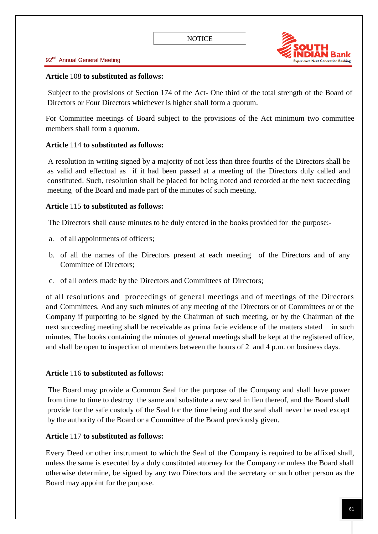

### **Article** 108 **to substituted as follows:**

Subject to the provisions of Section 174 of the Act- One third of the total strength of the Board of Directors or Four Directors whichever is higher shall form a quorum.

For Committee meetings of Board subject to the provisions of the Act minimum two committee members shall form a quorum.

## **Article** 114 **to substituted as follows:**

A resolution in writing signed by a majority of not less than three fourths of the Directors shall be as valid and effectual as if it had been passed at a meeting of the Directors duly called and constituted. Such, resolution shall be placed for being noted and recorded at the next succeeding meeting of the Board and made part of the minutes of such meeting.

### **Article** 115 **to substituted as follows:**

The Directors shall cause minutes to be duly entered in the books provided for the purpose:-

- a. of all appointments of officers;
- b. of all the names of the Directors present at each meeting of the Directors and of any Committee of Directors;
- c. of all orders made by the Directors and Committees of Directors;

of all resolutions and proceedings of general meetings and of meetings of the Directors and Committees. And any such minutes of any meeting of the Directors or of Committees or of the Company if purporting to be signed by the Chairman of such meeting, or by the Chairman of the next succeeding meeting shall be receivable as prima facie evidence of the matters stated in such minutes, The books containing the minutes of general meetings shall be kept at the registered office, and shall be open to inspection of members between the hours of 2 and 4 p.m. on business days.

### **Article** 116 **to substituted as follows:**

The Board may provide a Common Seal for the purpose of the Company and shall have power from time to time to destroy the same and substitute a new seal in lieu thereof, and the Board shall provide for the safe custody of the Seal for the time being and the seal shall never be used except by the authority of the Board or a Committee of the Board previously given.

### **Article** 117 **to substituted as follows:**

Every Deed or other instrument to which the Seal of the Company is required to be affixed shall, unless the same is executed by a duly constituted attorney for the Company or unless the Board shall otherwise determine, be signed by any two Directors and the secretary or such other person as the Board may appoint for the purpose.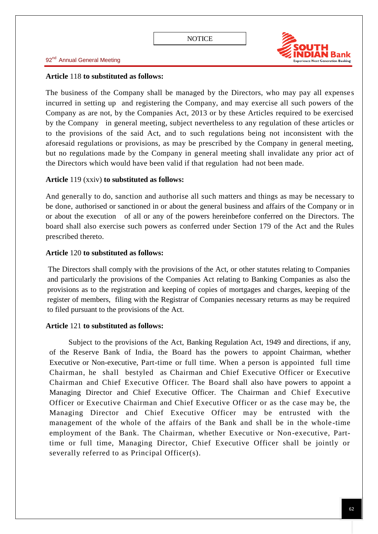

#### **Article** 118 **to substituted as follows:**

The business of the Company shall be managed by the Directors, who may pay all expenses incurred in setting up and registering the Company, and may exercise all such powers of the Company as are not, by the Companies Act, 2013 or by these Articles required to be exercised by the Company in general meeting, subject nevertheless to any regulation of these articles or to the provisions of the said Act, and to such regulations being not inconsistent with the aforesaid regulations or provisions, as may be prescribed by the Company in general meeting, but no regulations made by the Company in general meeting shall invalidate any prior act of the Directors which would have been valid if that regulation had not been made.

### **Article** 119 (xxiv) **to substituted as follows:**

And generally to do, sanction and authorise all such matters and things as may be necessary to be done, authorised or sanctioned in or about the general business and affairs of the Company or in or about the execution of all or any of the powers hereinbefore conferred on the Directors. The board shall also exercise such powers as conferred under Section 179 of the Act and the Rules prescribed thereto.

### **Article** 120 **to substituted as follows:**

The Directors shall comply with the provisions of the Act, or other statutes relating to Companies and particularly the provisions of the Companies Act relating to Banking Companies as also the provisions as to the registration and keeping of copies of mortgages and charges, keeping of the register of members, filing with the Registrar of Companies necessary returns as may be required to filed pursuant to the provisions of the Act.

### **Article** 121 **to substituted as follows:**

Subject to the provisions of the Act, Banking Regulation Act, 1949 and directions, if any, of the Reserve Bank of India, the Board has the powers to appoint Chairman, whether Executive or Non-executive, Part-time or full time. When a person is appointed full time Chairman, he shall bestyled as Chairman and Chief Executive Officer or Executive Chairman and Chief Executive Officer. The Board shall also have powers to appoint a Managing Director and Chief Executive Officer. The Chairman and Chief Executive Officer or Executive Chairman and Chief Executive Officer or as the case may be, the Managing Director and Chief Executive Officer may be entrusted with the management of the whole of the affairs of the Bank and shall be in the whole -time employment of the Bank. The Chairman, whether Executive or Non-executive, Parttime or full time, Managing Director, Chief Executive Officer shall be jointly or severally referred to as Principal Officer(s).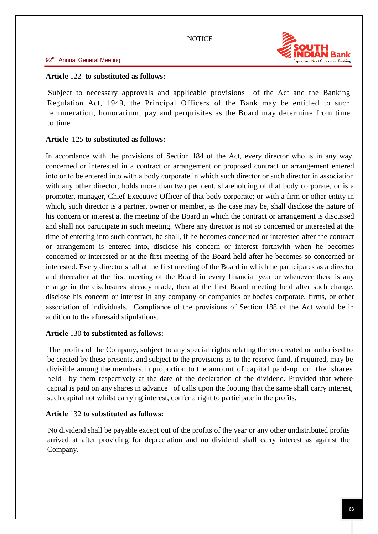

### **Article** 122 **to substituted as follows:**

Subject to necessary approvals and applicable provisions of the Act and the Banking Regulation Act, 1949, the Principal Officers of the Bank may be entitled to such remuneration, honorarium, pay and perquisites as the Board may determine from time to time

## **Article** 125 **to substituted as follows:**

In accordance with the provisions of Section 184 of the Act, every director who is in any way, concerned or interested in a contract or arrangement or proposed contract or arrangement entered into or to be entered into with a body corporate in which such director or such director in association with any other director, holds more than two per cent. shareholding of that body corporate, or is a promoter, manager, Chief Executive Officer of that body corporate; or with a firm or other entity in which, such director is a partner, owner or member, as the case may be, shall disclose the nature of his concern or interest at the meeting of the Board in which the contract or arrangement is discussed and shall not participate in such meeting. Where any director is not so concerned or interested at the time of entering into such contract, he shall, if he becomes concerned or interested after the contract or arrangement is entered into, disclose his concern or interest forthwith when he becomes concerned or interested or at the first meeting of the Board held after he becomes so concerned or interested. Every director shall at the first meeting of the Board in which he participates as a director and thereafter at the first meeting of the Board in every financial year or whenever there is any change in the disclosures already made, then at the first Board meeting held after such change, disclose his concern or interest in any company or companies or bodies corporate, firms, or other association of individuals. Compliance of the provisions of Section 188 of the Act would be in addition to the aforesaid stipulations.

## **Article** 130 **to substituted as follows:**

The profits of the Company, subject to any special rights relating thereto created or authorised to be created by these presents, and subject to the provisions as to the reserve fund, if required, may be divisible among the members in proportion to the amount of capital paid-up on the shares held by them respectively at the date of the declaration of the dividend. Provided that where capital is paid on any shares in advance of calls upon the footing that the same shall carry interest, such capital not whilst carrying interest, confer a right to participate in the profits.

## **Article** 132 **to substituted as follows:**

No dividend shall be payable except out of the profits of the year or any other undistributed profits arrived at after providing for depreciation and no dividend shall carry interest as against the Company.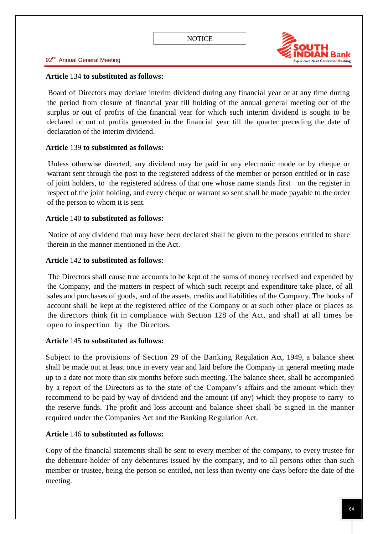

### **Article** 134 **to substituted as follows:**

Board of Directors may declare interim dividend during any financial year or at any time during the period from closure of financial year till holding of the annual general meeting out of the surplus or out of profits of the financial year for which such interim dividend is sought to be declared or out of profits generated in the financial year till the quarter preceding the date of declaration of the interim dividend.

### **Article** 139 **to substituted as follows:**

Unless otherwise directed, any dividend may be paid in any electronic mode or by cheque or warrant sent through the post to the registered address of the member or person entitled or in case of joint holders, to the registered address of that one whose name stands first on the register in respect of the joint holding, and every cheque or warrant so sent shall be made payable to the order of the person to whom it is sent.

### **Article** 140 **to substituted as follows:**

Notice of any dividend that may have been declared shall be given to the persons entitled to share therein in the manner mentioned in the Act.

#### **Article** 142 **to substituted as follows:**

The Directors shall cause true accounts to be kept of the sums of money received and expended by the Company, and the matters in respect of which such receipt and expenditure take place, of all sales and purchases of goods, and of the assets, credits and liabilities of the Company. The books of account shall be kept at the registered office of the Company or at such other place or places as the directors think fit in compliance with Section 128 of the Act, and shall at all times be open to inspection by the Directors.

### **Article** 145 **to substituted as follows:**

Subject to the provisions of Section 29 of the Banking Regulation Act, 1949, a balance sheet shall be made out at least once in every year and laid before the Company in general meeting made up to a date not more than six months before such meeting. The balance sheet, shall be accompanied by a report of the Directors as to the state of the Company's affairs and the amount which they recommend to be paid by way of dividend and the amount (if any) which they propose to carry to the reserve funds. The profit and loss account and balance sheet shall be signed in the manner required under the Companies Act and the Banking Regulation Act.

### **Article** 146 **to substituted as follows:**

Copy of the financial statements shall be sent to every member of the company, to every trustee for the debenture-holder of any debentures issued by the company, and to all persons other than such member or trustee, being the person so entitled, not less than twenty-one days before the date of the meeting.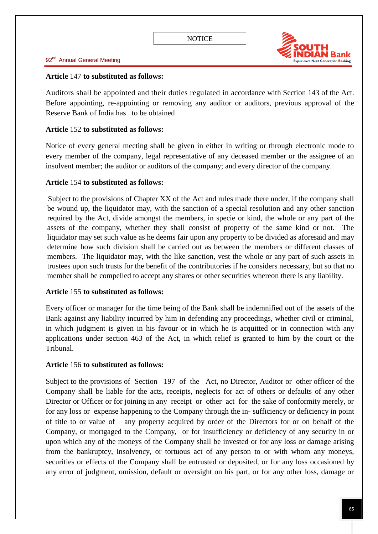

### **Article** 147 **to substituted as follows:**

Auditors shall be appointed and their duties regulated in accordance with Section 143 of the Act. Before appointing, re-appointing or removing any auditor or auditors, previous approval of the Reserve Bank of India has to be obtained

### **Article** 152 **to substituted as follows:**

Notice of every general meeting shall be given in either in writing or through electronic mode to every member of the company, legal representative of any deceased member or the assignee of an insolvent member; the auditor or auditors of the company; and every director of the company.

### **Article** 154 **to substituted as follows:**

Subject to the provisions of Chapter XX of the Act and rules made there under, if the company shall be wound up, the liquidator may, with the sanction of a special resolution and any other sanction required by the Act, divide amongst the members, in specie or kind, the whole or any part of the assets of the company, whether they shall consist of property of the same kind or not. liquidator may set such value as he deems fair upon any property to be divided as aforesaid and may determine how such division shall be carried out as between the members or different classes of members. The liquidator may, with the like sanction, vest the whole or any part of such assets in trustees upon such trusts for the benefit of the contributories if he considers necessary, but so that no member shall be compelled to accept any shares or other securities whereon there is any liability.

### **Article** 155 **to substituted as follows:**

Every officer or manager for the time being of the Bank shall be indemnified out of the assets of the Bank against any liability incurred by him in defending any proceedings, whether civil or criminal, in which judgment is given in his favour or in which he is acquitted or in connection with any applications under section 463 of the Act, in which relief is granted to him by the court or the Tribunal.

### **Article** 156 **to substituted as follows:**

Subject to the provisions of Section 197 of the Act, no Director, Auditor or other officer of the Company shall be liable for the acts, receipts, neglects for act of others or defaults of any other Director or Officer or for joining in any receipt or other act for the sake of conformity merely, or for any loss or expense happening to the Company through the in- sufficiency or deficiency in point of title to or value of any property acquired by order of the Directors for or on behalf of the Company, or mortgaged to the Company, or for insufficiency or deficiency of any security in or upon which any of the moneys of the Company shall be invested or for any loss or damage arising from the bankruptcy, insolvency, or tortuous act of any person to or with whom any moneys, securities or effects of the Company shall be entrusted or deposited, or for any loss occasioned by any error of judgment, omission, default or oversight on his part, or for any other loss, damage or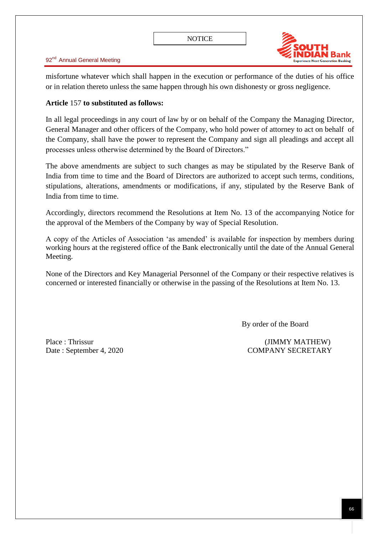

misfortune whatever which shall happen in the execution or performance of the duties of his office or in relation thereto unless the same happen through his own dishonesty or gross negligence.

### **Article** 157 **to substituted as follows:**

In all legal proceedings in any court of law by or on behalf of the Company the Managing Director, General Manager and other officers of the Company, who hold power of attorney to act on behalf of the Company, shall have the power to represent the Company and sign all pleadings and accept all processes unless otherwise determined by the Board of Directors."

The above amendments are subject to such changes as may be stipulated by the Reserve Bank of India from time to time and the Board of Directors are authorized to accept such terms, conditions, stipulations, alterations, amendments or modifications, if any, stipulated by the Reserve Bank of India from time to time.

Accordingly, directors recommend the Resolutions at Item No. 13 of the accompanying Notice for the approval of the Members of the Company by way of Special Resolution.

A copy of the Articles of Association 'as amended' is available for inspection by members during working hours at the registered office of the Bank electronically until the date of the Annual General Meeting.

None of the Directors and Key Managerial Personnel of the Company or their respective relatives is concerned or interested financially or otherwise in the passing of the Resolutions at Item No. 13.

By order of the Board

Place : Thrissur (JIMMY MATHEW) Date : September 4, 2020 COMPANY SECRETARY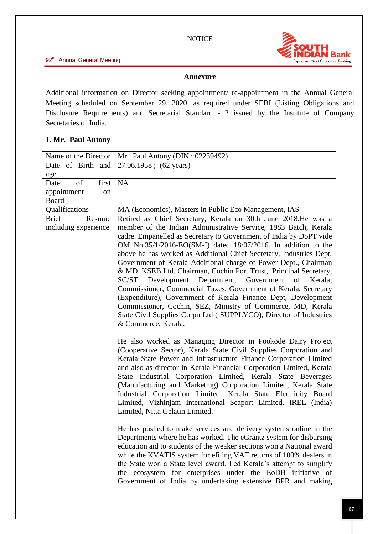

### **Annexure**

Additional information on Director seeking appointment/ re-appointment in the Annual General Meeting scheduled on September 29, 2020, as required under SEBI (Listing Obligations and Disclosure Requirements) and Secretarial Standard - 2 issued by the Institute of Company Secretaries of India.

## **1. Mr. Paul Antony**

| Name of the Director | Mr. Paul Antony (DIN: 02239492)                                                                                                  |
|----------------------|----------------------------------------------------------------------------------------------------------------------------------|
| Date of Birth and    | 27.06.1958; (62 years)                                                                                                           |
| age                  |                                                                                                                                  |
| of<br>first<br>Date  | <b>NA</b>                                                                                                                        |
| appointment<br>on    |                                                                                                                                  |
| Board                |                                                                                                                                  |
| Qualifications       | MA (Economics), Masters in Public Eco Management, IAS                                                                            |
| Resume<br>Brief      | Retired as Chief Secretary, Kerala on 30th June 2018. He was a                                                                   |
| including experience | member of the Indian Administrative Service, 1983 Batch, Kerala                                                                  |
|                      | cadre. Empanelled as Secretary to Government of India by DoPT vide                                                               |
|                      | OM No.35/1/2016-EO(SM-I) dated 18/07/2016. In addition to the                                                                    |
|                      | above he has worked as Additional Chief Secretary, Industries Dept,                                                              |
|                      | Government of Kerala Additional charge of Power Dept., Chairman                                                                  |
|                      | & MD, KSEB Ltd, Chairman, Cochin Port Trust, Principal Secretary,                                                                |
|                      | SC/ST Development Department,<br>Government<br>of Kerala,                                                                        |
|                      | Commissioner, Commercial Taxes, Government of Kerala, Secretary                                                                  |
|                      | (Expenditure), Government of Kerala Finance Dept, Development                                                                    |
|                      | Commissioner, Cochin, SEZ, Ministry of Commerce, MD, Kerala<br>State Civil Supplies Corpn Ltd (SUPPLYCO), Director of Industries |
|                      | & Commerce, Kerala.                                                                                                              |
|                      |                                                                                                                                  |
|                      | He also worked as Managing Director in Pookode Dairy Project                                                                     |
|                      | (Cooperative Sector), Kerala State Civil Supplies Corporation and                                                                |
|                      | Kerala State Power and Infrastructure Finance Corporation Limited                                                                |
|                      | and also as director in Kerala Financial Corporation Limited, Kerala                                                             |
|                      | State Industrial Corporation Limited, Kerala State Beverages                                                                     |
|                      | (Manufacturing and Marketing) Corporation Limited, Kerala State                                                                  |
|                      | Industrial Corporation Limited, Kerala State Electricity Board                                                                   |
|                      | Limited, Vizhinjam International Seaport Limited, IREL (India)                                                                   |
|                      | Limited, Nitta Gelatin Limited.                                                                                                  |
|                      |                                                                                                                                  |
|                      | He has pushed to make services and delivery systems online in the                                                                |
|                      | Departments where he has worked. The eGrantz system for disbursing                                                               |
|                      | education aid to students of the weaker sections won a National award                                                            |
|                      | while the KVATIS system for efiling VAT returns of 100% dealers in                                                               |
|                      | the State won a State level award. Led Kerala's attempt to simplify                                                              |
|                      | the ecosystem for enterprises under the EoDB initiative of                                                                       |
|                      | Government of India by undertaking extensive BPR and making                                                                      |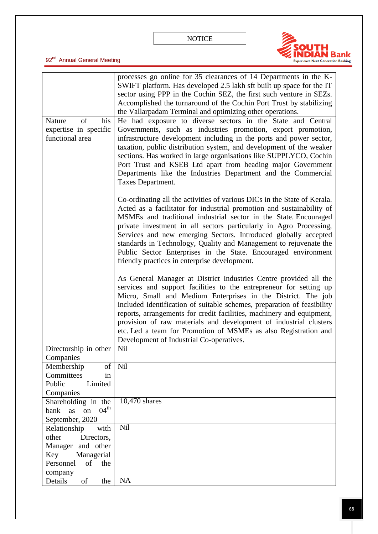

|                                      | processes go online for 35 clearances of 14 Departments in the K-<br>SWIFT platform. Has developed 2.5 lakh sft built up space for the IT<br>sector using PPP in the Cochin SEZ, the first such venture in SEZs.<br>Accomplished the turnaround of the Cochin Port Trust by stabilizing<br>the Vallarpadam Terminal and optimizing other operations.                                                                                                                                                                                                   |
|--------------------------------------|--------------------------------------------------------------------------------------------------------------------------------------------------------------------------------------------------------------------------------------------------------------------------------------------------------------------------------------------------------------------------------------------------------------------------------------------------------------------------------------------------------------------------------------------------------|
|                                      |                                                                                                                                                                                                                                                                                                                                                                                                                                                                                                                                                        |
| of<br>his<br>Nature                  | He had exposure to diverse sectors in the State and Central                                                                                                                                                                                                                                                                                                                                                                                                                                                                                            |
| expertise in specific                | Governments, such as industries promotion, export promotion,                                                                                                                                                                                                                                                                                                                                                                                                                                                                                           |
| functional area                      | infrastructure development including in the ports and power sector,<br>taxation, public distribution system, and development of the weaker<br>sections. Has worked in large organisations like SUPPLYCO, Cochin<br>Port Trust and KSEB Ltd apart from heading major Government                                                                                                                                                                                                                                                                         |
|                                      | Departments like the Industries Department and the Commercial<br>Taxes Department.                                                                                                                                                                                                                                                                                                                                                                                                                                                                     |
|                                      | Co-ordinating all the activities of various DICs in the State of Kerala.<br>Acted as a facilitator for industrial promotion and sustainability of<br>MSMEs and traditional industrial sector in the State. Encouraged<br>private investment in all sectors particularly in Agro Processing,<br>Services and new emerging Sectors. Introduced globally accepted<br>standards in Technology, Quality and Management to rejuvenate the<br>Public Sector Enterprises in the State. Encouraged environment<br>friendly practices in enterprise development. |
|                                      | As General Manager at District Industries Centre provided all the<br>services and support facilities to the entrepreneur for setting up<br>Micro, Small and Medium Enterprises in the District. The job<br>included identification of suitable schemes, preparation of feasibility<br>reports, arrangements for credit facilities, machinery and equipment,<br>provision of raw materials and development of industrial clusters<br>etc. Led a team for Promotion of MSMEs as also Registration and<br>Development of Industrial Co-operatives.        |
|                                      |                                                                                                                                                                                                                                                                                                                                                                                                                                                                                                                                                        |
| Directorship in other                | Nil                                                                                                                                                                                                                                                                                                                                                                                                                                                                                                                                                    |
| Companies                            |                                                                                                                                                                                                                                                                                                                                                                                                                                                                                                                                                        |
| of<br>Membership                     | Nil                                                                                                                                                                                                                                                                                                                                                                                                                                                                                                                                                    |
| Committees<br>in                     |                                                                                                                                                                                                                                                                                                                                                                                                                                                                                                                                                        |
| Public<br>Limited                    |                                                                                                                                                                                                                                                                                                                                                                                                                                                                                                                                                        |
| Companies                            |                                                                                                                                                                                                                                                                                                                                                                                                                                                                                                                                                        |
| Shareholding in the                  | 10,470 shares                                                                                                                                                                                                                                                                                                                                                                                                                                                                                                                                          |
| $04^{\text{th}}$<br>as<br>on<br>bank |                                                                                                                                                                                                                                                                                                                                                                                                                                                                                                                                                        |
| September, 2020                      |                                                                                                                                                                                                                                                                                                                                                                                                                                                                                                                                                        |
| Relationship<br>with                 | Nil                                                                                                                                                                                                                                                                                                                                                                                                                                                                                                                                                    |
| other<br>Directors,                  |                                                                                                                                                                                                                                                                                                                                                                                                                                                                                                                                                        |
| Manager and other                    |                                                                                                                                                                                                                                                                                                                                                                                                                                                                                                                                                        |
| Key<br>Managerial                    |                                                                                                                                                                                                                                                                                                                                                                                                                                                                                                                                                        |
| Personnel<br>of<br>the               |                                                                                                                                                                                                                                                                                                                                                                                                                                                                                                                                                        |
| company                              |                                                                                                                                                                                                                                                                                                                                                                                                                                                                                                                                                        |
| of<br>Details<br>the                 | $\overline{NA}$                                                                                                                                                                                                                                                                                                                                                                                                                                                                                                                                        |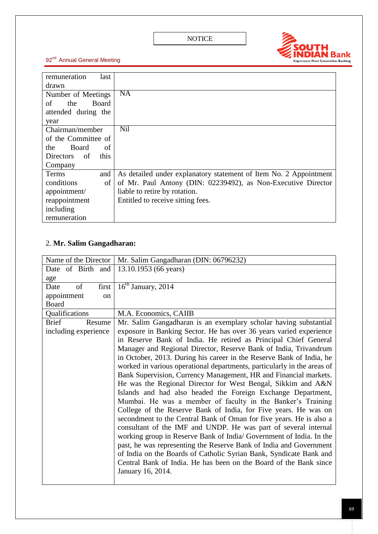

| remuneration<br>last      |                                                                   |
|---------------------------|-------------------------------------------------------------------|
| drawn                     |                                                                   |
| Number of Meetings        | $\overline{NA}$                                                   |
| Board<br>the<br>οf        |                                                                   |
| attended during the       |                                                                   |
| year                      |                                                                   |
| Chairman/member           | <b>Nil</b>                                                        |
| of the Committee of       |                                                                   |
| of<br>the<br>Board        |                                                                   |
| this<br>Directors<br>- of |                                                                   |
| Company                   |                                                                   |
| Terms<br>and              | As detailed under explanatory statement of Item No. 2 Appointment |
| conditions<br>of          | of Mr. Paul Antony (DIN: 02239492), as Non-Executive Director     |
| appointment/              | liable to retire by rotation.                                     |
| reappointment             | Entitled to receive sitting fees.                                 |
| including                 |                                                                   |
| remuneration              |                                                                   |

# 2. **Mr. Salim Gangadharan:**

| Name of the Director   | Mr. Salim Gangadharan (DIN: 06796232)                                   |
|------------------------|-------------------------------------------------------------------------|
| Date of Birth and      | 13.10.1953 (66 years)                                                   |
| age                    |                                                                         |
| of<br>first<br>Date    | $\overline{16}$ <sup>th</sup> January, 2014                             |
| appointment<br>on      |                                                                         |
| <b>Board</b>           |                                                                         |
| Qualifications         | M.A. Economics, CAIIB                                                   |
| <b>Brief</b><br>Resume | Mr. Salim Gangadharan is an exemplary scholar having substantial        |
| including experience   | exposure in Banking Sector. He has over 36 years varied experience      |
|                        | in Reserve Bank of India. He retired as Principal Chief General         |
|                        | Manager and Regional Director, Reserve Bank of India, Trivandrum        |
|                        | in October, 2013. During his career in the Reserve Bank of India, he    |
|                        | worked in various operational departments, particularly in the areas of |
|                        | Bank Supervision, Currency Management, HR and Financial markets.        |
|                        | He was the Regional Director for West Bengal, Sikkim and A&N            |
|                        | Islands and had also headed the Foreign Exchange Department,            |
|                        | Mumbai. He was a member of faculty in the Banker's Training             |
|                        | College of the Reserve Bank of India, for Five years. He was on         |
|                        | secondment to the Central Bank of Oman for five years. He is also a     |
|                        | consultant of the IMF and UNDP. He was part of several internal         |
|                        | working group in Reserve Bank of India/ Government of India. In the     |
|                        | past, he was representing the Reserve Bank of India and Government      |
|                        | of India on the Boards of Catholic Syrian Bank, Syndicate Bank and      |
|                        | Central Bank of India. He has been on the Board of the Bank since       |
|                        | January 16, 2014.                                                       |
|                        |                                                                         |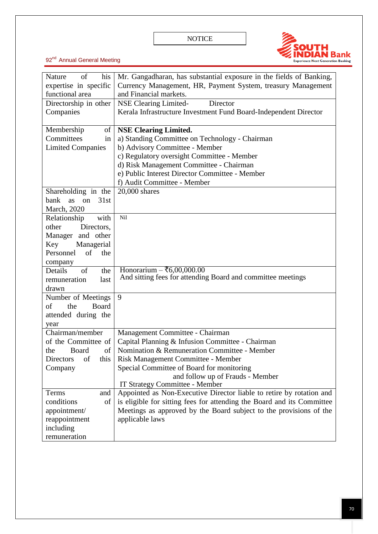

| of<br>his<br>Nature       | Mr. Gangadharan, has substantial exposure in the fields of Banking,    |
|---------------------------|------------------------------------------------------------------------|
| expertise in specific     | Currency Management, HR, Payment System, treasury Management           |
| functional area           | and Financial markets.                                                 |
| Directorship in other     | Director<br><b>NSE Clearing Limited-</b>                               |
| Companies                 | Kerala Infrastructure Investment Fund Board-Independent Director       |
|                           |                                                                        |
| Membership<br>of          | <b>NSE Clearing Limited.</b>                                           |
| Committees<br>in          | a) Standing Committee on Technology - Chairman                         |
| <b>Limited Companies</b>  | b) Advisory Committee - Member                                         |
|                           | c) Regulatory oversight Committee - Member                             |
|                           | d) Risk Management Committee - Chairman                                |
|                           | e) Public Interest Director Committee - Member                         |
|                           | f) Audit Committee - Member                                            |
| Shareholding in the       | 20,000 shares                                                          |
| bank<br>31st<br>on<br>as  |                                                                        |
| March, 2020               |                                                                        |
| with<br>Relationship      | Nil                                                                    |
| other<br>Directors,       |                                                                        |
| Manager and other         |                                                                        |
| Key<br>Managerial         |                                                                        |
| Personnel<br>of<br>the    |                                                                        |
| company                   |                                                                        |
| of<br>the<br>Details      | Honorarium – ₹6,00,000.00                                              |
| last<br>remuneration      | And sitting fees for attending Board and committee meetings            |
| drawn                     |                                                                        |
| Number of Meetings        | 9                                                                      |
| the<br>Board<br>of        |                                                                        |
| attended during the       |                                                                        |
| year                      |                                                                        |
| Chairman/member           | Management Committee - Chairman                                        |
| of the Committee of       | Capital Planning & Infusion Committee - Chairman                       |
| of<br><b>Board</b><br>the | Nomination & Remuneration Committee - Member                           |
| of<br>this<br>Directors   | Risk Management Committee - Member                                     |
| Company                   | Special Committee of Board for monitoring                              |
|                           | and follow up of Frauds - Member                                       |
|                           | <b>IT Strategy Committee - Member</b>                                  |
| Terms<br>and              | Appointed as Non-Executive Director liable to retire by rotation and   |
| conditions<br>of          | is eligible for sitting fees for attending the Board and its Committee |
| appointment/              | Meetings as approved by the Board subject to the provisions of the     |
| reappointment             | applicable laws                                                        |
| including                 |                                                                        |
| remuneration              |                                                                        |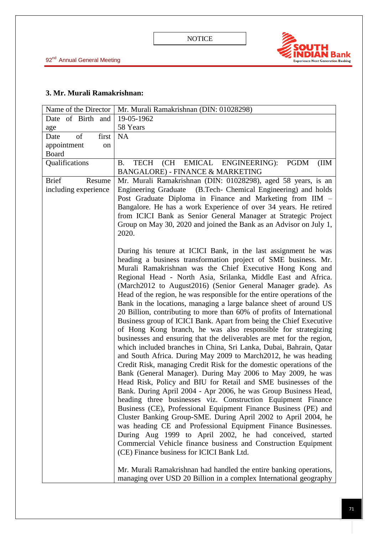

## **3. Mr. Murali Ramakrishnan:**

| Name of the Director   | Mr. Murali Ramakrishnan (DIN: 01028298)                                                                                                                                                                                                                                                                                                                                                                                                                                                                                                                                                                                                                                                                                                                                                                                                                                                                                                                                                                                                                                                                                    |
|------------------------|----------------------------------------------------------------------------------------------------------------------------------------------------------------------------------------------------------------------------------------------------------------------------------------------------------------------------------------------------------------------------------------------------------------------------------------------------------------------------------------------------------------------------------------------------------------------------------------------------------------------------------------------------------------------------------------------------------------------------------------------------------------------------------------------------------------------------------------------------------------------------------------------------------------------------------------------------------------------------------------------------------------------------------------------------------------------------------------------------------------------------|
| Date of Birth and      | 19-05-1962                                                                                                                                                                                                                                                                                                                                                                                                                                                                                                                                                                                                                                                                                                                                                                                                                                                                                                                                                                                                                                                                                                                 |
| age                    | 58 Years                                                                                                                                                                                                                                                                                                                                                                                                                                                                                                                                                                                                                                                                                                                                                                                                                                                                                                                                                                                                                                                                                                                   |
| of<br>first<br>Date    | NA                                                                                                                                                                                                                                                                                                                                                                                                                                                                                                                                                                                                                                                                                                                                                                                                                                                                                                                                                                                                                                                                                                                         |
| appointment<br>on      |                                                                                                                                                                                                                                                                                                                                                                                                                                                                                                                                                                                                                                                                                                                                                                                                                                                                                                                                                                                                                                                                                                                            |
| <b>Board</b>           |                                                                                                                                                                                                                                                                                                                                                                                                                                                                                                                                                                                                                                                                                                                                                                                                                                                                                                                                                                                                                                                                                                                            |
| Qualifications         | (CH EMICAL ENGINEERING):<br><b>TECH</b><br><b>PGDM</b><br>(IIM)<br><b>B.</b>                                                                                                                                                                                                                                                                                                                                                                                                                                                                                                                                                                                                                                                                                                                                                                                                                                                                                                                                                                                                                                               |
|                        | <b>BANGALORE) - FINANCE &amp; MARKETING</b>                                                                                                                                                                                                                                                                                                                                                                                                                                                                                                                                                                                                                                                                                                                                                                                                                                                                                                                                                                                                                                                                                |
| <b>Brief</b><br>Resume | Mr. Murali Ramakrishnan (DIN: 01028298), aged 58 years, is an                                                                                                                                                                                                                                                                                                                                                                                                                                                                                                                                                                                                                                                                                                                                                                                                                                                                                                                                                                                                                                                              |
| including experience   | <b>Engineering Graduate</b><br>(B.Tech- Chemical Engineering) and holds<br>Post Graduate Diploma in Finance and Marketing from IIM -<br>Bangalore. He has a work Experience of over 34 years. He retired                                                                                                                                                                                                                                                                                                                                                                                                                                                                                                                                                                                                                                                                                                                                                                                                                                                                                                                   |
|                        | from ICICI Bank as Senior General Manager at Strategic Project<br>Group on May 30, 2020 and joined the Bank as an Advisor on July 1,<br>2020.                                                                                                                                                                                                                                                                                                                                                                                                                                                                                                                                                                                                                                                                                                                                                                                                                                                                                                                                                                              |
|                        | During his tenure at ICICI Bank, in the last assignment he was<br>heading a business transformation project of SME business. Mr.<br>Murali Ramakrishnan was the Chief Executive Hong Kong and<br>Regional Head - North Asia, Srilanka, Middle East and Africa.<br>(March2012 to August2016) (Senior General Manager grade). As<br>Head of the region, he was responsible for the entire operations of the<br>Bank in the locations, managing a large balance sheet of around US<br>20 Billion, contributing to more than 60% of profits of International<br>Business group of ICICI Bank. Apart from being the Chief Executive<br>of Hong Kong branch, he was also responsible for strategizing<br>businesses and ensuring that the deliverables are met for the region,<br>which included branches in China, Sri Lanka, Dubai, Bahrain, Qatar<br>and South Africa. During May 2009 to March 2012, he was heading<br>Credit Risk, managing Credit Risk for the domestic operations of the<br>Bank (General Manager). During May 2006 to May 2009, he was<br>Head Risk, Policy and BIU for Retail and SME businesses of the |
|                        | Bank. During April 2004 - Apr 2006, he was Group Business Head,<br>heading three businesses viz. Construction Equipment Finance<br>Business (CE), Professional Equipment Finance Business (PE) and<br>Cluster Banking Group-SME. During April 2002 to April 2004, he<br>was heading CE and Professional Equipment Finance Businesses.<br>During Aug 1999 to April 2002, he had conceived, started<br>Commercial Vehicle finance business and Construction Equipment<br>(CE) Finance business for ICICI Bank Ltd.                                                                                                                                                                                                                                                                                                                                                                                                                                                                                                                                                                                                           |
|                        | Mr. Murali Ramakrishnan had handled the entire banking operations,<br>managing over USD 20 Billion in a complex International geography                                                                                                                                                                                                                                                                                                                                                                                                                                                                                                                                                                                                                                                                                                                                                                                                                                                                                                                                                                                    |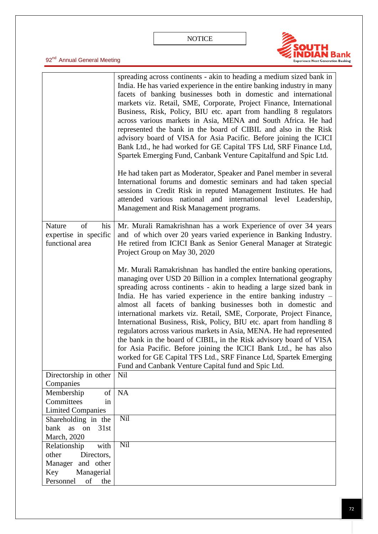

|                                                                                                                 | spreading across continents - akin to heading a medium sized bank in<br>India. He has varied experience in the entire banking industry in many<br>facets of banking businesses both in domestic and international<br>markets viz. Retail, SME, Corporate, Project Finance, International<br>Business, Risk, Policy, BIU etc. apart from handling 8 regulators<br>across various markets in Asia, MENA and South Africa. He had<br>represented the bank in the board of CIBIL and also in the Risk<br>advisory board of VISA for Asia Pacific. Before joining the ICICI<br>Bank Ltd., he had worked for GE Capital TFS Ltd, SRF Finance Ltd,<br>Spartek Emerging Fund, Canbank Venture Capitalfund and Spic Ltd.<br>He had taken part as Moderator, Speaker and Panel member in several<br>International forums and domestic seminars and had taken special<br>sessions in Credit Risk in reputed Management Institutes. He had<br>attended various national and international level Leadership,<br>Management and Risk Management programs. |
|-----------------------------------------------------------------------------------------------------------------|---------------------------------------------------------------------------------------------------------------------------------------------------------------------------------------------------------------------------------------------------------------------------------------------------------------------------------------------------------------------------------------------------------------------------------------------------------------------------------------------------------------------------------------------------------------------------------------------------------------------------------------------------------------------------------------------------------------------------------------------------------------------------------------------------------------------------------------------------------------------------------------------------------------------------------------------------------------------------------------------------------------------------------------------|
| of<br>his<br>Nature<br>expertise in specific<br>functional area                                                 | Mr. Murali Ramakrishnan has a work Experience of over 34 years<br>and of which over 20 years varied experience in Banking Industry.<br>He retired from ICICI Bank as Senior General Manager at Strategic<br>Project Group on May 30, 2020                                                                                                                                                                                                                                                                                                                                                                                                                                                                                                                                                                                                                                                                                                                                                                                                   |
|                                                                                                                 | Mr. Murali Ramakrishnan has handled the entire banking operations,<br>managing over USD 20 Billion in a complex International geography<br>spreading across continents - akin to heading a large sized bank in<br>India. He has varied experience in the entire banking industry -<br>almost all facets of banking businesses both in domestic and<br>international markets viz. Retail, SME, Corporate, Project Finance,<br>International Business, Risk, Policy, BIU etc. apart from handling 8<br>regulators across various markets in Asia, MENA. He had represented<br>the bank in the board of CIBIL, in the Risk advisory board of VISA<br>for Asia Pacific. Before joining the ICICI Bank Ltd., he has also<br>worked for GE Capital TFS Ltd., SRF Finance Ltd, Spartek Emerging<br>Fund and Canbank Venture Capital fund and Spic Ltd.                                                                                                                                                                                             |
| Directorship in other<br>Companies                                                                              | Nil                                                                                                                                                                                                                                                                                                                                                                                                                                                                                                                                                                                                                                                                                                                                                                                                                                                                                                                                                                                                                                         |
| Membership<br>of<br>Committees<br>in<br><b>Limited Companies</b>                                                | NA                                                                                                                                                                                                                                                                                                                                                                                                                                                                                                                                                                                                                                                                                                                                                                                                                                                                                                                                                                                                                                          |
| Shareholding in the<br>bank<br>as on<br>31st<br>March, 2020                                                     | Nil                                                                                                                                                                                                                                                                                                                                                                                                                                                                                                                                                                                                                                                                                                                                                                                                                                                                                                                                                                                                                                         |
| Relationship<br>with<br>other<br>Directors,<br>Manager and other<br>Managerial<br>Key<br>Personnel<br>of<br>the | Nil                                                                                                                                                                                                                                                                                                                                                                                                                                                                                                                                                                                                                                                                                                                                                                                                                                                                                                                                                                                                                                         |